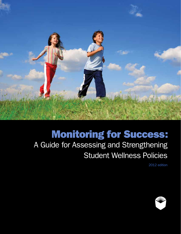

# **Monitoring for Success:**

# A Guide for Assessing and Strengthening Student Wellness Policies

2012 edition

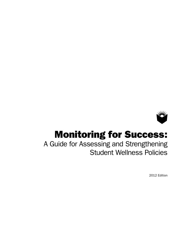

# Monitoring for Success:

A Guide for Assessing and Strengthening Student Wellness Policies

2012 Edition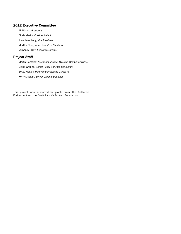#### 2012 Executive Committee

Jill Wynns, *President* Cindy Marks, *President-elect* Josephine Lucy, *Vice President* Martha Fluor, *Immediate Past President* Vernon M. Billy, *Executive Director*

### Project Staff

Martin Gonzalez, *Assistant Executive Director, Member Services* Diane Greene, *Senior Policy Services Consultant* Betsy McNeil, *Policy and Programs Officer III* Kerry Macklin, *Senior Graphic Designer*

This project was supported by grants from The California Endowment and the *David & Lucile* Packard Foundation.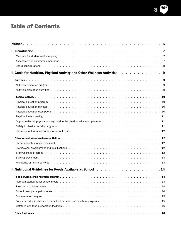

## Table of Contents

| Preface.                                                                                                                                                                                                                       |  | 5 |
|--------------------------------------------------------------------------------------------------------------------------------------------------------------------------------------------------------------------------------|--|---|
|                                                                                                                                                                                                                                |  |   |
|                                                                                                                                                                                                                                |  |   |
|                                                                                                                                                                                                                                |  |   |
|                                                                                                                                                                                                                                |  |   |
| II. Goals for Nutrition, Physical Activity and Other Wellness Activities. 9                                                                                                                                                    |  |   |
|                                                                                                                                                                                                                                |  |   |
|                                                                                                                                                                                                                                |  |   |
|                                                                                                                                                                                                                                |  |   |
|                                                                                                                                                                                                                                |  |   |
| Physical education program education of the contract of the contract of the contract of the contract of the contract of the contract of the contract of the contract of the contract of the contract of the contract of the co |  |   |
|                                                                                                                                                                                                                                |  |   |
| Physical education exemptions response to response to response the response to response the response of the response of the response of the response of the response of the response of the response of the response of the re |  |   |
|                                                                                                                                                                                                                                |  |   |
| Opportunities for physical activity outside the physical education program 11                                                                                                                                                  |  |   |
|                                                                                                                                                                                                                                |  |   |
|                                                                                                                                                                                                                                |  |   |
|                                                                                                                                                                                                                                |  |   |
|                                                                                                                                                                                                                                |  |   |
| Professional development and qualifications enterpreteration of the content of the content of the content of the content of the content of the content of the content of the content of the content of the content of the cont |  |   |
|                                                                                                                                                                                                                                |  |   |
|                                                                                                                                                                                                                                |  |   |
|                                                                                                                                                                                                                                |  |   |
| III. Nutritional Guidelines for Foods Available at School 14                                                                                                                                                                   |  |   |
|                                                                                                                                                                                                                                |  |   |
|                                                                                                                                                                                                                                |  |   |
|                                                                                                                                                                                                                                |  |   |
|                                                                                                                                                                                                                                |  |   |
|                                                                                                                                                                                                                                |  |   |
|                                                                                                                                                                                                                                |  |   |
|                                                                                                                                                                                                                                |  |   |
|                                                                                                                                                                                                                                |  |   |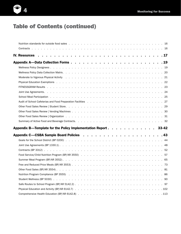

## Table of Contents (continued)

| Moderate to Vigorous Physical Activity enteries and contact the content of the content of the content of the content of the content of the content of the content of the content of the content of the content of the content |  |
|-------------------------------------------------------------------------------------------------------------------------------------------------------------------------------------------------------------------------------|--|
|                                                                                                                                                                                                                               |  |
|                                                                                                                                                                                                                               |  |
|                                                                                                                                                                                                                               |  |
|                                                                                                                                                                                                                               |  |
|                                                                                                                                                                                                                               |  |
|                                                                                                                                                                                                                               |  |
|                                                                                                                                                                                                                               |  |
|                                                                                                                                                                                                                               |  |
|                                                                                                                                                                                                                               |  |
|                                                                                                                                                                                                                               |  |
| Appendix B—Template for the Policy Implementation Report 33-42                                                                                                                                                                |  |
|                                                                                                                                                                                                                               |  |
|                                                                                                                                                                                                                               |  |
| Joint Use Agreements (BP 1330.1) $\ldots$ $\ldots$ $\ldots$ $\ldots$ $\ldots$ $\ldots$ $\ldots$ $\ldots$ $\ldots$ $\ldots$ $\ldots$ $\ldots$ $\ldots$ 48                                                                      |  |
|                                                                                                                                                                                                                               |  |
|                                                                                                                                                                                                                               |  |
|                                                                                                                                                                                                                               |  |
|                                                                                                                                                                                                                               |  |
|                                                                                                                                                                                                                               |  |
|                                                                                                                                                                                                                               |  |
|                                                                                                                                                                                                                               |  |
|                                                                                                                                                                                                                               |  |
|                                                                                                                                                                                                                               |  |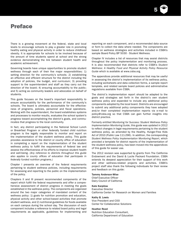

## Preface

There is a growing movement at the federal, state and local levels to encourage schools to play a greater role in promoting healthy eating and physical activity in order to reduce childhood obesity. It is appropriate for schools to be involved because of the amount of time students spend at school and the strong evidence demonstrating the link between student health and academic achievement.

Governing boards have unique opportunities to promote student wellness through each of their five major responsibilities: 1) setting direction for the community's schools; 2) establishing an effective and efficient structure for the district including the adoption of policies, the budget, and curriculum; 3) providing support to the superintendent and staff as they carry out the direction of the board; 4) ensuring accountability to the public; and 5) acting as community leaders and advocates on behalf of students.

This guide focuses on the board's important responsibility to ensure accountability for the performance of the community's schools. The board is ultimately accountable for the effectiveness of programs, policies, personnel and fiscal operations. Working with the superintendent, the board establishes systems and processes to monitor results, evaluates the school system's progress toward accomplishing the district's goals, and communicates that progress to the local community.

In fact, any district participating in the National School Lunch or Breakfast Program or other federally funded child nutrition program is the legally responsible to monitor and report on the implementation of the student wellness policy. This guide provides assistance to the district or county office of education in completing a report on the implementation of the student wellness policy to fulfill the requirements of federal law and assess the effectiveness of its efforts to improve student health and well-being. *(Any reference to districts throughout this guide also applies to county offices of education that participate in federally funded nutrition programs.)*

Chapter I presents an overview of the federal requirements pertaining to student wellness policies, including requirements for assessing and reporting to the public on the implementation of the policy.

Chapters II and III present recommended components of the report which fulfill the federal requirements and offer a comprehensive assessment of district progress in meeting the goals established in the wellness policy. The components are organized around the two major categories of mandated content of the wellness policy: 1) goals for nutrition promotion and education, physical activity and other school-based activities that promote student wellness, and 2) nutritional guidelines for foods available on each campus during the school day. The discussion of each component includes a reference to related board policy and legal requirements as applicable, guidelines for implementing and reporting on each component, and a recommended data source or form to collect the data where needed. The components are based on wellness strategies and activities included in CSBA's sample Board Policy BP 5030 - Student Wellness.

Chapter IV includes a list of resources that may assist districts throughout the policy implementation and monitoring process. It is also recommended that districts refer to CSBA's *Student Wellness: A Healthy Food and Physical Activity Policy Resource Guide* which is available at www.csba.org.

The appendices provide additional resources that may be useful in assessing the district's implementation of its wellness policy, including worksheets and data collection forms, a sample report template, and related sample board policies and administrative regulations available from CSBA.

The district's implementation report should be adapted to the goals and strategies set forth in the district's own student wellness policy and expanded to include any additional policy components adopted by the local board. Districts are encouraged to submit any additional policy components they have adopted and/or their completed implementation reports via e-mail to policy@csba.org so that CSBA can gain further insights into district practice.

Formerly entitled *Monitoring for Success: Student Wellness Policy Implementation Monitoring Guide*, this guide was updated in 2012 to reflect changes in legal requirements pertaining to the student wellness policy, as amended by the Healthy, Hunger-Free Kids Act of 2010 (Public Law 111-296). In addition, the corresponding *Student Wellness Policy Implementation Monitoring Report*, which provided a template for district reports of the implementation of the student wellness policy, has been moved into the appendices of this guide for easier use.

The 2012 revision was supported by grants from The California Endowment and the David & Lucile Packard Foundation. CSBA extends its deepest appreciation for their support of this work and other wellness-related projects and activities. CSBA's project staff also thank the following individuals for their review and feedback on this guide:

#### Tammy Anderson-Wise

Chief Executive Officer Dairy Council of California

#### Kate Karpilow

Executive Director

California Center for Research on Women and Families

#### Kathy B. Lewis

Vice President and COO Center for Collaborative Solutions

#### Heather Reed

Nutrition Education Consultant, California Department of Education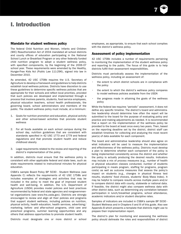7

## I. Introduction

#### Mandate for student wellness policy

The federal Child Nutrition and Women, Infants and Children (WIC) Reauthorization Act of 2004 mandated all school districts and county offices of education participating in the National School Lunch or Breakfast Program or any other federally funded child nutrition program to adopt a student wellness policy, with specified components, by the beginning of the 2006-07 school year. These requirements were amended by the Healthy, Hunger-Free Kids Act (Public Law 111-296), signed into law in December 2010.

As amended, 42 USC 1758b requires the U.S. Secretary of Agriculture to develop a framework and guidelines to help districts establish local wellness policies. Districts have discretion to use these guidelines to determine specific wellness policies that are appropriate for their schools and reflect local priorities, provided that such policies are developed and implemented through a process that involves parents, students, food service employees, physical education teachers, school health professionals, the governing board, school administrators and members of the public. The student wellness policy must include, at a minimum:

- 1. Goals for nutrition promotion and education, physical activity and other school-based activities that promote student wellness
- 2. For all foods available on each school campus during the school day, nutrition guidelines that are consistent with standards specified in 42 USC 1773 and 1779 and federal regulations and that promote student health and reduce childhood obesity
- 3. Legal requirements related to the review and reporting of the district's implementation of the policy

In addition, districts must ensure that the wellness policy is consistent with other applicable federal and state laws, such as state requirements related to instructional minutes for physical education.

CSBA's sample Board Policy BP 5030 - Student Wellness (see Appendix C) reflects the requirements of 42 USC 1758b and includes examples of strategies and activities that may be included in the policy to meet the goal of improved student health and well-being. In addition, the U.S. Department of Agriculture (USDA) provides model policies and best practices recommended by federal and state agencies and nongovernmental organizations (see www.fns.usda.gov). Districts are strongly encouraged to review and align all their policies and programs that support student wellness, including policies on nutrition, physical activity, health education, health services, advertising/ marketing, before- and after-school programs, child care and preschool programs, summer learning opportunities and any others that address opportunities to promote student health.

Districts must designate one or more district or school

employees, as appropriate, to ensure that each school complies with the district's wellness policy.

#### Assessment of policy implementation

42 USC 1758b includes a number of requirements pertaining to monitoring the implementation of the student wellness policy and reporting to the public. The focus of this guide is to help districts fulfill their assessment responsibilities.

Districts must periodically assess the implementation of the wellness policy, including an assessment of:

- the extent to which district schools are in compliance with the policy
- the extent to which the district's wellness policy compares to model wellness policies available from the USDA
- the progress made in attaining the goals of the wellness policy

While the federal law requires "periodic" assessment, it does not define any specific timeline. The district's board and administrative leadership should determine how often the report will be submitted to the board for the purpose of evaluating policy and practice and making adjustments as needed. It is recommended that a report on the implementation of the wellness policy be provided to the board at least once every two years. Then, based on the reporting deadline set by the district, district staff can establish timelines for collecting and analyzing the most recent year(s) of data available for each component.

The board and administrative leadership should also agree on what indicators will be used to measure the implementation and effectiveness of the wellness policy. Districts must develop a plan to determine whether each component of the policy is being implemented consistently across the district and whether the policy is actually producing the desired results. Indicators may include a mix of *process* measures (e.g., number of health or physical education classes conducted, number of students participating in meals program, staffing for programs, program costs) as well as *outcome* measures that assess the policy's impact on students (e.g., changes in physical fitness test results, students' food choices, students' Body Mass Index). It may be helpful to compare results across multiple years and/or to compare district data with county, statewide or national data. If feasible, the district might also compare wellness data with other district data, such as determining any correlation between participation in lunch/breakfast programs, school attendance, academic indicators and/or student discipline rates.

Samples of indicators are included in CSBA's sample BP 5030 - Student Wellness and in Chapters II and III of this guide. Also see Appendix B which presents a template that districts might use to prepare their implementation report.

The district's plan for monitoring and assessing the wellness policy should delineate the roles and responsibilities of district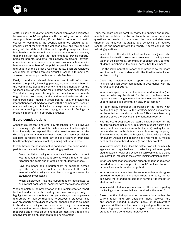

staff (including the district and/or school employees designated to ensure schools' compliance with the policy and other staff as appropriate). In addition, if the district has a school health council or committee, the council/committee should be an integral part of monitoring the wellness policy and may assume many of the data collection and reporting responsibilities. Membership on the school health council/committee is one way that the district can fulfill the requirement to provide opportunities for parents, students, food service employees, physical education teachers, school health professionals, school administrators and members of the public to participate in the review and update of the district's wellness policy. Such stakeholders could also be involved through district or school site meetings, surveys or other opportunities to provide feedback.

Finally, the district should determine how it will inform and update the public, including parents, students and others in the community, about the content and implementation of the wellness policy as well as the results of the periodic assessment. The district may use its regular communications channels (e.g., district newsletter, district and school websites, districtsponsored social media, bulletin boards) and/or provide the information to local media to share with the community. It should also consider ways to tailor the message to various audiences, such as creating brochures highlighting specific findings or providing information in different languages.

#### Board considerations

Although district staff and other key stakeholders will be involved in measuring progress toward the district's student wellness goals, it is ultimately the responsibility of the board to ensure that the district's policy on student wellness meets or exceeds provisions set forth in federal and state law and is effective in promoting healthy eating and physical activity among district students.

Ideally, before the assessment is conducted, the board and superintendent should review the following questions:

- Does the district policy on student wellness reflect current legal requirements? Does it provide clear direction to staff regarding the goals and strategies for student wellness?
- Have the board and superintendent or designee agreed upon the measures that will be used to evaluate the implementation of the policy and the district's progress toward its student wellness goals?
- Which employee(s) has the superintendent designated to ensure that each school complies with the wellness policy?

When completed, the presentation of the implementation report to the board at a public meeting becomes an opportunity to highlight accomplishments and recognize staff, students, parents and others for their contributions to successful practices. It is also an opportunity to discuss whether changes need to be made in the district's policy or practices. In so doing, the monitoring and evaluation process becomes a useful tool to focus district resources and efforts on actions that are most likely to make a positive impact on student health and achievement.

Thus, the board should carefully review the findings and recommendations contained in the implementation report and ask questions as needed to understand the data and determine whether the district's strategies are achieving the desired results. As the board reviews the report, it might consider the following questions:

- In addition to the district/school wellness designees, who else was involved in the current assessment of the implementation of the policy (e.g., other district or school staff, parents, students, members of the public, school health council)?
- Has the implementation report been provided to the board and the public in accordance with the timeline established in district policy?
- Does the implementation report adequately present findings for each policy component in accordance with the agreed-upon indicators?
- What challenges, if any, did the superintendent or designee have in collecting the data? For the next implementation report, are any changes needed in the measures that will be used to assess implementation and/or outcomes?
- For each policy component addressed in the report, what do the findings show? Is the strategy being consistently implemented across district schools? Has there been any progress since the previous implementation report?
- Has the board supported the staff's implementation of the student wellness policy by 1) reinforcing student health as a priority in its communications with others, 2) holding the superintendent accountable for consistently enforcing the policy, 3) ensuring that the district budget is aligned with priorities for student wellness and 4) serving as a role model by making healthy choices for board meetings and other events?
- What partnerships, if any, does the district have with community agencies and organizations to collectively address goals around student health and academic achievement? Are those joint activities included in the current implementation report?
- What recommendations has the superintendent or designee provided to address any gaps in schools' implementation of or compliance with the district policy?
- What recommendations has the superintendent or designee provided to address any areas where the policy is not achieving the intended outcomes in terms of its impact on student wellness?
- What input do students, parents, staff or others have regarding the findings or recommendations contained in the report?
- Based on the findings and recommendations within the current report and any additional input received, are any changes needed in district policy or administrative regulations? What are the board's highest priorities for implementing new or revised strategies? What are the next steps to ensure continuous improvement?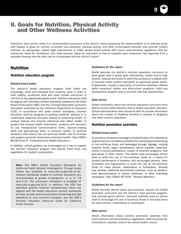## II. Goals for Nutrition, Physical Activity and Other Wellness Activities

*Directions: Each section below is a recommended component of the district's report assessing the implementation of its wellness policy with respect to goals for nutrition promotion and education, physical activity, and other school-based activities that promote student wellness. As appropriate, related legal requirements or CSBA sample board policies (BP) and/or administrative regulations (AR) are referenced. Read the "Guidelines" and "Data Sources" below for instruction on how to complete each component. See Appendix B for a template showing how the data may be incorporated into the district's report.*

## Nutrition

#### Nutrition education program

#### *Related board policy*

The district's health education program shall foster the knowledge, skills and attitudes that students need in order to lead healthy, productive lives and shall include instruction in nutrition at the appropriate grade levels. Nutrition education shall be aligned with voluntary content standards adopted by the State Board of Education (SBE) and the corresponding state curriculum framework published by the California Department of Education (CDE). In accordance with state content standards, nutrition education shall be designed to develop students' abilities to 1) understand essential concepts related to enhancing health; 2) analyze internal and external influences that affect health; 3) access and analyze health information, products and services; 4) use interpersonal communication skills, decision-making skills and goal-setting skills to enhance health; 5) practice behaviors that reduce risk and promote health; and 6) promote and support personal, family and community health. (See CSBA's BP/AR 6142.8 - Comprehensive Health Education.)

In addition, school gardens are encouraged as a way to support the nutrition education program and provide fresh fruits and vegetables for student consumption.

*Note:* The SBE's *Health Education Standards for California Public Schools: Kindergarten Through Grade Twelve* are available at www.cde.ca.gov/be/st/ss. Content standards related to nutrition education are recommended at grades kindergarten, 2, 4, 5, 7-8 and 9-12. The curriculum framework is available at www.cde.ca.gov/be/st/fr. In addition, the CDE has identified specific nutrition competencies which are aligned with the health education content standards but also include other benchmarks of learning and add specificity to core nutrition concepts; see the CDE's *Nutrition Education Resource Guide for California Public Schools*.

#### *Guidelines for the report*

Briefly describe the district's nutrition education curriculum at each grade level or grade span (elementary, middle and/or high school). Indicate the extent to which the curriculum is aligned with or exceeds state content standards at applicable grade levels. If applicable, include a description of nutrition education offered within preschool, before- and after-school programs, child care development program and/or summer learning opportunities.

9

#### *Data source*

Obtain information about the nutrition education curriculum from district/school administrators and/or health education teachers. School administrators also should be able to provide information about the number of students enrolled in classes or programs that offer nutrition education.

#### Nutrition promotion activities

#### *Related board policy*

To provide a consistent message to students about the importance of good nutrition, the district prohibits the marketing and advertising of non-nutritious foods and beverages through signage, vending machine fronts, logos, scoreboards, school supplies, advertisements in school publications, coupon or incentive programs, free give-aways or other means. The district also encourages school staff to avoid the use of non-nutritious foods as a reward for student performance or behavior, and encourages parents, other volunteers and organizations to avoid the use of non-nutritious foods for class parties, celebrations or fundraisers. Schools may develop additional promotional activities, such as posters, food demonstrations in school cafeterias, or other marketing campaigns. (See CSBA's BP 5030 - Student Wellness.)

#### *Guidelines for the report*

Briefly describe district policy and practices, beyond the health education curriculum and the district's food services program, that promote good nutrition. Describe methods used by school staff to encourage the use of nutritious foods or non-food items for class parties, celebrations or fundraisers.

#### *Data source*

Obtain information about nutrition promotion activities from board policies and administrative regulations, district/school administrators, teachers and/or the school health council.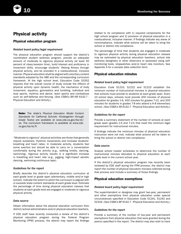

## Physical activity

#### Physical education program

#### *Related board policy/legal requirement*

The physical education program should support the district's coordinated student wellness program, provide an adequate amount of moderate to vigorous physical activity (at least 50 percent of class/session time), build interest and proficiency in movement skills, encourage students' lifelong fitness through physical activity, and be provided in a coeducational, inclusive manner. Physical education shall be aligned with voluntary content standards adopted by the SBE and the corresponding curriculum framework. At the high school level, Education Code 33352 requires that the overall course of study include the effects of physical activity upon dynamic health, the mechanics of body movement, aquatics, gymnastics and tumbling, individual and dual sports, rhythms and dance, team sports and combatives such as self-defense and fencing. (See CSBA's BP/AR 6142.7 - Physical Education and Activity.)

Note: The state's *Physical Education Model Content Standards for California Schools: Kindergarten through Grade Twelve* are available at www.cde.ca.gov/be/st/ ss. The curriculum framework is available at www.cde. ca.gov/be/st/fr.

"Moderate to vigorous" physical activities are those that generally require sustained, rhythmic movements and increase students' breathing and heart rates. In moderate activity, students feel some exertion but should be able to carry on a conversation comfortably during the activity (e.g., walking briskly, dancing, swimming). Vigorous activity results in a significant increase in breathing and heart rate (e.g., jogging, high-impact aerobic dancing, swimming continuous laps).

#### *Guidelines for the report*

Briefly describe the district's physical education curriculum at each grade level or grade span (elementary, middle and/or high school). Indicate the extent to which the curriculum is aligned with or exceeds state content standards at each grade level. Estimate the percentage of time during physical education classes that students at each grade level are engaged in moderate to vigorous physical activity.

#### *Data source*

Obtain information about the physical education curriculum from district/school administrators and/or physical education teachers.

If CDE staff have recently conducted a review of the district's physical education program during the Federal Program Monitoring (FPM) process, the district may report the findings

related to its compliance with 1) required components for the high school program and 2) provision of physical education in a coeducational, inclusive manner. If findings indicate any areas of noncompliance, indicate what actions will be taken to bring the school or district into compliance.

The percentage of time that students are engaged in moderate to vigorous physical activity during physical education classes may be estimated by physical education teachers, school site wellness designees or other observers or assessed using selfmonitoring tools, stopwatches and/or heart rate monitors. See Appendix A for a sample data collection form.

#### Physical education minutes

#### *Related board policy/legal requirement*

Education Code 51210, 51222 and 51223 establish the minimum number of instructional minutes in physical education that schools must provide to students at each grade span. Every 10 school days, schools must provide 200 minutes of physical education for grades 1-6, 400 minutes for grades 7-12, and 200 minutes for students in grades 7-8 who attend a K-8 elementary school. (See CSBA's AR 6142.7 - Physical Education and Activity.)

#### *Guidelines for the report*

Provide a summary statement of the number of schools at each grade span (grades 1-6 and 7-12) that meet the minimum legal requirement for instructional minutes.

If findings indicate the minimum minutes of physical education instruction were not met, indicate what actions will be taken to bring the school or district into compliance.

#### *Data source*

Analyze school master schedules to determine the number of instructional minutes allocated to physical education at each grade level in the current school year.

If the district's physical education program has recently been reviewed by CDE staff during the FPM process, the district may report the number of physical education minutes collected during that process and include a summary of those findings.

#### Physical education exemptions

#### *Related board policy/legal requirement*

The superintendent or designee may grant two-year, permanent and other exemptions from physical education under special circumstances specified in Education Code 51241, 51242 and 52316. (See CSBA's BP 6142.7 - Physical Education and Activity.)

#### *Guidelines for the report*

Provide a summary of the number of two-year and permanent exemptions from physical education that were granted during the year(s) specified in the report. The district may also wish to track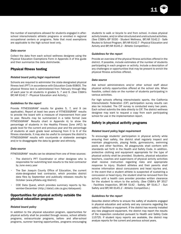11

the number of exemptions allowed for students engaged in afterschool interscholastic athletic programs or enrolled in regional occupational centers or programs. Note that most exemptions are applicable to the high school level only.

#### *Data source*

Collect the data from each school wellness designee using the Physical Education Exemptions Form in Appendix A of this guide and then summarize the data districtwide.

#### Physical fitness testing

#### *Related board policy/legal requirement*

Schools are required to administer the state-designated physical fitness test (PFT) in accordance with Education Code 60800. The physical fitness test is administered from February through May of each year to all students in grades 5, 7 and 9. (See CSBA's BP/AR 6142.7 - Physical Education and Activity.)

#### *Guidelines for the report*

Provide FITNESSGRAM<sup>®</sup> results for grades 5, 7, and 9 (as applicable). Report at least two years of FITNESSGRAM® results to provide the board with a measure of improvement from year to year. Results may be summarized in a table format (see FITNESSGRAM® Results chart in Appendix A) to show the percentage of students in the Healthy Fitness Zone (HFZ) by grade level for the current and previous year and the percentage of students at each grade level achieving from 0 to 6 of the fitness standards. It may also be useful to compare the district's FITNESSGRAM® results with countywide or statewide averages and/or to disaggregate the data by gender and ethnicity.

#### *Data source*

FITNESSGRAM<sup>®</sup> results can be obtained from one of three sources:

- The district's PFT Coordinator or other designee who is responsible for submitting test results to the test contractor by June every year
- The San Joaquin County Office of Education, the current state-designated test contractor, which provides district data files by September and publically releases results by October (www.pftdata.org/district)
- CDE Data Quest, which provides summary reports by November-December (http://data1.cde.ca.gov/dataquest)

#### Opportunities for physical activity outside the physical education program

#### *Related board policy*

In addition to the physical education program, opportunities for physical activity shall be provided through recess, school athletic programs, extracurricular programs, before- and after-school programs, summer learning opportunities, programs encouraging students to walk or bicycle to and from school, in-class physical activity breaks, and/or other structured and unstructured activities. (See CSBA's BP 5030 - Student Wellness, BP/AR 5142.2 - Safe Routes to School Program, BP/AR 6142.7 - Physical Education and Activity and BP/AR 6145.2 - Athletic Competition.)

#### *Guidelines for the report*

Provide an overview of the physical fitness activities offered in the district. If possible, include estimates of the number of students participating in each program or activity. Include a description of any challenges or opportunities that may be present to enrich the physical fitness activities offered.

#### *Data source*

Ask school administrators and/or other school staff about physical activity opportunities offered at the school site. When feasible, collect data on the number of students participating in various activities.

For high schools offering interscholastic sports, the California Interscholastic Federation (CIF) participation survey results can also be included. The CIF survey is conducted every two years. Each school submits the data directly to CIF. The district wellness designee may want to request a copy from each participating school for use in the implementation report.

#### Safety in physical activity programs

#### *Related board policy/legal requirement*

To encourage students' participation in physical activity while ensuring their safety, the district shall regularly inspect and maintain playgrounds, playing fields, gymnasiums, swimming pools and other facilities. All playgrounds shall conform with standards set forth in the Health and Safety Code. In addition, protective clothing and equipment appropriate for the type of physical activity shall be provided. Students, physical education teachers, coaches and supervisors of physical activity activities shall receive instruction regarding risks and appropriate response to injury. Student athletes and their parents shall receive information about concussions and head injuries and, in the event that a student athlete is suspected of sustaining a concussion or head injury, the student shall be removed from the activity until a health care provider provides written clearance for the student to return to the activity. (See CSBA's BP 3517 - Facilities Inspection, BP/AR 5142 - Safety, BP 5141.7 - Sun Safety and BP/AR 6145.2 - Athletic Competition.)

#### *Guidelines for the report*

Describe district efforts to ensure the safety of students engaged in physical education and activity and any concerns regarding the safety of facilities or equipment. If the district has recently installed any new playground equipment, the district may report the results of the inspection conducted pursuant to Health and Safety Code 115725. If student injury reports are available, the district may analyze reports for the current and previous school years.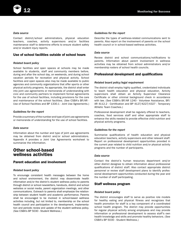

#### *Data source*

Contact district/school administrators, physical education teachers, coaches, activity supervisors and/or facilities maintenance staff to determine efforts to ensure student safety and/or student injury reports.

#### Use of school facilities outside of school hours

#### *Related board policy*

School facilities and open spaces at schools may be made available to students, staff and community members before, during and after the school day, on weekends, and during school vacation periods for recreation and physical activity. School facilities and open spaces also may be made available to public agencies and community organizations that offer sports or other physical activity programs. As appropriate, the district shall enter into joint use agreements or memoranda of understanding with civic and community partners to implement formal agreements for the use of school facilities, including provisions for the care and maintenance of the school facilities. (See CSBA's BP/AR - Use of School Facilities and BP 1330.1 - Joint Use Agreements.)

#### *Guidelines for the report*

Provide a summary of the number and type of joint use agreements or memoranda of understanding for the use of school facilities.

#### *Data source*

Information about the number and type of joint use agreements may be obtained from district and/or school administrators. Appendix A provides a Joint Use Agreements worksheet to summarize the information.

## Other school-based wellness activities

#### Parent education and involvement

#### *Related board policy*

To encourage consistent health messages between the home and school environment, the district may disseminate health information and/or the district's student wellness policy to parents through district or school newsletters, handouts, district and school websites or social media, parent organization meetings, and other communications. Outreach to parents shall emphasize the relationship between student health and academic performance. Parents shall be encouraged to be involved in school-based wellness activities including, but not limited to, membership on the school health council and participation in the development, implementation and periodic review and update of the student wellness policy. (See CSBA's BP 5030 - Student Wellness.)

#### *Guidelines for the report*

Describe the types of wellness-related communications sent to parents. Also report on the involvement of parents on the school health council or in school-based wellness activities.

#### *Data source*

Review district and school communications/notifications to parents. Information about parent involvement in wellness activities may be obtained from school administrators and/or membership rosters of school health councils.

#### Professional development and qualifications

#### *Related board policy/legal requirement*

The district shall employ highly qualified, credentialed individuals to teach health education and physical education. Activity supervisors shall obtain an Activity Supervisor Clearance Certificate or other criminal background check in accordance with law. (See CSBA's BP/AR 1240 - Volunteer Assistance, BP/ AR 4112.2 - Certification and BP 4127/4227/4327 - Temporary Athletic Team Coaches.)

Professional development shall be regularly offered to teachers, coaches, food services staff and other appropriate staff to enhance the skills needed to provide effective child nutrition and physical activity programs.

#### *Guidelines for the report*

Summarize qualifications of health education and physical education teachers, activity supervisors and other relevant staff. Report on professional development opportunities provided in the current year related to child nutrition and/or physical activity programs and the number of participants.

#### *Data source*

Contact the district's human resources department and/or other district designee to obtain information about professional qualifications of district staff. Also contact appropriate district personnel or review staff development plans to identify professional development opportunities conducted during the year and the number of staff participating.

#### Staff wellness program

#### *Related board policy*

The district encourages staff to serve as positive role models for healthy eating and physical fitness and recognizes that health promotion for staff is a key component of a coordinated school health program. The district may provide opportunities for regular physical activity among employees and may provide information or professional development to assess staff's own health knowledge and skills and promote healthy behaviors. (See CSBA's BP 5030 - Student Wellness.)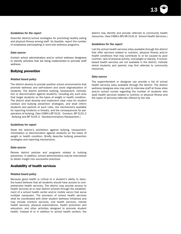

#### *Guidelines for the report*

Describe district/school strategies for promoting healthy eating and physical fitness among staff. As feasible, report the number of employees participating in work-site wellness programs.

#### *Data source*

Contact school administrators and/or school wellness designees to identify activities that are being implemented to promote staff wellness.

#### Bullying prevention

#### *Related board policy*

The district desires to provide positive school environments that promote wellness and self-esteem and avoid stigmatization of students. The district prohibits bullying, harassment, intimidation or discrimination against students, including any such acts that target students on the basis of weight or health condition. The district shall develop and implement clear rules for student conduct and bullying prevention strategies, and shall inform students and parents of such rules, the mechanisms available for reporting incidents or threats, and the consequences for perpetrators of bullying. (See CSBA's BP 5131 - Conduct, BP 5131.2 - Bullying and BP 5145.3 - Nondiscrimination/Harassment.)

#### Guidelines for report

State the district's prohibition against bullying, harassment, intimidation or discrimination against students on the basis of weight or health condition. Briefly describe bullying prevention strategies and reporting mechanisms.

#### *Data source*

Review district policies and programs related to bullying prevention. In addition, school administrators may be interviewed to obtain insight into successful practices.

#### Availability of health services

#### *Related board policy*

Because good health is critical to a student's ability to learn, the board believes that all students should have access to comprehensive health services. The district may provide access to health services at or near district schools through the establishment of a school health center and/or mobile van(s) that serve multiple campuses. The provision of school health services shall be coordinated with other student wellness initiatives and may include nutrition services, oral health services, mental health services, physical examinations, health promotion and education, and other activities designed to promote student health. Instead of or in addition to school health centers, the district may identify and provide referrals to community health resources. (See CSBA's BP/AR 5141.6 - School Health Services.)

#### *Guidelines for the report*

List the school health services sites available through the district that offer services related to nutrition, physical fitness and/or health conditions that may contribute to or be caused by poor nutrition, lack of physical activity, overweight or obesity. If schoolbased health services are not available in the district, indicate where students and parents may find referrals to community resources.

#### *Data source*

The superintendent or designee can provide a list of school health services sites available through the district. The district wellness designee also may wish to interview staff at those sites and/or school nurses regarding the number of students who seek health services related to nutrition or physical fitness and the types of services/referrals offered by the site.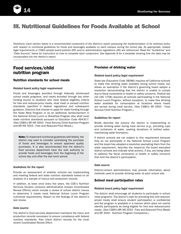

## III. Nutritional Guidelines for Foods Available at School

*Directions: Each section below is a recommended component of the district's report assessing the implementation of its wellness policy with respect to nutritional guidelines for foods and beverages available on each campus during the school day. As appropriate, related legal requirements or CSBA sample board policies (BP) and/or administrative regulations (AR) are referenced. Read the "Guidelines" and "Data Sources" below for instruction on how to complete each component. See Appendix B for a template showing how the data may be incorporated into the district's report.*

## Food services/child nutrition program

#### Nutrition standards for school meals

#### *Related board policy/legal requirement*

Foods and beverages provided through federally reimbursed school meals programs, and meals provided through any other funding source to students who meet federal eligibility criteria for free and reduced-price meals, shall meet or exceed nutrition standards specified in federal regulations and subsequent guidance. Districts that choose to apply for state funding through the State Meal Program or as an additional reimbursement in the National School Lunch or Breakfast Program also shall meet state nutrition standards pursuant to Education Code 49430.7. (See CSBA's BP/AR 3550 - Food Service/Child Nutrition Program and BP/AR 3553 - Free and Reduced Price Meals.)

Note: To implement nutritional guidelines with fidelity, the district may want to consider centralizing the purchase of foods and beverages to ensure approved quality purchases. It is also recommended that the district's food services department have the sole authority to provide foods and beverages from the beginning of the school day until after the last lunch period.

#### *Guidelines for the report*

Provide an assessment of whether schools are implementing and meeting federal and state nutrition standards based on an analysis of a sample of menus and production records.

In addition, at least once every five years, the CDE's Nutrition Services Division conducts administrative reviews (Coordinated Review Efforts) which include a review of school district menus to determine if meals meet National School Lunch Program nutritional requirements. Report on the findings of the district's last review.

#### *Data source*

The district's food services department maintains the menu and production records necessary to ensure compliance with federal nutrition standards. Also check district records for the most recent Coordinated Review Effort.

#### Provision of drinking water

#### *Related board policy/legal requirement*

State law (Education Code 38086) requires all California schools to make free drinking water available during school meals, but allows an exemption if the district's governing board adopts a resolution demonstrating that the district is unable to comply due to fiscal constraints or health or safety concerns. Federal law (42 USC 1758) requires all schools participating in the National School Lunch Program, without exception, to make free drinking water available for consumption at locations where meals are served during meal service. (See CSBA's AR 3550 - Food Service/Child Nutrition Program.)

#### *Guidelines for report*

Briefly describe the actions the district is implementing to provide drinking water during meal service (e.g., providing cups and containers of water, seeking donations of bottled water, maintaining water fountains).

If district schools are not subject to this requirement because they do not participate in the National School Lunch Program and the board has adopted a resolution exempting them from the state requirement, describe the reason(s) the board exempted district schools and indicate what actions, if any, are being taken to address the fiscal constraints or health or safety concerns that limit the district's participation.

#### *Data source*

District/school administrators may provide information about methods used to provide drinking water at each school site.

#### School meal participation rates

#### *Related board policy/legal requirement*

The district shall encourage all students to participate in school meal programs. The district's plan for providing free and reducedpriced meals shall ensure student participation is confidential and the program is available in a manner which does not overtly identify participants as being eligible for free and reduced-price meals. (See CSBA's BP/AR 3553 - Free and Reduced Price Meals and BP 3555 - Nutrition Program Compliance.)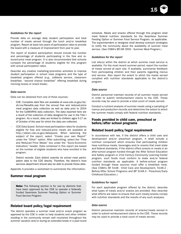

#### *Guidelines for the report*

Provide data on average daily student participation and total number of meals served through the lunch and/or breakfast program. Report at least two years of participation rates to provide the board with a measure of improvement from year to year.

The report of student participation should include the number and percentage of students participating in the free and reduced-price meal program. It is also recommended that schools compare the percentage of students eligible for this program with actual participation rates.

Describe any creative marketing/promotion activities to improve student participation in school meal programs and the type of breakfast program offered (e.g., cafeteria service, classroom breakfast, "second chance breakfast" offering breakfast during morning recess or snack break).

#### *Data source*

Data can be obtained from one of three sources:

- CDE: Complete data files are available at www.cde.ca.gov/ds/ sh/cw/filesafdc.asp from the annual free and reduced-price meal program data collection as well as data prior to 2004 for the CalWORKS data collection. The data reported here are a result of the collection of data designed for use in the Title I program. As a result, data are limited to children ages 5-17 as of October of the year for which the data are collected.
- CDE Data Quest: School meal participation rates for students eligible for free and reduced-price meals are available at http://data1.cde.ca.gov/dataquest. When selecting the subject of the report, select "Create your own Report" under the "Other" option. After submitting, select the "Free and Reduced Price Meals" box under the "Socio-Economic Indicators" header. Data contained in this report are based on the number of eligible students who have enrolled in the program.
- District records: Each district submits its school meal participation data to the CDE directly. Therefore, the district's food services department should also be able to provide these data.

Appendix A provides a worksheet to summarize the information.

#### Summer meal program

**Note:** The following section is for use by districts that have been approved by the CDE to operate a federally funded Seamless Summer Feeding Option or Summer Food Service Program.

#### Related board policy/legal requirement

The district operates a summer meal and/or snack program as approved by the CDE in order to help students and other children residing in the community remain well nourished throughout the summer vacation and/or during an extended break in a year-round schedule. Meals and snacks offered through this program shall meet federal nutrition standards for the Seamless Summer Feeding Option or Summer Food Service Program, as applicable. The superintendent or designee shall develop outreach strategies to notify the community about the availability of summer meal service. (See CSBA's BP/AR 3552 - Summer Meal Program.)

#### *Guidelines for the report*

List site(s) within the district at which summer meal service is available. For the most recent summer period, report the number of meals served at each site. If available, summarize feedback from participating children and their parents regarding menus and service. Also report the extent to which the meals served complied with nutrition standards applicable to the district's program.

#### *Data source*

District personnel maintain records of all summer meals served in order to submit reimbursement claims to the CDE. These records may be used to provide a total count of meals served.

Conduct a nutrient analysis of summer meals using a sampling of menus and production records and determine the extent to which the summer meals comply with federal nutrition standards.

#### Foods provided in child care, preschool or before/after school programs

#### Related board policy/legal requirement

In accordance with law, if the district offers a child care and development and/or preschool program, it shall include a nutrition component which ensures that participating children have nutritious meals, beverages and/or snacks that meet state and federal standards. If the district offers snacks or meals in an after-school program funded through the After School Education and Safety program or 21st Century Community Learning Center program, such foods must conform to state and/or federal nutrition standards as applicable. A before-school program funded through these sources must offer a breakfast meal. (See CSBA's AR 5148 - Child Care and Development, 5148.2 - Before/After School Programs and BP 5148.3 - Preschool/Early Childhood Education.)

#### *Guidelines for report*

For each applicable program offered by the district, describe what types of meals and/or snacks are provided. Also describe what efforts are taken to ensure that such meals/snacks comply with nutrition standards and the results of any such analyses.

#### *Data source*

District personnel maintain records of snacks/meals served in order to submit reimbursement claims to the CDE. These records may be used to provide a total count of meals served.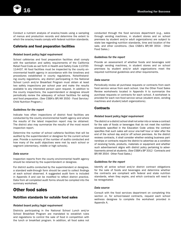Conduct a nutrient analysis of snacks/meals using a sampling of menus and production records and determine the extent to which the snacks/meals comply with federal nutrition standards.

### Cafeteria and food preparation facilities

#### *Related board policy/legal requirement*

School cafeterias and food preparation facilities shall comply with the sanitation and safety requirements of the California Retail Food Code as set forth in Health and Safety Code 113700- 114437. All food facilities must be inspected by the county environmental health agency in accordance with the timelines and procedures established in county regulations. Notwithstanding county regulations, any district participating in the National School Lunch and/or Breakfast Program must obtain at least two safety inspections per school year and make the results available to any interested person upon request. In addition to the county inspections, the superintendent or designee should periodically review the adequacy of school facilities for eating and food preparation. (See CSBA's BP/AR 3550 - Food Service/ Child Nutrition Program.)

#### *Guidelines for the report*

Indicate how often inspections of district food facilities are conducted by the county environmental health agency and where the results of the latest inspection report may be obtained. The district also may summarize the results of the most recent inspection report.

Determine the number of school cafeteria facilities that will be audited by the superintendent or designee for the current school year. Provide a summary of the number of audits conducted and how many of the audit objectives were met by each school or segment (elementary, middle or high schools).

#### *Data source*

Inspection reports from the county environmental health agency should be retained by the superintendent or designee.

For district audits conducted by the superintendent or designee, a standard walk-through form should be used to collect findings at each school observed. A suggested audit form is included in Appendix A and can be modified to reflect district practice. Data from all completed audit forms should be compiled into the summary worksheet.

## Other food sales

#### Nutrition standards for outside food sales

#### *Related board policy/legal requirement*

Districts participating in the National School Lunch and/or School Breakfast Program are mandated to establish rules and regulations to control the sale of food in competition with the lunch or breakfast program. In addition, all food sales not conducted through the food services department (e.g., sales through vending machines, in student stores and on school premises by student and/or adult organizations) are subject to state law regarding nutrition standards, time and location of the sale, and other conditions. (See CSBA's BP/AR 3554 - Other Food Sales.)

#### *Guidelines for the report*

Provide an assessment of whether foods and beverages sold through vending machines, in student stores and on school premises by student and/or adult organizations meet the required nutritional guidelines and other requirements.

#### *Data source*

Periodically review all purchase requests or contracts from each food service venue from each school. Use the Other Food Sales Review worksheets located in Appendix A to summarize the purchase requests or contracts for each school. A worksheet is provided for each non-food service venue (student store, vending machines and student/adult organizations).

#### **Contracts**

#### *Related board policy/legal requirement*

The district or a district school shall not enter into or renew a contract for the sale of foods or beverages that do not meet the nutrition standards specified in the Education Code unless the contract specifies that such sales will occur one-half hour or later after the end of the school day and/or off school premises. As the district reviews contracts, it shall consider whether existing business partnerships or contracts require the district to advertise as a condition of receiving funds, products, materials or equipment and whether such advertisement aligns with district policy pertaining to advertisements aimed at students. (See CSBA's BP 3312 - Contracts and BP/AR 3554 - Other Food Sales.)

#### *Guidelines for the report*

Identify all active school and/or district contract obligations for the sale of foods and beverages and determine whether the contracts are compliant with federal and state nutrition standards, when they expire, and which contracts will need to be renegotiated.

#### *Data source*

Consult with the food services department on completing this section or, for school-based contracts, request each school wellness designee to complete the worksheet provided in Appendix A.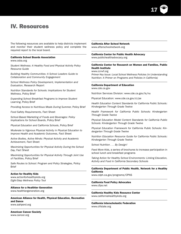# 17

## IV. Resources

The following resources are available to help districts implement and monitor their student wellness policy and complete the required report to the local board.

#### California School Boards Association

www.csba.org

*Student Wellness: A Healthy Food and Physical Activity Policy Resource Guide*

*Building Healthy Communities: A School Leaders Guide to Collaboration and Community Engagement*

*School Wellness Policy Development, Implementation and Evaluation*, Research Report

*Nutrition Standards for Schools: Implications for Student Wellness*, Policy Brief

*Expanding School Breakfast Programs to Improve Student Learning*, Policy Brief

*Providing Access to Nutritious Meals During Summer*, Policy Brief

*Food Safety Requirements*, Fact Sheet

*School-Based Marketing of Foods and Beverages: Policy Implications for School Boards*, Policy Brief

*Physical Education and California Schools*, Policy Brief

*Moderate to Vigorous Physical Activity in Physical Education to Improve Health and Academic Outcomes*, Fact Sheet

*Active Bodies, Active Minds: Physical Activity and Academic Achievement*, Fact Sheet

*Maximizing Opportunities for Physical Activity During the School Day*, Fact Sheet

*Maximizing Opportunities for Physical Activity Through Joint Use of Facilities*, Policy Brief

*Safe Routes to School: Program and Policy Strategies*, Policy Brief

#### Action for Healthy Kids

www.actionforhealthykids.org *Eight-Step Wellness Policy Tool*

#### Alliance for a Healthier Generation

www.healthiergeneration.org

American Alliance for Health, Physical Education, Recreation and Dance www.aahperd.org

American Cancer Society www.cancer.org

#### California After School Network

www.afterschoolnetwork.org

## California Center for Public Health Advocacy

www.publichealthadvocacy.org

#### California Center for Research on Women and Families, Public Health Institute

www.ccrwf.org

*Primer Key Issue: Local School Wellness Policies (*in *Understanding Nutrition: A Primer on Programs and Policies in California)*

#### California Department of Education

www.cde.ca.gov

Nutrition Services Division: www.cde.ca.gov/ls/nu

Physical Education: www.cde.ca.gov/ci/pe

*Health Education Content Standards for California Public Schools: Kindergarten Through Grade Twelve*

*Health Framework for California Public Schools: Kindergarten Through Grade Twelve*

*Physical Education Model Content Standards for California Public Schools: Kindergarten Through Grade Twelve*

*Physical Education Framework for California Public Schools: Kindergarten Through Grade Twelve*

*Nutrition Education Resource Guide for California Public Schools: Kindergarten Through Grade Twelve*

*School Nutrition . . . By Design!*

*Feed More Kids,* a series of brochures to increase participation in school lunch and breakfast programs

*Taking Action for Healthy School Environments: Linking Education, Activity and Food in California Secondary Schools*

California Department of Public Health, Network for a Healthy California

www.cdph.ca.gov/programs/CPNS

California Food Policy Advocates www.cfpa.net

California Healthy Kids Resource Center www.californiahealthykids.org

California Interscholastic Federation www.cifstate.org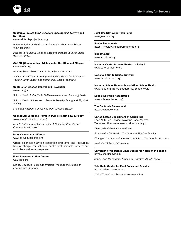

#### California Project LEAN (Leaders Encouraging Activity and Nutrition)

www.californiaprojectlean.org

*Policy in Action: A Guide to Implementing Your Local School Wellness Policy*

*Parents in Action: A Guide to Engaging Parents in Local School Wellness Policy*

#### CANFIT (Communities, Adolescents, Nutrition and Fitness) www.canfit.org

*Healthy Snack Guide for Your After School Program*

*Active8: CANFIT's 8-Step Physical Activity Guide for Adolescent Youth in After School and Community-Based Programs*

#### Centers for Disease Control and Prevention

www.cdc.gov

*School Health Index (SHI): Self-Assessment and Planning Guide*

*School Health Guidelines to Promote Healthy Eating and Physical Activity*

*Making It Happen! School Nutrition Success Stories*

#### ChangeLab Solutions (formerly Public Health Law & Policy) www.changelabsolutions.org

*How to Enforce a Wellness Policy: A Guide for Parents and Community Advocates*

#### Dairy Council of California

www.dairycouncilofca.org

Offers balanced nutrition education programs and resources, free of charge, for schools, health professionals' offices and workplace wellness programs.

#### Food Resource Action Center

*www.frac.org*

*School Wellness Policy and Practice: Meeting the Needs of Low-Income Students*

Joint Use Statewide Task Force www.jointuse.org

Kaiser Permanente https://healthy.kaiserpermanente.org

kidsdata.org www.kidsdata.org

National Center for Safe Routes to School www.saferoutesinfo.org

National Farm to School Network www.farmtoschool.org

National School Boards Association, School Health www.nsba.org/Board-Leadership/SchoolHealth

School Nutrition Association www.schoolnutrition.org

The California Endowment http://calendow.org

United States Department of Agriculture Food Nutrition Service: www.fns.usda.gov/fns

Team Nutrition: www.teamnutrition.usda.gov

*Dietary Guidelines for Americans*

*Empowering Youth with Nutrition and Physical Activity*

*Changing the Scene--Improving the School Nutrition Environment*

*HealthierUS School Challenge*

University of California Davis Center for Nutrition in Schools http://cns.ucdavis.edu

*School and Community Actions for Nutrition (SCAN) Survey*

Yale Rudd Center for Food Policy and Obesity http://yaleruddcenter.org

*WellSAT: Wellness School Assessment Tool*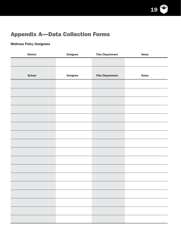

## Appendix A—Data Collection Forms

## Wellness Policy Designees

| <b>District</b> | Designee | Title/Department | <b>Notes</b>                                                                                                         |
|-----------------|----------|------------------|----------------------------------------------------------------------------------------------------------------------|
|                 |          |                  |                                                                                                                      |
|                 |          |                  |                                                                                                                      |
| School          | Designee | Title/Department | <b>Notes</b>                                                                                                         |
|                 |          |                  |                                                                                                                      |
|                 |          |                  |                                                                                                                      |
|                 |          |                  |                                                                                                                      |
|                 |          |                  |                                                                                                                      |
|                 |          |                  |                                                                                                                      |
|                 |          |                  |                                                                                                                      |
|                 |          |                  |                                                                                                                      |
|                 |          |                  |                                                                                                                      |
|                 |          |                  |                                                                                                                      |
|                 |          |                  |                                                                                                                      |
|                 |          |                  |                                                                                                                      |
|                 |          |                  |                                                                                                                      |
|                 |          |                  |                                                                                                                      |
|                 |          |                  |                                                                                                                      |
|                 |          |                  |                                                                                                                      |
|                 |          |                  |                                                                                                                      |
|                 |          |                  | <u> Andreas Andreas Andreas Andreas Andreas Andreas Andreas Andreas Andreas Andreas Andreas Andreas Andreas Andr</u> |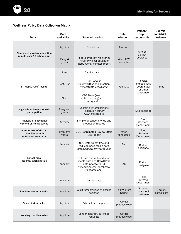

## Wellness Policy Data Collection Matrix

| Data                                                                 | Data<br>availability | Source/Location                                                                                                          | Data<br>collection          | Person/<br>Dept.<br>responsible                            | Submit<br>to district<br>designee |
|----------------------------------------------------------------------|----------------------|--------------------------------------------------------------------------------------------------------------------------|-----------------------------|------------------------------------------------------------|-----------------------------------|
|                                                                      | Any time             | District data                                                                                                            | Any time                    | Site or                                                    |                                   |
| Number of physical education<br>minutes per 10 school days           | Every 4<br>years     | <b>Federal Program Monitoring</b><br>When FPM<br>(FPM): Physical education<br>conducted<br>instructional minutes report  |                             | district<br>designee                                       |                                   |
|                                                                      | June                 | District data                                                                                                            |                             |                                                            |                                   |
| <b>FITNESSGRAM<sup>®</sup></b> results                               | Sept.-Oct.           | San Joaquin<br>County Office of Education<br>www.pftdata.org/district                                                    | Feb.-May                    | Physical<br><b>Fitness Test</b><br>Coordinator<br>or other | May                               |
|                                                                      | Nov.                 | <b>CDE Data Quest</b><br>data1.cde.ca.gov/<br>dataquest                                                                  |                             | designee                                                   |                                   |
| High school interscholastic<br>participation                         | Every two<br>years   | California Interscholastic<br>Federation survey<br>www.cifstate.org                                                      |                             | Site designee                                              |                                   |
| Analysis of nutritional<br>content of meals served                   | Any time             | Sample of school menus and<br>production records                                                                         |                             | Food<br><b>Services</b><br>Department                      |                                   |
| State review of district<br>compliance with<br>nutritional standards | Every five<br>years  | <b>CDE Coordinated Review Effort</b><br>(CRE) report                                                                     | When<br>conducted           | Food<br><b>Services</b><br>Department                      |                                   |
|                                                                      | Annually             | CDE Data Quest free and<br>reduced-price meals data<br>data1.cde.ca.gov/dataquest                                        | Fall                        | <b>District</b><br>designee                                |                                   |
| School meal<br>program participation                                 | Annually             | CDE free and reduced-price<br>meals data and CalWORKS<br>data prior to 2004<br>www.cde.ca.gov/ds/sh/cw/<br>filesafdc.asp | Jan.                        | District<br>designee                                       |                                   |
|                                                                      | Any time             | District data                                                                                                            |                             | Food<br>Services<br>Department                             |                                   |
| Random cafeteria audits                                              | Any time             | Audit form provided by district<br>designee                                                                              | Fall/Winter/<br>Spring      | <b>District</b><br>or school<br>designee                   | $x$ date/ $x$<br>date/x date      |
| <b>Student store sales</b>                                           | Any time             | Site sales receipts                                                                                                      | July (for<br>previous year) |                                                            |                                   |
| Vending machine sales                                                | Any time             | Vendor contract/purchase<br>requests                                                                                     | July (for<br>previous year) |                                                            |                                   |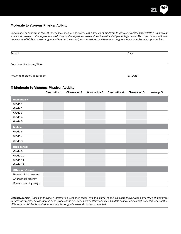

### Moderate to Vigorous Physical Activity

Directions: *For each grade level at your school, observe and estimate the amount of moderate to vigorous physical activity (MVPA) in physical education classes on five separate occasions or in five separate classes. Enter the estimated percentage below. Also observe and estimate the amount of MVPA in other programs offered at the school, such as before- or after-school programs or summer learning opportunities.*

| School                        | Date      |
|-------------------------------|-----------|
| Completed by (Name/Title)     |           |
| Return to (person/department) | by (Date) |

#### % Moderate to Vigorous Physical Activity

|                         | Observation 1 | <b>Observation 2</b> | <b>Observation 3</b> | Observation 4 | <b>Observation 5</b> | Average % |
|-------------------------|---------------|----------------------|----------------------|---------------|----------------------|-----------|
| <b>Elementary</b>       |               |                      |                      |               |                      |           |
| Grade 1                 |               |                      |                      |               |                      |           |
| Grade 2                 |               |                      |                      |               |                      |           |
| Grade 3                 |               |                      |                      |               |                      |           |
| Grade 4                 |               |                      |                      |               |                      |           |
| Grade 5                 |               |                      |                      |               |                      |           |
| <b>Middle</b>           |               |                      |                      |               |                      |           |
| Grade 6                 |               |                      |                      |               |                      |           |
| Grade 7                 |               |                      |                      |               |                      |           |
| Grade 8                 |               |                      |                      |               |                      |           |
| <b>High school</b>      |               |                      |                      |               |                      |           |
| Grade 9                 |               |                      |                      |               |                      |           |
| Grade 10                |               |                      |                      |               |                      |           |
| Grade 11                |               |                      |                      |               |                      |           |
| Grade 12                |               |                      |                      |               |                      |           |
| <b>Other programs:</b>  |               |                      |                      |               |                      |           |
| Before-school program   |               |                      |                      |               |                      |           |
| After-school program    |               |                      |                      |               |                      |           |
| Summer learning program |               |                      |                      |               |                      |           |

District Summary: *Based on the above information from each school site, the district should calculate the average percentage of moderate to vigorous physical activity across each grade spans (i.e., for all elementary schools, all middle schools and all high schools). Any notable differences in MVPA for individual school sites or grade levels should also be noted.*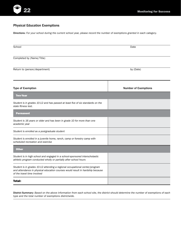

### Physical Education Exemptions

Directions: *For your school during the current school year, please record the number of exemptions granted in each category.* 

| Date                        |
|-----------------------------|
|                             |
| by (Date)                   |
| <b>Number of Exemptions</b> |
|                             |
|                             |
|                             |
|                             |
|                             |
|                             |
|                             |
|                             |
|                             |
|                             |
|                             |

District Summary: *Based on the above information from each school site, the district should determine the number of exemptions of each type and the total number of exemptions districtwide.*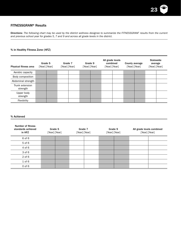

### FITNESSGRAM® Results

Directions: *The following chart may be used by the district wellness designee to summarize the FITNESSGRAM® results from the current and previous school year for grades 5, 7 and 9 and across all grade levels in the district.*

#### % in Healthy Fitness Zone (HFZ)

| <b>Physical fitness area</b> | Grade 5<br>[Year] [Year] | Grade 7 | [Year] [Year] | Grade 9<br>[Year] [Year] | All grade levels<br>combined<br>[Year] [Year] | County average<br>[Year] [Year] | <b>Statewide</b><br>average<br>[Year] [Year] |  |
|------------------------------|--------------------------|---------|---------------|--------------------------|-----------------------------------------------|---------------------------------|----------------------------------------------|--|
| Aerobic capacity             |                          |         |               |                          |                                               |                                 |                                              |  |
| Body composition             |                          |         |               |                          |                                               |                                 |                                              |  |
| Abdominal strength           |                          |         |               |                          |                                               |                                 |                                              |  |
| Trunk extension<br>strength  |                          |         |               |                          |                                               |                                 |                                              |  |
| Upper body<br>strength       |                          |         |               |                          |                                               |                                 |                                              |  |
| Flexibility                  |                          |         |               |                          |                                               |                                 |                                              |  |

#### % Achieved

| <b>Number of fitness</b><br>standards achieved<br>in HFZ | Grade 5<br>[Year] [Year] | Grade 7<br>[Year] [Year] | Grade 9<br>[Year] [Year] | All grade levels combined<br>[Year] [Year] |
|----------------------------------------------------------|--------------------------|--------------------------|--------------------------|--------------------------------------------|
| 6 of 6                                                   |                          |                          |                          |                                            |
| $5$ of $6$                                               |                          |                          |                          |                                            |
| 4 of 6                                                   |                          |                          |                          |                                            |
| 3 of 6                                                   |                          |                          |                          |                                            |
| $2$ of $6$                                               |                          |                          |                          |                                            |
| $1$ of $6$                                               |                          |                          |                          |                                            |
| $0$ of $6$                                               |                          |                          |                          |                                            |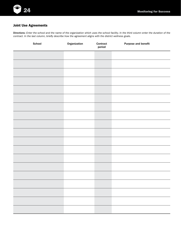

### Joint Use Agreements

Directions: *Enter the school and the name of the organization which uses the school facility. In the third column enter the duration of the contract. In the last column, briefly describe how the agreement aligns with the district wellness goals.*

| School | Organization | Contract<br>period | Purpose and benefit |
|--------|--------------|--------------------|---------------------|
|        |              |                    |                     |
|        |              |                    |                     |
|        |              |                    |                     |
|        |              |                    |                     |
|        |              |                    |                     |
|        |              |                    |                     |
|        |              |                    |                     |
|        |              |                    |                     |
|        |              |                    |                     |
|        |              |                    |                     |
|        |              |                    |                     |
|        |              |                    |                     |
|        |              |                    |                     |
|        |              |                    |                     |
|        |              |                    |                     |
|        |              |                    |                     |
|        |              |                    |                     |
|        |              |                    |                     |
|        |              |                    |                     |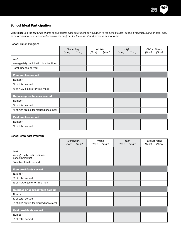

### School Meal Participation

Directions: *Use the following charts to summarize data on student participation in the school lunch, school breakfast, summer meal and/ or before-school or after-school snack/meal program for the current and previous school years.* 

#### School Lunch Program

|                                             | [Year] | Middle<br>High<br>Elementary<br>[Year]<br>[Year]<br>[Year]<br>[Year]<br>[Year] |  | <b>District Totals</b><br>[Year]<br>[Year] |  |  |  |  |
|---------------------------------------------|--------|--------------------------------------------------------------------------------|--|--------------------------------------------|--|--|--|--|
| ADA                                         |        |                                                                                |  |                                            |  |  |  |  |
| Average daily participation in school lunch |        |                                                                                |  |                                            |  |  |  |  |
| Total lunches served                        |        |                                                                                |  |                                            |  |  |  |  |
| <b>Free lunches served</b>                  |        |                                                                                |  |                                            |  |  |  |  |
| Number                                      |        |                                                                                |  |                                            |  |  |  |  |
| % of total served                           |        |                                                                                |  |                                            |  |  |  |  |
| % of ADA eligible for free meal             |        |                                                                                |  |                                            |  |  |  |  |
| <b>Reduced-price lunches served</b>         |        |                                                                                |  |                                            |  |  |  |  |
| Number                                      |        |                                                                                |  |                                            |  |  |  |  |
| % of total served                           |        |                                                                                |  |                                            |  |  |  |  |
| % of ADA eligible for reduced-price meal    |        |                                                                                |  |                                            |  |  |  |  |
| <b>Paid lunches served</b>                  |        |                                                                                |  |                                            |  |  |  |  |
| Number                                      |        |                                                                                |  |                                            |  |  |  |  |
| % of total served                           |        |                                                                                |  |                                            |  |  |  |  |

#### School Breakfast Program

|                                                    | [Year] | Elementary<br>[Year] |  | Middle<br>[Year]<br>[Year] |  | High<br>[Year]<br>[Year] |  | <b>District Totals</b><br>[Year] |
|----------------------------------------------------|--------|----------------------|--|----------------------------|--|--------------------------|--|----------------------------------|
| ADA                                                |        |                      |  |                            |  |                          |  |                                  |
| Average daily participation in<br>school breakfast |        |                      |  |                            |  |                          |  |                                  |
| Total breakfasts served                            |        |                      |  |                            |  |                          |  |                                  |
| <b>Free breakfasts served</b>                      |        |                      |  |                            |  |                          |  |                                  |
| Number                                             |        |                      |  |                            |  |                          |  |                                  |
| % of total served                                  |        |                      |  |                            |  |                          |  |                                  |
| % of ADA eligible for free meal                    |        |                      |  |                            |  |                          |  |                                  |
| Reduced-price breakfasts served                    |        |                      |  |                            |  |                          |  |                                  |
| Number                                             |        |                      |  |                            |  |                          |  |                                  |
| % of total served                                  |        |                      |  |                            |  |                          |  |                                  |
| % of ADA eligible for reduced-price meal           |        |                      |  |                            |  |                          |  |                                  |
| <b>Paid breakfasts served</b>                      |        |                      |  |                            |  |                          |  |                                  |
| Number                                             |        |                      |  |                            |  |                          |  |                                  |
| % of total served                                  |        |                      |  |                            |  |                          |  |                                  |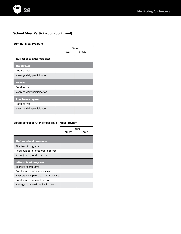

## School Meal Participation (continued)

#### Summer Meal Program

|                             | <b>Totals</b> |        |  |  |  |
|-----------------------------|---------------|--------|--|--|--|
|                             | [Year]        | [Year] |  |  |  |
| Number of summer meal sites |               |        |  |  |  |
| <b>Breakfasts</b>           |               |        |  |  |  |
| Total served                |               |        |  |  |  |
| Average daily participation |               |        |  |  |  |
| <b>Snacks</b>               |               |        |  |  |  |
| Total served                |               |        |  |  |  |
| Average daily participation |               |        |  |  |  |
| <b>Lunches/suppers</b>      |               |        |  |  |  |
| <b>Total served</b>         |               |        |  |  |  |
| Average daily participation |               |        |  |  |  |

#### Before-School or After-School Snack/Meal Program

|                                       | Year | Totals<br><i><u> Yearle</u></i> |
|---------------------------------------|------|---------------------------------|
| <b>Before-school programs</b>         |      |                                 |
| Number of programs                    |      |                                 |
| Total number of breakfasts served     |      |                                 |
| Average daily participation           |      |                                 |
| <b>After-school programs</b>          |      |                                 |
| Number of programs                    |      |                                 |
| Total number of snacks served         |      |                                 |
| Average daily participation in snacks |      |                                 |
| Total number of meals served          |      |                                 |
| Average daily participation in meals  |      |                                 |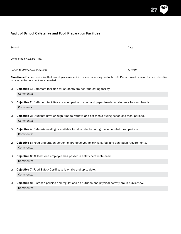

## Audit of School Cafeterias and Food Preparation Facilities

| School | Date                                                                                                                                                                              |
|--------|-----------------------------------------------------------------------------------------------------------------------------------------------------------------------------------|
|        | Completed by (Name/Title)                                                                                                                                                         |
|        | Return to (Person/Department)<br>by (Date)                                                                                                                                        |
|        | Directions: For each objective that is met, place a check in the corresponding box to the left. Please provide reason for each objective<br>not met in the comment area provided. |
| $\Box$ | Objective 1: Bathroom facilities for students are near the eating facility.                                                                                                       |
|        | Comments:                                                                                                                                                                         |
| ❏      | Objective 2: Bathroom facilities are equipped with soap and paper towels for students to wash hands.<br>Comments:                                                                 |
| $\Box$ | Objective 3: Students have enough time to retrieve and eat meals during scheduled meal periods.<br>Comments:                                                                      |
| ❏      | Objective 4: Cafeteria seating is available for all students during the scheduled meal periods.<br>Comments:                                                                      |
| $\Box$ | <b>Objective 5:</b> Food preparation personnel are observed following safety and sanitation requirements.<br>Comments:                                                            |
| $\Box$ | Objective 6: At least one employee has passed a safety certificate exam.<br>Comments:                                                                                             |
| $\Box$ | <b>Objective 7:</b> Food Safety Certificate is on file and up to date.<br>Comments:                                                                                               |
| $\Box$ | <b>Objective 8:</b> District's policies and regulations on nutrition and physical activity are in public view.<br>Comments:                                                       |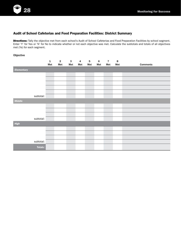

### Audit of School Cafeterias and Food Preparation Facilities: District Summary

Directions: Tally the objective met from each school's Audit of School Cafeterias and Food Preparation Facilities by school segment. Enter 'Y' for Yes or 'N' for No to indicate whether or not each objective was met. Calculate the subtotals and totals of all objectives met (Ys) for each segment.

#### Objective

|                   |                | $\mathbf 1$ | $\overline{\mathbf{2}}$ | $\mathbf 3$ | $\overline{\mathbf{4}}$ | ${\bf 5}$ | $\bf 6$ | $\overline{7}$ | $\bf8$ |                 |
|-------------------|----------------|-------------|-------------------------|-------------|-------------------------|-----------|---------|----------------|--------|-----------------|
|                   |                | Met         | Met                     | Met         | Met                     | Met       | Met     | Met            | Met    | <b>Comments</b> |
| <b>Elementary</b> |                |             |                         |             |                         |           |         |                |        |                 |
|                   |                |             |                         |             |                         |           |         |                |        |                 |
|                   |                |             |                         |             |                         |           |         |                |        |                 |
|                   |                |             |                         |             |                         |           |         |                |        |                 |
|                   |                |             |                         |             |                         |           |         |                |        |                 |
|                   |                |             |                         |             |                         |           |         |                |        |                 |
|                   | subtotal:      |             |                         |             |                         |           |         |                |        |                 |
| <b>Middle</b>     |                |             |                         |             |                         |           |         |                |        |                 |
|                   |                |             |                         |             |                         |           |         |                |        |                 |
|                   |                |             |                         |             |                         |           |         |                |        |                 |
|                   |                |             |                         |             |                         |           |         |                |        |                 |
|                   | subtotal:      |             |                         |             |                         |           |         |                |        |                 |
| High              |                |             |                         |             |                         |           |         |                |        |                 |
|                   |                |             |                         |             |                         |           |         |                |        |                 |
|                   |                |             |                         |             |                         |           |         |                |        |                 |
|                   |                |             |                         |             |                         |           |         |                |        |                 |
|                   | subtotal:      |             |                         |             |                         |           |         |                |        |                 |
|                   | <b>Totals:</b> |             |                         |             |                         |           |         |                |        |                 |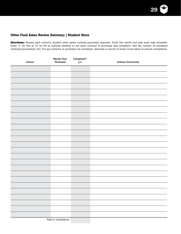

### Other Food Sales Review Summary | Student Store

Total in compliance:

Directions: Review each school's student store sales contract/purchase requests. Enter the month and year each was reviewed. Enter 'Y' for Yes or 'N' for No to indicate whether or not each contract or purchase was compliant. Add the number of compliant contracts/purchases (Ys). For any contract or purchase not compliant, describe a course of action to be taken to ensure compliance.

| School | Month/Year<br>Reviewed | Compliant?<br>y/n | Actions/Comments |
|--------|------------------------|-------------------|------------------|
|        |                        |                   |                  |
|        |                        |                   |                  |
|        |                        |                   |                  |
|        |                        |                   |                  |
|        |                        |                   |                  |
|        |                        |                   |                  |
|        |                        |                   |                  |
|        |                        |                   |                  |
|        |                        |                   |                  |
|        |                        |                   |                  |
|        |                        |                   |                  |
|        |                        |                   |                  |
|        |                        |                   |                  |
|        |                        |                   |                  |
|        |                        |                   |                  |
|        |                        |                   |                  |
|        |                        |                   |                  |
|        |                        |                   |                  |
|        |                        |                   |                  |
|        |                        |                   |                  |
|        |                        |                   |                  |
|        |                        |                   |                  |
|        |                        |                   |                  |
|        |                        |                   |                  |
|        |                        |                   |                  |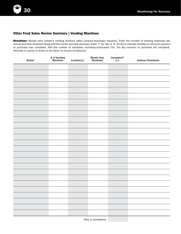### Other Food Sales Review Summary | Vending Machines

Directions: Review each school's vending machine sales contract/purchase requests. Enter the number of vending machines per school and their locations along with the month and year reviewed. Enter 'Y' for Yes or 'N' for No to indicate whether or not each contract or purchase was compliant. Add the number of compliant contracts/purchases (Ys). For any contract or purchase not compliant, describe a course of action to be taken to ensure compliance.

| School   | # of Vending<br>Machines | Location(s) | Month/Year<br>Reviewed | Compliant?<br>$y/n$ | Actions/Comments |
|----------|--------------------------|-------------|------------------------|---------------------|------------------|
|          |                          |             |                        |                     |                  |
|          |                          |             |                        |                     |                  |
|          |                          |             |                        |                     |                  |
|          |                          |             |                        |                     |                  |
|          |                          |             |                        |                     |                  |
|          |                          |             |                        |                     |                  |
|          |                          |             |                        |                     |                  |
|          |                          |             |                        |                     |                  |
|          |                          |             |                        |                     |                  |
|          |                          |             |                        |                     |                  |
|          |                          |             |                        |                     |                  |
|          |                          |             |                        |                     |                  |
|          |                          |             |                        |                     |                  |
|          |                          |             |                        |                     |                  |
|          |                          |             |                        |                     |                  |
|          |                          |             |                        |                     |                  |
|          |                          |             |                        |                     |                  |
|          |                          |             |                        |                     |                  |
|          |                          |             |                        |                     |                  |
|          |                          |             |                        |                     |                  |
|          |                          |             |                        |                     |                  |
|          |                          |             |                        |                     |                  |
|          |                          |             |                        |                     |                  |
|          |                          |             |                        |                     |                  |
| $\equiv$ |                          |             |                        |                     |                  |

Total in compliance: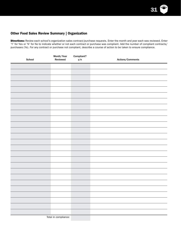

### Other Food Sales Review Summary | Organization

Directions: Review each school's organization sales contract/purchase requests. Enter the month and year each was reviewed. Enter 'Y' for Yes or 'N' for No to indicate whether or not each contract or purchase was compliant. Add the number of compliant contracts/ purchases (Ys). For any contract or purchase not compliant, describe a course of action to be taken to ensure compliance.

| School | Month/Year<br>Reviewed | Compliant?<br>y/n | Actions/Comments |
|--------|------------------------|-------------------|------------------|
|        |                        |                   |                  |
|        |                        |                   |                  |
|        |                        |                   |                  |
|        |                        |                   |                  |
|        |                        |                   |                  |
|        |                        |                   |                  |
|        |                        |                   |                  |
|        |                        |                   |                  |
|        |                        |                   |                  |
|        |                        |                   |                  |
|        |                        |                   |                  |
|        |                        |                   |                  |
|        |                        |                   |                  |
|        |                        |                   |                  |
|        |                        |                   |                  |
|        |                        |                   |                  |
|        |                        |                   |                  |
|        |                        |                   |                  |
|        |                        |                   |                  |
|        |                        |                   |                  |
|        |                        |                   |                  |
|        |                        |                   |                  |
|        |                        |                   |                  |
|        |                        |                   |                  |
|        |                        |                   |                  |
|        |                        |                   |                  |

Total in compliance: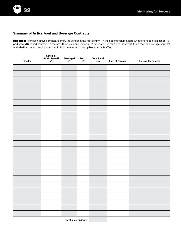### Summary of Active Food and Beverage Contracts

Directions: For each active contract, identify the vendor in the first column. In the second column, note whether or not it is a school (S) or district (D) based contract. In the next three columns, enter a 'Y' for Yes or 'N' for No to identify if it is a food or beverage contract and whether the contract is compliant. Add the number of compliant contracts (Ys).

| Vendor | School or<br>district based?<br>s/d | Beverage?<br>$y/n$ | Food?<br>y/n | Compliant?<br>$y/n$ | <b>Term of Contract</b> | Actions/Comments |
|--------|-------------------------------------|--------------------|--------------|---------------------|-------------------------|------------------|
|        |                                     |                    |              |                     |                         |                  |
|        |                                     |                    |              |                     |                         |                  |
|        |                                     |                    |              |                     |                         |                  |
|        |                                     |                    |              |                     |                         |                  |
|        |                                     |                    |              |                     |                         |                  |
|        |                                     |                    |              |                     |                         |                  |
|        |                                     |                    |              |                     |                         |                  |
|        |                                     |                    |              |                     |                         |                  |
|        |                                     |                    |              |                     |                         |                  |
|        |                                     |                    |              |                     |                         |                  |
|        |                                     |                    |              |                     |                         |                  |
|        |                                     |                    |              |                     |                         |                  |
|        |                                     |                    |              |                     |                         |                  |
|        |                                     |                    |              |                     |                         |                  |
|        |                                     |                    |              |                     |                         |                  |
|        |                                     |                    |              |                     |                         |                  |
|        |                                     |                    |              |                     |                         |                  |
|        |                                     |                    |              |                     |                         |                  |
|        |                                     |                    |              |                     |                         |                  |
|        |                                     |                    |              |                     |                         |                  |
|        |                                     |                    |              |                     |                         |                  |
|        |                                     |                    |              |                     |                         |                  |
|        |                                     |                    |              |                     |                         |                  |
|        |                                     |                    |              |                     |                         |                  |
|        |                                     |                    |              |                     |                         |                  |
|        |                                     |                    |              |                     |                         |                  |
|        |                                     |                    |              |                     |                         |                  |

Total in compliance: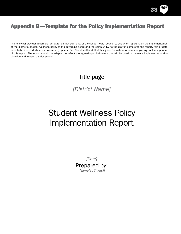

## Appendix B—Template for the Policy Implementation Report

The following provides a sample format for district staff and/or the school health council to use when reporting on the implementation of the district's student wellness policy to the governing board and the community. As the district completes the report, text or data need to be inserted wherever brackets [ ] appear. See Chapters II and III of this guide for instructions for completing each component of this report. The report should be adapted to reflect the agreed-upon indicators that will be used to measure implementation districtwide and in each district school.

## Title page

*[District Name]*

# Student Wellness Policy Implementation Report

*[Date]* Prepared by: *[Name(s), Title(s)]*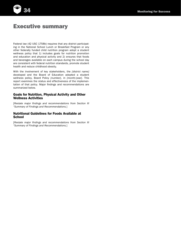

## Executive summary

Federal law (42 USC 1758b) requires that any district participating in the National School Lunch or Breakfast Program or any other federally funded child nutrition program adopt a student wellness policy that 1) includes goals for nutrition promotion and education and physical activity and 2) ensures that foods and beverages available on each campus during the school day are consistent with federal nutrition standards, promote student health and reduce childhood obesity.

With the involvement of key stakeholders, the *[district name]* developed and the Board of Education adopted a student wellness policy, Board Policy *[number]*, in *[month/year]*. This report examines the status and effectiveness of the implementation of that policy. Major findings and recommendations are summarized below.

#### Goals for Nutrition, Physical Activity and Other Wellness Activities

[*Restate major findings and recommendations from Section III "Summary of Findings and Recommendations.*]

#### Nutritional Guidelines for Foods Available at **School**

[*Restate major findings and recommendations from Section III "Summary of Findings and Recommendations.*]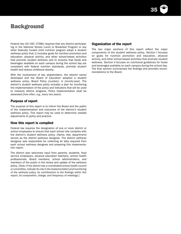

## **Background**

Federal law (42 USC 1758b) requires that any district participating in the National School Lunch or Breakfast Program or any other federally funded child nutrition program adopt a student wellness policy that 1) includes goals for nutrition promotion and education, physical activity, and other school-based activities that promote student wellness and 2) ensures that foods and beverages available on each campus during the school day are consistent with federal nutrition standards, promote student health and reduce childhood obesity.

With the involvement of key stakeholders, the *[district name]* developed and the Board of Education adopted a student wellness policy, Board Policy *[number]*, in *[month/year]*. The district's student wellness policy includes a plan for monitoring the implementation of the policy and indicators that will be used to measure district progress. Policy implementation shall be assessed *[how often, e.g., every two years]*.

#### Purpose of report

The purpose of this report is to inform the Board and the public of the implementation and outcomes of the district's student wellness policy. This report may be used to determine needed adjustments to policy and practice.

#### How this report is compiled

Federal law requires the designation of one or more district or school employees to ensure that each school site complies with the district's student wellness policy. *[Name, title, department]* serves as the district wellness designee. The district wellness designee was responsible for collecting all data required from each school wellness designee and preparing this implementation report.

The district also welcomes input from parents, students, food service employees, physical education teachers, school health professionals, Board members, school administrators, and members of the public in the review and update of the wellness policy. *[Note: If the district has a coordinated school health council or committee, indicate its role in the implementation and monitoring of the wellness policy, its contributions to the findings within this report, its composition, charge, and frequency of meetings.]*

#### Organization of the report

The two major sections of this report reflect the major components of the student wellness policy. Section I focuses on goals for nutrition promotion and education, physical activity, and other school-based activities that promote student wellness. Section II focuses on nutritional guidelines for foods and beverages available on each campus during the school day. The final section summarizes the findings and provides recommendations to the Board.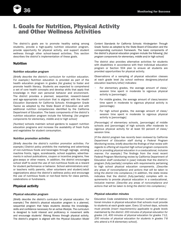

# I. Goals for Nutrition, Physical Activity and Other Wellness Activities

The district's goals are to promote healthy eating among students, provide a high-quality nutrition education program, provide opportunity for physical activity, and support student wellness through other school-based activities. This section describes the district's implementation of these goals.

### **Nutrition**

#### *Nutrition education program*

*[Briefly describe the district's curriculum for nutrition education. For example:]* Nutrition education is provided as part of the health education program in grades *[list grades]* to foster and promote health literacy. Students are expected to comprehend a set of core health concepts and develop skills that apply that knowledge in their own personal behavior and environment. The district provides a planned, sequential, research-based and age-appropriate curriculum that is aligned with the *Health Education Standards for California Schools: Kindergarten Grade Twelve* as adopted by the State Board of Education and with additional nutrition competencies identified by the California Department of Education. The basic components of the district's nutrition education program include the following: *[list program components for elementary, middle and/or high school]*

*[Number]* schools maintain school gardens to support nutrition education programs and increase the availability of fresh fruits and vegetables for student consumption.

#### *Nutrition promotion activities*

*[Briefly describe the district's nutrition promotion activities. For example:]* District policy prohibits the marketing and advertising of non-nutritious foods and beverages through signage, vending machine fronts, logos, scoreboards, school supplies, advertisements in school publications, coupon or incentive programs, free give-aways or other means. In addition, the district encourages school staff to avoid the use of non-nutritious foods as a reward for student performance or behavior. School administrators and/ or teachers notify parents, other volunteers and student/adult organizations about the district's wellness policy and encourage the use of nutritious foods or non-food items for class parties, celebrations or fundraisers.

### Physical activity

#### *Physical education program*

*[Briefly describe the district's curriculum for physical education. For example:]* The district's physical education program is a planned, sequential program that helps students develop the knowledge, skills and confidence necessary for an active lifestyle. The curriculum is designed to build interest and proficiency in movement skills and encourage students' lifelong fitness through physical activity. The district's program is aligned with the *Physical Education Model* 

*Content Standards for California Schools: Kindergarten Through Grade Twelve* as adopted by the State Board of Education and the corresponding curriculum framework. The basic components of the district's physical education program include the following: *[list program components for elementary, middle and/or high school]*

The district also provides alternative activities for students with disabilities in accordance with their individual education program or Section 504 plan to ensure all students are provided opportunities for physical activity.

Observations of a sampling of physical education classes at each grade level *[by school wellness designees/physical education teachers/other]* indicates:

- For elementary grades, the average amount of class/ session time spent in moderate to vigorous physical activity is *[percentage]*.
- For middle grades, the average amount of class/session time spent in moderate to vigorous physical activity is *[percentage]*.
- For high school grades, the average amount of class/ session time spent in moderate to vigorous physical activity is *[percentage]*.

*[Percentage]* of elementary schools, *[percentage]* of middle schools and *[percentage]* of high schools offer moderate to vigorous physical activity for at least 50 percent of class/ session time.

*[If the district program has recently been reviewed by California Department of Education staff during a Federal Program Monitoring review, briefly describe the findings of that review with regards to offering all required high school program components and/or providing physical education in a coeducational, inclusive manner. For example:]* The findings from the most recent Federal Program Monitoring review by California Department of Education staff conducted in *[year]* indicate that the district's program *[fully/partially]* complies with requirements pertaining to high school physical education components. *[Describe any areas of noncompliance and actions that will be taken to bring the district into compliance.]* In addition, the state review indicates that the district *[fully/partially]* complies with requirements to provide physical education in a coeducational, inclusive manner. *[Describe any areas of noncompliance and actions that will be taken to bring the district into compliance.]*

#### *Physical education minutes*

Education Code establishes the minimum number of instructional minutes in physical education that schools must provide to students at each grade span. Every 10 school days, schools must provide *[insert requirement(s) applicable to grade levels maintained by the district: 200 minutes of physical education for grades 1-6, 400 minutes of physical education for grades 7-12, 200 minutes of physical education for students in grades 7-8 who attend a K-8 elementary school]*.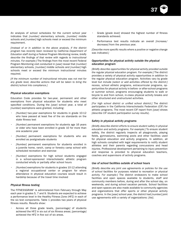37

An analysis of school schedules for the current school year indicates that *[number]* elementary schools, *[number]* middle schools and *[number]* high schools meet or exceed the minimum requirement.

*[Instead of or in addition to the above analysis, if the district program has recently been reviewed by California Department of Education staff during a Federal Program Monitoring review, briefly describe the findings of that review with regards to instructional minutes. For example:]* The findings from the most recent Federal Program Monitoring visit conducted in *[year]* reveal that *[number]* elementary schools, *[number]* middle schools and *[number]* high schools meet or exceed the minimum instructional minutes required.

*[If the minimum number of instructional minutes was not met for any grade level, describe actions that will be taken to bring the district/school into compliance.]*

#### *Physical education exemptions*

Education Code provides for two-year, permanent and other exemptions from physical education for students who meet specified conditions. During the *[year]* school year, a total of *[number]* exemptions were granted, including:

- *[Number]* two-year exemptions for students in grade 10-12 who have passed at least five of the six standards on the state fitness test
- [Number] permanent exemptions for students age 16 years or older who have been enrolled in grade 10 for more than one academic year
- [Number] permanent exemptions for students who are enrolled as postgraduate students
- [Number] permanent exemptions for students enrolled in a juvenile home, ranch, camp or forestry camp school with scheduled recreation and exercise
- [Number] exemptions for high school students engaged in a school-sponsored interscholastic athletic program conducted wholly or partially after school hours
- [Number] exemptions for students in grades 10-12 attending a regional occupational center or program for whom attendance in physical education courses would result in hardship because of the travel time involved

#### *Physical fitness testing*

The FITNESSGRAM*®* is administered from February through May each year in grades 5, 7 and 9. Students are expected to achieve a performance level in the Healthy Fitness Zone (HFZ) in each of the six test components. Table 1 provides two years of physical fitness results. Results show:

Across all three grade levels, [percentage] of students achieved the HFZ in six out of six fitness areas; *[percentage]* achieved the HFZ in five out of six areas.

- Grade *[grade level]* showed the highest number of fitness standards achieved.
- Performance test results indicate an overall *[increase/ decrease]* from the previous year.

*[Describe more specific results where a positive or negative change was indicated.]*

#### *Opportunities for physical activity outside the physical education program*

*[Briefly describe opportunities for physical activity provided outside the regular physical education program. For example:]* The district provides a variety of physical activity opportunities in addition to the regular physical education program. Activities vary by grade level but include *[select or add activities offered by the district:]*  recess, school athletic programs, extracurricular programs, opportunities for physical activity in before- or after-school programs or summer school, programs encouraging students to walk or bicycle to and from school, in-class physical activity breaks and other structured and unstructured activities.

*[For high school district or unified school district:]* The district participates in the California Interscholastic Federation (CIF) for athletic programs. The most recent CIF report from *[year]* shows *[describe CIF student participation survey results]*.

#### *Safety in physical activity programs*

*[Briefly describe district efforts to ensure student safety in physical education and activity programs. For example:]* To ensure student safety, the district regularly inspects all playgrounds, playing fields, gymnasiums, swimming pools and other facilities used for physical education and activity programs. In addition, all high schools complied with legal requirements to notify student athletes and their parents regarding concussions and head injuries. Professional development pertaining to injury prevention and response is provided to physical education teachers, coaches and supervisors of activity programs.

#### *Use of school facilities outside of school hours*

*[Briefly describe any joint use agreements or policies for the use of school facilities for purposes related to recreation or physical activity. For example:]* The district endeavors to make school facilities and open spaces available to students, staff and community members before, during and after the school day, on weekends, and during school vacation periods. School facilities and open spaces are also made available to community agencies and organizations that offer sports or other physical activity programs. In the *[year]* school year, the district had *[number]* joint use agreements with a variety of organizations: *[list]*.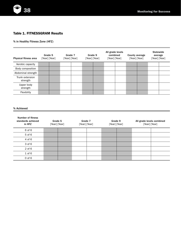

### Table 1. FITNESSGRAM Results

% in Healthy Fitness Zone (HFZ)

| Physical fitness area       | Grade 5<br>[Year] [Year] |  | Grade 7<br>[Year] [Year] |  | Grade 9<br>[Year] [Year] |  | All grade levels<br>combined<br>[Year] [Year] |  | County average<br>[Year] [Year] |  | <b>Statewide</b><br>average<br>[Year] [Year] |  |
|-----------------------------|--------------------------|--|--------------------------|--|--------------------------|--|-----------------------------------------------|--|---------------------------------|--|----------------------------------------------|--|
| Aerobic capacity            |                          |  |                          |  |                          |  |                                               |  |                                 |  |                                              |  |
| Body composition            |                          |  |                          |  |                          |  |                                               |  |                                 |  |                                              |  |
| Abdominal strength          |                          |  |                          |  |                          |  |                                               |  |                                 |  |                                              |  |
| Trunk extension<br>strength |                          |  |                          |  |                          |  |                                               |  |                                 |  |                                              |  |
| Upper body<br>strength      |                          |  |                          |  |                          |  |                                               |  |                                 |  |                                              |  |
| Flexibility                 |                          |  |                          |  |                          |  |                                               |  |                                 |  |                                              |  |

#### % Achieved

| Number of fitness<br>standards achieved<br>in HFZ | Grade 5<br>[Year] [Year] | Grade 7<br>[Year] [Year] | Grade 9<br>[Year] [Year] | All grade levels combined<br>[Year] [Year] |  |  |
|---------------------------------------------------|--------------------------|--------------------------|--------------------------|--------------------------------------------|--|--|
| 6 of 6                                            |                          |                          |                          |                                            |  |  |
| 5 of 6                                            |                          |                          |                          |                                            |  |  |
| 4 of 6                                            |                          |                          |                          |                                            |  |  |
| 3 of 6                                            |                          |                          |                          |                                            |  |  |
| $2$ of $6$                                        |                          |                          |                          |                                            |  |  |
| $1$ of $6$                                        |                          |                          |                          |                                            |  |  |
| $0$ of $6$                                        |                          |                          |                          |                                            |  |  |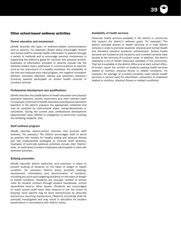### Other school-based wellness activities

#### *Parent education and involvement*

*[Briefly describe the types of wellness-related communications sent to parents. For example:]* Board policy encourages district and school staff to provide health information to parents through a variety of methods and to encourage parental involvement in supporting the district's goals for nutrition and physical activity. Examples of information provided to parents include *[list the wellness-related topics addressed in communications to parents, such as the importance of a healthy breakfast, the availability of the free and reduced-price meal program, the negative correlation between excessive television viewing and sedentary behavior.]* Currently parents participate on school health councils in *[number]* schools.

#### *Professional development and qualifications*

*[Briefly describe the qualifications of health education and physical education teachers, activity supervisors and other relevant staff. For example:] [Percent]* of health education and physical education teachers in the district possess the appropriate credential and may be assisted by instructional aides, paraprofessionals or volunteers. During the current year, professional development opportunities were offered to *[categories of personnel]* covering the following subjects: *[list]*

#### *Staff wellness program*

*[Briefly describe district/school activities that promote staff wellness. For example:]* The district encourages staff to serve as positive role models for healthy eating and physical fitness and has implemented strategies to promote staff wellness. Examples of work-site wellness activities include *[list]*. Districtwide, an estimated *[number]* employees participated in work-site wellness activities.

#### *Bullying prevention*

*[Briefly describe district policy(ies) and practices in place to prevent bullying of students on the basis of weight or health condition. For example:]* District policy prohibits bullying, harassment, intimidation and discrimination of students, including any such acts targeting students on the basis of weight or health condition. Students are annually notified of school rules for student conduct through student handbooks, school assemblies and/or other means. Students are encouraged to notify school staff when they observe or are the victim of bullying. Such reports may be done anonymously by *[describe anonymous reporting mechanisms.]* Reports of bullying shall be promptly investigated and may result in discipline for student perpetrators in accordance with district policy.

#### *Availability of health services*

*[Describe health services available in the district or community that support the district's wellness goals. For example:]* The district provides access to health services at or near district schools in order to promote students' physical and mental health and therefore enhance academic achievement. School health services are located at *[list locations]* and *[number]* schools have access to the services of a school nurse. In addition, the district maintains a list of health resources available in the community. That list is available in the district office and at each school office. *[If known, report the number of students seeking health services related to nutrition, physical fitness or related conditions. For example:]* An average of *[number]* students used school health services in *[school year]* for information, prevention or treatment related to nutrition, physical fitness or related conditions.

39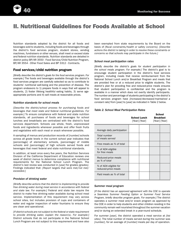

# II. Nutritional Guidelines for Foods Available at School

Nutrition standards adopted by the district for all foods and beverages sold to students, including foods and beverages through the district's food services program, student stores, vending machines, fundraisers or other venues, shall meet or exceed state and federal nutrition standards. Nutrition standards are detailed in district policy BP/AR 3550 - Food Service/Child Nutrition Program, BP/AR 3554 - Other Food Sales and BP 3312 - Contracts.

### Food services/child nutrition program

*[Briefly describe the district's goals for the food services program. For example:]* The foods and beverages available through the district's food services program are carefully selected so as to contribute to students' nutritional well-being and the prevention of disease. The program endeavors to 1) prepare foods in ways that will appeal to students, 2) foster lifelong healthful eating habits, 3) serve ageappropriate portions and 4) sell meals at reasonable prices.

#### *Nutrition standards for school meals*

*[Describe the district/school process for purchasing foods and beverages that meet state and federal nutritional guidelines. For example:]* To ensure compliance with federal and state nutrition standards, all purchases of foods and beverages for school lunches and breakfasts are centralized with the district's food services department. Schools use whole, fresh, unprocessed foods and ingredients whenever possible and offer fresh fruits and vegetables with each meal or snack whenever possible.

A sampling of menus and production records of *[number]* schools across all grade levels in the current school year indicates that *[percentage]* of elementary schools, *[percentage]* of middle schools and *[percentage]* of high schools served foods and beverages that meet federal and state nutritional standards.

In addition, at least once every five years, the Nutrition Services Division of the California Department of Education reviews one week of district menus to determine compliance with nutritional requirements for the National School Lunch Program. The district's last review was conducted in *[year]* for grades *[grades]*. Findings indicated that: *[Report targets that were met/not met/ exceeded.]*

#### *Provision of drinking water*

*[Briefly describe actions that the district is implementing to provide free drinking water during meal service in accordance with federal and state law. For example:]* Federal and state law require the district to make free drinking water available during school meal service. Implementation of this requirement may vary across school sites, but includes provision of cups and containers of water and regular inspection of water fountains to ensure they are clean and operational.

*[If district schools are not subject to the federal or state requirement to provide drinking water, explain the reason(s). For example:]*  District schools that do not participate in the National School Lunch Program are not subject to this requirement and have also

been exempted from state requirements by the Board on the basis of *[fiscal constraints/health or safety concerns]. [Describe actions the district is taking in order to resolve these constraints or concerns so that schools may participate in the future.]*

#### *School meal participation rates*

*[Briefly describe the district's goals for student participation in the school meals program. For example:]* The district's goal is to encourage student participation in the district's food services program, including meals that receive reimbursement from the National School Lunch and/or Breakfast Program and meals that are provided free or at a reduced price to eligible students. The district's plan for providing free and reduced-price meals ensures that student participation is confidential and the program is available in a manner which does not overtly identify participants. The number and percentage of students participating in the district's food services program have *[increased/decreased/maintained a constant rate]* from *[year]* to *[year]* as indicated in Table 2 below.

#### *Table 2. School Meal Participation Rates*

|                                              | <b>School Lunch</b><br>[Year] [Year] | <b>School</b><br><b>Breakfast</b><br>[Year] [Year] |  |  |
|----------------------------------------------|--------------------------------------|----------------------------------------------------|--|--|
| Average daily participation                  |                                      |                                                    |  |  |
| Total number<br>of meals served              |                                      |                                                    |  |  |
| Free meals as % of total                     |                                      |                                                    |  |  |
| % of ADA eligible<br>for free meals          |                                      |                                                    |  |  |
| Reduced-price meals<br>as % of total         |                                      |                                                    |  |  |
| % of ADA eligible for<br>reduced-price meals |                                      |                                                    |  |  |
| Paid meals as % of total                     |                                      |                                                    |  |  |

#### *Summer meal program*

*[If the district has an approved agreement with the CDE to operate a Seamless Summer Feeding Option or Summer Food Service Program, briefly describe program goals. For example:]* The district operates a summer meal and/or snack program as approved by the CDE in order to help students and other children residing in the community remain well nourished throughout the summer vacation and/or during an extended break in a year-round schedule.

For summer *[year]*, the district operated a meal service at *[list sites]*. The total number of meals served during the summer was *[number]*, for an average of *[number]* meals per day of operation.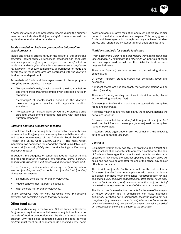41

A sampling of menus and production records during the summer meal service indicates that *[percentage]* of meals served met applicable federal nutrition standards.

#### *Foods provided in child care, preschool or before/afterschool programs*

Meals and snacks offered through the district's *[list applicable programs: before-school, after-school, preschool and child care and development programs]* are subject to state and/or federal nutrition standards. *[Describe efforts taken to ensure compliance. For example:]* To ensure compliance, all purchases of foods and beverages for these programs are centralized with the district's food services department.

An analysis of foods and beverages served in these programs over *[time period studied]* indicates:

- [Percentage] of meals/snacks served in the district's beforeand after-school programs complied with applicable nutrition standards.
- [Percentage] of meals/snacks served in the district's preschool programs complied with applicable nutrition standards.
- [Percentage] of meals/snacks served in the district's child care and development programs complied with applicable nutrition standards.

#### *Cafeteria and food preparation facilities*

District food facilities are regularly inspected by the county environmental health agency to ensure compliance with the sanitation and safety requirements of the California Retail Food Code (Health and Safety Code 113700-114437). The most recent inspection was conducted *[date]* and the report is available upon request at *[location]. [Briefly describe the findings of the county inspection report.]*

In addition, the adequacy of school facilities for student dining and food preparation is reviewed *[how often]* by *[district position/ department]. [Describe audit process and objectives measured.]*

Of the *[number]* audits conducted during the *[year(s)]* school year(s), *[number/percent]* schools met *[number]* of *[number]* objectives. On average:

- Elementary schools met [number] objectives.
- Middle schools met [number] objectives.
- High schools met [number] objectives.

*[If any objectives were not met, list which ones, the reasons provided, and corrective actions that will be taken.]*

#### Other food sales

Districts participating in the National School Lunch or Breakfast Program are required to establish rules or regulations to control the sale of food in competition with the district's food services program. Any food sales conducted outside the food services program must meet nutritional standards specified in law, board policy and administrative regulation and must not reduce participation in the district's food service program. This policy governs foods and beverages sold through vending machines, student stores, and fundraisers by student and/or adult organizations.

#### *Nutrition standards for outside food sales*

*[From each of the Other Food Sales Review worksheets completed (see Appendix A), summarize the following:]* An analysis of foods and beverages sold outside of the district's food services program indicates:

There are *[number]* student stores in the following district schools: *[list]* 

Of these, *[number]* student stores sell compliant foods and beverages.

If student stores are not compliant, the following actions will be taken: *[describe]*

There are *[number]* vending machines in district schools, placed at the following locations: *[list]* 

Of these, *[number]* vending machines are stocked with compliant foods and beverages.

If vending machines are not compliant, the following actions will be taken: *[describe]*

Of sales conducted by student/adult organizations, *[number]* sold compliant foods or beverages; *[number]* sold noncompliant foods or beverages.

If student/adult organizations are not compliant, the following actions will be taken: *[describe]*

#### *Contracts*

*[Summarize district policy and law. For example:]* The district or a district school shall not enter into or renew a contract for the sale of foods and beverages that do not meet the nutrition standards specified in law unless the contract specifies that such sales will occur one-half hour or later after the end of the school day and/or off school premises.

The district has *[number]* active contracts for the sale of foods. Of these, *[number]* are in compliance with state nutritional guidelines. For those not in compliance, *[describe reason for noncompliance (e.g., sales are conducted only after school hours and/ or off school premises) and/or course of action (e.g., are being cancelled or renegotiated at the end of the term of the contract)]*.

The district has *[number]* active contracts for the sale of beverages. Of these, *[number]* are in compliance with state nutritional guidelines. For those not in compliance, *[describe reason for noncompliance (e.g., sales are conducted only after school hours and/or off school premises) and/or course of action (e.g., are being cancelled or renegotiated at the end of the term of the contract)]*.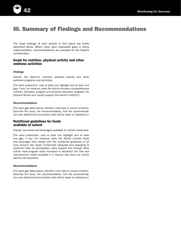

# III. Summary of Findings and Recommendations

The major findings of each section in this report are briefly described below. Where there were noticeable gaps in policy implementation, recommendations are provided for the board's consideration.

### Goals for nutrition, physical activity and other wellness activities

#### *Findings*

Overall, the district's nutrition, physical activity and other wellness programs and activities:

*[For each subsection, note at least one highlight and at least one gap, if any. For instance, does the district provide a comprehensive nutrition education program and physical education program? Do physical fitness test results support the district's efforts?]*

#### *Recommendations*

*[For each gap listed above, identify a next step or course of action. Describe the issue, the recommendation, how the recommendation was determined and actions that will be taken to implement.]*

### Nutritional guidelines for foods available at school

Overall, the foods and beverages available on school campuses:

*[For each subsection, note at least one highlight and at least one gap, if any. For instance, does the district provide foods*  and beverages that comply with the nutritional guidelines in all *food venues? Are meals nutritionally adequate and appealing to students? How do participation rates support this finding? Have school meal program rates increased or declined? Are free and reduced-price meals available in a manner that does not overtly identify participants?]*

#### *Recommendations*

*[For each gap listed above, identify a next step or course of action. Describe the issue, the recommendation, how the recommendation was determined and actions that will be taken to implement.]*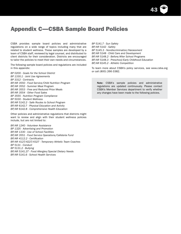

CSBA provides sample board policies and administrative regulations on a wide range of topics including many that are related to student wellness. These samples are developed by a team of CSBA staff, reviewed by legal counsel, and distributed to client districts for their consideration. Districts are encouraged to tailor the policies to meet their own needs and circumstances.

The following sample board policies and regulations are included in this appendix:

*BP 0200 - Goals for the School District BP 1330.1 - Joint Use Agreements BP 3312 - Contracts BP/AR 3550 - Food Service/Child Nutrition Program BP/AR 3552 - Summer Meal Program BP/AR 3553 - Free and Reduced Price Meals BP/AR 3554 - Other Food Sales BP 3555 - Nutrition Program Compliance BP 5030 - Student Wellness BP/AR 5142.2 - Safe Routes to School Program BP/AR 6142.7 - Physical Education and Activity BP/AR 6142.8 - Comprehensive Health Education*

Other policies and administrative regulations that districts might want to review and align with their student wellness policies include, but are not limited to:

*BP/AR 1240 - Volunteer Assistance BP 1325 - Advertising and Promotion BP/AR 1330 - Use of School Facilities BP/AR 3551 - Food Service Operations/Cafeteria Fund BP/AR 4112.2 - Certification BP/AR 4127/4227/4327 - Temporary Athletic Team Coaches BP 5131 - Conduct BP 5131.2 - Bullying BP/AR 5141.27 - Food Allergies/Special Dietary Needs BP/AR 5141.6 - School Health Services*

*BP 5141.7 - Sun Safety BP/AR 5142 - Safety BP 5145.3 - Nondiscrimination/Harassment BP/AR 5148 - Child Care and Development BP/AR 5148.2 - Before/After School Programs BP/AR 5148.3 - Preschool/Early Childhood Education BP/AR 6145.2 - Athletic Competition*

To learn more about CSBA's policy services, see www.csba.org or call (800) 266-3382.

Note: CSBA's sample policies and administrative regulations are updated continuously. Please contact CSBA's Member Services department to verify whether any changes have been made to the following policies.

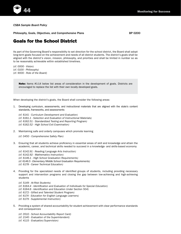

*CSBA Sample Board Policy*

Philosophy, Goals, Objectives, and Comprehensive Plans BCC COMENSIVE BP 0200

## Goals for the School District

As part of the Governing Board's responsibility to set direction for the school district, the Board shall adopt long-term goals focused on the achievement and needs of all district students. The district's goals shall be aligned with the district's vision, mission, philosophy, and priorities and shall be limited in number so as to be reasonably achievable within established timelines.

*(cf. 0000 - Vision) (cf. 0100 - Philosophy) (cf. 9000 - Role of the Board)*

> Note: Items #1-14 below list areas of consideration in the development of goals. Districts are encouraged to replace the list with their own locally developed goals.

When developing the district's goals, the Board shall consider the following areas:

1. Developing curriculum, assessments, and instructional materials that are aligned with the state's content standards, frameworks, and assessments

*(cf. 6141 - Curriculum Development and Evaluation) (cf. 6161.1 - Selection and Evaluation of Instructional Materials) (cf. 6162.51 - Standardized Testing and Reporting Program) (cf. 6162.52 - High School Exit Examination)*

2. Maintaining safe and orderly campuses which promote learning

*(cf. 0450 - Comprehensive Safety Plan)*

3. Ensuring that all students achieve proficiency in essential areas of skill and knowledge and attain the academic, career, and technical skills needed to succeed in a knowledge- and skills-based economy

*(cf. 6142.91 - Reading/Language Arts Instruction) (cf. 6142.92 - Mathematics Instruction) (cf. 6146.1 - High School Graduation Requirements) (cf. 6146.5 - Elementary/Middle School Graduation Requirements) (cf. 6178 - Career Technical Education)*

- 4. Providing for the specialized needs of identified groups of students, including providing necessary support and intervention programs and closing the gap between low-achieving and high-achieving students
	- *(cf. 5149 At-Risk Students)*
	- *(cf. 6164.4 Identification and Evaluation of Individuals for Special Education)*
	- *(cf. 6164.6 Identification and Education Under Section 504)*
	- *(cf. 6172 Gifted and Talented Student Program)*
	- *(cf. 6174 Education for English Language Learners)*
	- *(cf. 6179 Supplemental Instruction)*
- 5. Providing a system of shared accountability for student achievement with clear performance standards and consequences
	- *(cf. 0510 School Accountability Report Card)*
	- *(cf. 2140 Evaluation of the Superintendent)*
	- *(cf. 4115 Evaluation/Supervision)*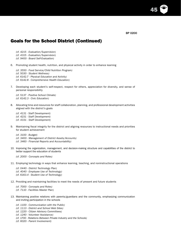45

# Goals for the School District (Continued)

*(cf. 4215 - Evaluation/Supervision)*

*(cf. 4315 - Evaluation/Supervision)*

*(cf. 9400 - Board Self-Evaluation)*

6. Promoting student health, nutrition, and physical activity in order to enhance learning

*(cf. 3550 - Food Service/Child Nutrition Program) (cf. 5030 - Student Wellness) (cf. 6142.7 - Physical Education and Activity) (cf. 6142.8 - Comprehensive Health Education)*

7. Developing each student's self-respect, respect for others, appreciation for diversity, and sense of personal responsibility

*(cf. 5137 - Positive School Climate) (cf. 6142.3 - Civic Education)*

8. Allocating time and resources for staff collaboration, planning, and professional development activities aligned with the district's goals

*(cf. 4131 - Staff Development) (cf. 4231 - Staff Development) (cf. 4331 - Staff Development)*

9. Maintaining fiscal integrity for the district and aligning resources to instructional needs and priorities for student achievement

*(cf. 3100 - Budget) (cf. 3400 - Management of District Assets/Accounts) (cf. 3460 - Financial Reports and Accountability)*

10. Improving the organization, management, and decision-making structure and capabilities of the district to better support the education of students

*(cf. 2000 - Concepts and Roles)*

11. Employing technology in ways that enhance learning, teaching, and noninstructional operations

*(cf. 0440 - District Technology Plan) (cf. 4040 - Employee Use of Technology) (cf. 6163.4 - Student Use of Technology)*

12. Providing and maintaining facilities to meet the needs of present and future students

*(cf. 7000 - Concepts and Roles) (cf. 7110 - Facilities Master Plan)*

- 13. Maintaining positive relations with parents/guardians and the community, emphasizing communication and inviting participation in the schools
	- *(cf. 1100 Communication with the Public)*
	- *(cf. 1113 District and School Web Sites)*
	- *(cf. 1220 Citizen Advisory Committees)*
	- *(cf. 1240 Volunteer Assistance)*
	- *(cf. 1700 Relations Between Private Industry and the Schools)*

*(cf. 6020 - Parent Involvement)*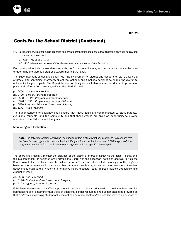

## Goals for the School District (Continued)

14. Collaborating with other public agencies and private organizations to ensure that children's physical, social, and emotional needs are met

*(cf. 1020 - Youth Services)*

*(cf. 1400 - Relations between Other Governmental Agencies and the Schools)*

Each goal shall include measurable standards, performance indicators, and benchmarks that can be used to determine the district's progress toward meeting that goal.

The Superintendent or designee shall, with the involvement of district and school site staff, develop a strategic plan containing short-term objectives, actions, and timelines designed to enable the district to achieve its long-term goals. The Superintendent or designee shall also ensure that district improvement plans and reform efforts are aligned with the district's goals.

*(cf. 0400 - Comprehensive Plans) (cf. 0420 - School Plans/Site Councils) (cf. 0520.2 - Title I Program Improvement Schools) (cf. 0520.3 - Title I Program Improvement Districts) (cf. 0520.4 - Quality Education Investment Schools) (cf. 6171 - Title I Programs)*

The Superintendent or designee shall ensure that these goals are communicated to staff, parents/ guardians, students, and the community and that those groups are given an opportunity to provide feedback to the district about the goals.

#### Monitoring and Evaluation

Note: The following section should be modified to reflect district practice. In order to help ensure that the Board's meetings are focused on the district's goals for student achievement, CSBA's Agenda Online program allows items from the Board meeting agenda to link to specific district goals.

The Board shall regularly monitor the progress of the district's efforts in achieving the goals. To that end, the Superintendent or designee shall provide the Board with the necessary data and analysis to help the Board evaluate the effectiveness of the district's efforts. These data shall include an analysis of the progress based on the performance indicators and benchmarks for each goal, as well as other measures of student achievement, such as the Academic Performance Index, Adequate Yearly Progress, student attendance, and graduation rates.

*(cf. 0500 - Accountability) (cf. 6190 - Evaluation of the Instructional Program) (cf. 9322 - Agenda/Meeting Materials)*

If the Board determines that sufficient progress is not being made toward a particular goal, the Board and Superintendent shall determine what types of additional district resources and support should be provided so that progress in increasing student achievement can be made. District goals shall be revised as necessary.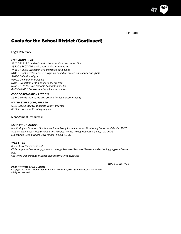47

# Goals for the School District (Continued) Goals for the School District (Continued)

Legal Reference:

### *EDUCATION CODE*

*33127-33129 Standards and criteria for fiscal accountability 33400-33407 CDE evaluation of district programs 44660-44665 Evaluation of certificated employees 51002 Local development of programs based on stated philosophy and goals 51020 Definition of goal 51021 Definition of objective 51041 Evaluation of the educational program 52050-52059 Public Schools Accountability Act 64000-64001 Consolidated application process*

#### *CODE OF REGULATIONS, TITLE 5*

*15440-15463 Standards and criteria for fiscal accountability*

#### *UNITED STATES CODE, TITLE 20*

*6311 Accountability, adequate yearly progress 6312 Local educational agency plan*

#### Management Resources:

#### *CSBA PUBLICATIONS*

*Monitoring for Success: Student Wellness Policy Implementation Monitoring Report and Guide,* 2007 *Student Wellness: A Healthy Food and Physical Activity Policy Resource Guide,* rev. 2006 *Maximizing School Board Governance: Vision,* 1996

#### *WEB SITES*

*CSBA: http://www.csba.org CSBA, Agenda Online: http://www.csba.org/Services/Services/GovernanceTechnology/AgendaOnline. aspx California Department of Education: http://www.cde.ca.gov*

(2/98 3/03) 7/08

#### *Policy Reference UPDATE Service*

*Copyright 2012 by California School Boards Association, West Sacramento, California 95691* All rights reserved.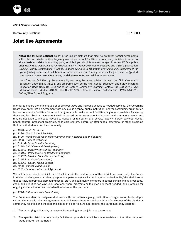*CSBA Sample Board Policy*

**Community Relations 6 and 2001 Community Relations 6 and 2001 Community Relations** 

### Joint Use Agreements

Note: The following optional policy is for use by districts that elect to establish formal agreements with public or private entities to jointly use either school facilities or community facilities in order to share costs and risks. In adopting policy on this topic, districts are encouraged to review CSBA's policy brief *Maximizing Opportunities for Physical Activity Through Joint Use of Facilities* and CSBA's publication *Building Healthy Communities: A School Leader's Guide to Collaboration and Community Engagement* for tips regarding successful collaboration, information about funding sources for joint use, suggested components of joint use agreements, model agreements, and additional resources.

Use of school facilities by the community also may be accomplished through the Civic Center Act (Education Code 38130-38138) and programs such as the After School Education and Safety Program (Education Code 8482-8484.6) and 21st Century Community Learning Centers (20 USC 7171-7176; Education Code 8484.7-8484.9); see BP/AR 1330 - Use of School Facilities and BP/AR 5148.2 - Before/After School Programs.

In order to ensure the efficient use of public resources and increase access to needed services, the Governing Board may enter into an agreement with any public agency, public institution, and/or community organization to use community facilities for school programs or to make school facilities or grounds available for use by those entities. Such an agreement shall be based on an assessment of student and community needs and may be designed to increase access to spaces for recreation and physical activity, library services, school health centers, preschool programs, child care centers, before- or after-school programs, or other programs that benefit students and the community.

*(cf. 1020 - Youth Services) (cf. 1330 - Use of School Facilities) (cf. 1400 - Relations Between Other Governmental Agencies and the Schools) (cf. 5030 - Student Wellness) (cf. 5141.6 - School Health Services) (cf. 5148 - Child Care and Development) (cf. 5148.2 - Before/After School Programs) (cf. 5148.3 - Preschool/Early Childhood Education) (cf. 6142.7 - Physical Education and Activity) (cf. 6145.2 - Athletic Competition) (cf. 6163.1 - Library Media Centers) (cf. 7000 - Concepts and Roles) (cf. 7131 - Relations with Local Agencies)*

When it is determined that joint use of facilities is in the best interest of the district and community, the Superintendent or designee shall identify a potential partner agency, institution, or organization. He/she shall involve that partner, appropriate district and school staff, and community members in establishing planning processes, goals and priorities for joint use, locations where programs or facilities are most needed, and protocols for ongoing communication and coordination between the partners.

#### *(cf. 1220 - Citizen Advisory Committees)*

The Superintendent or designee shall work with the partner agency, institution, or organization to develop a written site-specific joint use agreement that delineates the terms and conditions for joint use of the district or community facilities and the responsibilities of all parties. As appropriate, the agreement may address:

- 1. The underlying philosophy or reasons for entering into the joint use agreement
- 2. The specific district or community facilities or grounds that will be made available to the other party and areas that will be restricted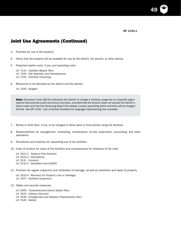BP 1330.1

49

## Joint Use Agreements (Continued)

3. Priorities for use of the property

4. Hours that the property will be available for use by the district, the partner, or other parties

5. Projected capital costs, if any, and operating costs

*(cf. 7110 - Facilities Master Plan)*

*(cf. 7150 - Site Selection and Development)*

*(cf. 7210 - Facilities Financing)*

6. Resources to be allocated by the district and the partner

*(cf. 3100 - Budget)*

Note: Education Code 38134 authorizes the district to charge a facilities usage fee to nonprofit organizations that promote youth and school activities, provided that the amount does not exceed the district's direct costs and that the Governing Board first adopts a policy specifying which activities will be charged the fee. See BP 1330 - Use of School Facilities for language implementing this mandate.

- 7. Rental or other fees, if any, to be charged to either party or third parties using the facilities
- 8. Responsibilities for management, scheduling, maintenance, on-site supervision, accounting, and other operations
- 9. Procedures and timelines for requesting use of the facilities
- 10. Code of conduct for users of the facilities and consequences for violations of the code

*(cf. 3513.3 - Tobacco-Free Schools) (cf. 3515.2 - Disruptions) (cf. 5131 - Conduct) (cf. 5131.5 - Vandalism and Graffiti)*

- 11. Provision for regular inspection and notification of damage, as well as restitution and repair of property
	- *(cf. 3515.4 Recovery for Property Loss or Damage) (cf. 3517 - Facilities Inspection)*
- 12. Safety and security measures
	- *(cf. 0450 Comprehensive School Safety Plan)*
	- *(cf. 3515 Campus Security)*
	- *(cf. 3516 Emergencies and Disaster Preparedness Plan)*
	- *(cf. 5142 Safety)*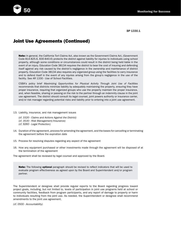

 $\mathsf{B}\mathsf{P}$  1330.1

### Joint Use Agreements (Continued)

Note: In general, the California Tort Claims Act, also known as the Government Claims Act, (Government Code 814-825.6, 830-840.6) protects the district against liability for injuries to individuals using school property, although some conditions or circumstances could result in the district being held liable in the event of an injury. Education Code 38134 requires the district to bear the cost of insuring and defending itself against any risk caused by the district's negligence in the ownership and maintenance of district property. Education Code 38134 also requires any organized group using the facilities to carry insurance and to defend itself in the event of any injuries arising from the group's negligence in the use of the facility. See AR 1330 - Use of School Facilities.

CSBA's policy brief *Maximizing Opportunities for Physical Activity Through Joint Use of Facilities* recommends that districts minimize liability by adequately maintaining the property, ensuring they have proper insurance, requiring that organized groups who use the property maintain the proper insurance, and, when feasible, sharing or passing on the risk to the partner through an indemnity clause in the joint use agreement. The district should consult its legal counsel, joint powers authority or insurance carrier, and/or risk manager regarding potential risks and liability prior to entering into a joint use agreement.

- 13. Liability, insurance, and risk management issues
	- *(cf. 3320 Claims and Actions Against the District)*
	- *(cf. 3530 Risk Management/Insurance)*
	- *(cf. 9260 Legal Protection)*
- 14. Duration of the agreement, process for amending the agreement, and the bases for cancelling or terminating the agreement before the expiration date
- 15. Process for resolving disputes regarding any aspect of the agreement
- 16. How any equipment purchased or other investments made through the agreement will be disposed of at the termination of the agreement
- The agreement shall be reviewed by legal counsel and approved by the Board.

Note: The following optional paragraph should be revised to reflect indicators that will be used to evaluate program effectiveness as agreed upon by the Board and Superintendent and/or program partner.

The Superintendent or designee shall provide regular reports to the Board regarding progress toward project goals, including, but not limited to, levels of participation in joint use programs held at school or community facilities, feedback from program participants, and any report of damage to property or harm to individuals resulting from the joint use. As needed, the Superintendent or designee shall recommend amendments to the joint use agreement.

*(cf. 0500 - Accountability)*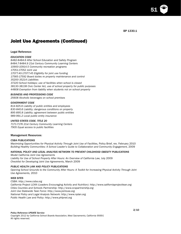BP 1330.1

51

# Joint Use Agreements (Continued)

#### Legal Reference:

#### *EDUCATION CODE*

*8482-8484.6 After School Education and Safety Program 8484.7-8484.9 21st Century Community Learning Centers 10900-10914.5 Community recreation programs 17051-17052 Joint use 17077.40-17077.45 Eligibility for joint use funding 17565-17592 Board duties re property maintenance and control 35200-35214 Liabilities 37220 School holidays; use of facilities when school is closed 38130-38138 Civic Center Act, use of school property for public purposes 44808 Exemption from liability when students not on school property*

#### *BUSINESS AND PROFESSIONS CODE*

*25608 Alcoholic beverages on school premises*

#### *GOVERNMENT CODE*

*814-825.6 Liability of public entities and employees 830-840.6 Liability; dangerous conditions on property 895-895.8 Liability; agreement between public entities 989-991.2 Local public entity insurance*

#### *UNITED STATES CODE, TITLE 20*

*7171-7176 21st Century Community Learning Centers 7905 Equal access to public facilities*

#### Management Resources:

#### *CSBA PUBLICATIONS*

*Maximizing Opportunities for Physical Activity Through Joint Use of Facilities,* Policy Brief, rev. February 2010 Building Healthy Communities: A School Leader's Guide to Collaboration and Community Engagement, 2009

#### *NATIONAL POLICY AND LEGAL ANALYSIS NETWORK TO PREVENT CHILDHOOD OBESITY PUBLICATIONS*

*Model California Joint Use Agreements* Liability for Use of School Property After Hours: An Overview of California Law, July 2009 *Checklist for Developing Joint Use Agreements,* March 2009

#### *PUBLIC HEALTH LAW AND POLICY PUBLICATIONS*

*Opening School Grounds to the Community After Hours: A Toolkit for Increasing Physical Activity Through Joint Use Agreements,* 2010

#### *WEB SITES*

*CSBA: http://www.csba.org California Project LEAN (Leaders Encouraging Activity and Nutrition): http://www.californiaprojectlean.org Cities Counties and Schools Partnership: http://www.ccspartnership.org Joint Use Statewide Task Force: http://www.jointuse.org National Policy and Legal Analysis Network: http://www.nplan.org Public Health Law and Policy: http://www.phlpnet.org*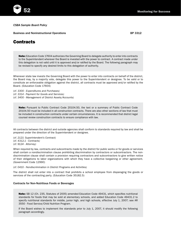Business and Noninstructional Operations **BP** 3312

### **Contracts**

Note: Education Code 17604 authorizes the Governing Board to delegate authority to enter into contracts to the Superintendent wherever the Board is invested with the power to contract. A contract made under this delegation is not valid until it is approved and/or ratified by the Board. The following paragraph may be revised to specify any desired limits to this delegation of authority.

**52** Monitoring for Success

Whenever state law invests the Governing Board with the power to enter into contracts on behalf of the district, the Board may, by a majority vote, delegate this power to the Superintendent or designee. To be valid or to constitute an enforceable obligation against the district, all contracts must be approved and/or ratified by the Board. (Education Code 17604)

*(cf. 3300 - Expenditures and Purchases) (cf. 3314 - Payment for Goods and Services) (cf. 3400 - Management of District Assets/Accounts)*

Note: Pursuant to Public Contract Code 20104.50, the text or a summary of Public Contract Code 20104.50 must be included in all construction contracts. There are also other sections of law that must be included in construction contracts under certain circumstances. It is recommended that district legal counsel review construction contracts to ensure compliance with law.

All contracts between the district and outside agencies shall conform to standards required by law and shall be prepared under the direction of the Superintendent or designee.

*(cf. 2121- Superintendent's Contract) (cf. 4312.1 - Contracts) (cf. 9124 - Attorney)*

When required by law, contracts and subcontracts made by the district for public works or for goods or services shall contain a nondiscrimination clause prohibiting discrimination by contractors or subcontractors. The nondiscrimination clause shall contain a provision requiring contractors and subcontractors to give written notice of their obligations to labor organizations with which they have a collective bargaining or other agreement. (Government Code 12990)

*(cf. 0410 - Nondiscrimination in District Programs and Activities)*

The district shall not enter into a contract that prohibits a school employee from disparaging the goods or services of the contracting party. (Education Code 35182.5)

#### Contracts for Non-Nutritious Foods or Beverages

Note: SB 12 (Ch. 235, Statutes of 2005) amended Education Code 49431, which specifies nutritional standards for foods that may be sold at elementary schools, and added Education Code 49431.2 to specify nutritional standards for middle, junior high, and high schools, effective July 1, 2007; see AR 3550 - Food Service/Child Nutrition Program.

If the Board wishes to implement the standards prior to July 1, 2007, it should modify the following paragraph accordingly.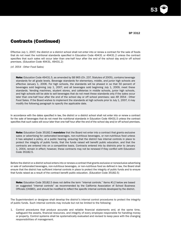53

## Contracts (Continued)

Effective July 1, 2007, the district or a district school shall not enter into or renew a contract for the sale of foods that do not meet the nutritional standards specified in Education Code 49431 or 49431.2 unless the contract specifies that such sales will occur later than one-half hour after the end of the school day and/or off school premises. (Education Code 49431, 49431.2)

*(cf. 3554 - Other Food Sales)*

Note: Education Code 49431.5, as amended by SB 965 (Ch. 237, Statutes of 2005), contains beverage standards for all grade levels. Beverage standards for elementary, middle, and junior high schools are effective January 1, 2006. For high schools, the standards will be phased in so that 50 percent of beverages sold beginning July 1, 2007, and all beverages sold beginning July 1, 2009, meet these standards. Vending machines, student stores, and cafeterias in middle schools, junior high schools, and high schools will be able to sell beverages that do not meet these standards only if the sales occur later than one-half hour after the end of the school day or off school premises; see AR 3554 - Other Food Sales. If the Board wishes to implement the standards at high schools prior to July 1, 2007, it may modify the following paragraph to specify the applicable date.

In accordance with the dates specified in law, the district or a district school shall not enter into or renew a contract for the sale of beverages that do not meet the nutritional standards in Education Code 49431.5 unless the contract specifies that such sales will occur later than one-half hour after the end of the school day and/or off school premises.

Note: Education Code 35182.5 mandates that the Board not enter into a contract that grants exclusive sales or advertising for carbonated beverages, non-nutritious beverages, or non-nutritious food unless it has adopted a policy, at a public hearing, ensuring that the district has internal controls in place to protect the integrity of public funds, that the funds raised will benefit public education, and that the contracts are entered into on a competitive basis. Contracts entered into by districts prior to January 1, 2004, remain in effect; however, these contracts may not be renewed if they conflict with Education Code 35182.5.

Before the district or a district school enters into or renews a contract that grants exclusive or nonexclusive advertising or sale of carbonated beverages, non-nutritious beverages, or non-nutritious food as defined in law, the Board shall ensure that the district has sufficient internal controls in place to protect the integrity of public funds and to ensure that funds raised as a result of the contract benefit public education. (Education Code 35182.5)

Note: Education Code 35182.5 does not define the term "internal controls." Items #1-2 below are based on suggested "internal controls" as recommended by the California Association of School Business Officials (CASBO), and should be modified to reflect the specific internal controls developed by the district.

The Superintendent or designee shall develop the district's internal control procedures to protect the integrity of public funds. Such internal controls may include but not be limited to the following:

1. Control procedures that produce accurate and reliable financial statements and, at the same time, safeguard the assets, financial resources, and integrity of every employee responsible for handling money or property. Control systems shall be systematically evaluated and revised to keep pace with the changing responsibilities of management.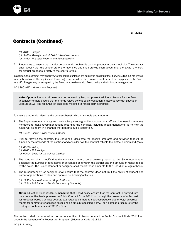

*(cf. 3100 - Budget) (cf. 3400 - Management of District Assets/Accounts) (cf. 3460 - Financial Reports and Accountability)*

2. Procedures to ensure that district personnel do not handle cash or product at the school site. The contract shall specify that the vendor stock the machines and shall provide cash accounting, along with a check, for district proceeds directly to the control office.

In addition, the contract may specify whether contractor logos are permitted on district facilities, including but not limited to scoreboards and other equipment. If such logos are permitted, the contractor shall present the equipment to the Board as a gift. The gift may be accepted by the Board in accordance with Board policy and administrative regulation.

*(cf. 3290 - Gifts, Grants and Bequest)*

Note: Optional items #1-4 below are not required by law, but present additional factors for the Board to consider to help ensure that the funds raised benefit public education in accordance with Education Code 35182.5. The following list should be modified to reflect district practice.

To ensure that funds raised by the contract benefit district schools and students:

1. The Superintendent or designee may involve parents/guardians, students, staff, and interested community members to make recommendations regarding the contract, including recommendations as to how the funds will be spent in a manner that benefits public education.

*(cf. 1220 - Citizen Advisory Committees)*

- 2. Prior to ratifying the contract, the Board shall designate the specific programs and activities that will be funded by the proceeds of the contract and consider how the contract reflects the district's vision and goals.
	- *(cf. 0000 Vision) (cf. 0100 - Philosophy) (cf. 0200 - Goals for the School District)*
- 3. The contract shall specify that the contractor report, on a quarterly basis, to the Superintendent or designee the number of food items or beverages sold within the district and the amount of money raised by the sales. The Superintendent or designee shall report these amounts to the Board on a regular basis.
- 4. The Superintendent or designee shall ensure that the contract does not limit the ability of student and parent organizations to plan and operate fund-raising activities.

*(cf. 1230 - School-Connected Organizations) (cf. 1321 - Solicitation of Funds from and by Students)*

Note: Education Code 35182.5 mandates that Board policy ensure that the contract is entered into on a competitive basis pursuant to Public Contract Code 20111 or through the issuance of a Request for Proposal. Public Contract Code 20111 requires districts to seek competitive bids through advertisements for contracts for services exceeding an amount specified in law. For a detailed procedure for the bidding of contracts, see AR 3311 - Bids.

The contract shall be entered into on a competitive bid basis pursuant to Public Contract Code 20111 or through the issuance of a Request for Proposal. (Education Code 35182.5)

*(cf. 3311 - Bids)*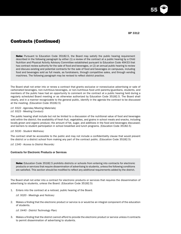55

## Contracts (Continued)

Note: Pursuant to Education Code 35182.5, the Board may satisfy the public hearing requirement described in the following paragraph by either (1) a review of the contract at a public hearing by a Child Nutrition and Physical Activity Advisory Committee established pursuant to Education Code 49433 that has contract review authority for the sale of food and beverages, or (2) an annual public hearing to review and discuss existing and potential contracts for the sale of food and beverages on campuses, including food and beverages sold as full meals, as fundraisers, through competitive sales, and through vending machines. The following paragraph may be revised to reflect district practice.

The Board shall not enter into or renew a contract that grants exclusive or nonexclusive advertising or sale of carbonated beverages, non-nutritious beverages, or non-nutritious food until parents/guardians, students, and members of the public have had an opportunity to comment on the contract at a public hearing held during a regularly scheduled Board meeting or as otherwise authorized by Education Code 35182.5. The Board shall clearly, and in a manner recognizable to the general public, identify in the agenda the contract to be discussed at the meeting. (Education Code 35182.5)

*(cf. 9322 - Agendas/Meeting Materials) (cf. 9323 - Meeting Conduct)*

The public hearing shall include but not be limited to a discussion of the nutritional value of food and beverages sold within the district; the availability of fresh fruit, vegetables, and grains in school meals and snacks, including locally grown and organic produce; the amount of fat, sugar, and additives in the food and beverages discussed; and barriers to student participation in school breakfast and lunch programs. (Education Code 35182.5)

*(cf. 5030 - Student Wellness)*

The contract shall be accessible to the public and may not include a confidentiality clause that would prevent the district or a district school from making any part of the contract public. (Education Code 35182.5)

*(cf. 1340 - Access to District Records)*

#### Contracts for Electronic Products or Services

Note: Education Code 35182.5 prohibits districts or schools from entering into contracts for electronic products or services that require dissemination of advertising to students, unless the following conditions are satisfied. This section should be modified to reflect any additional requirements added by the district.

The Board shall not enter into a contract for electronic products or services that requires the dissemination of advertising to students, unless the Board: (Education Code 35182.5)

1. Enters into the contract at a noticed, public hearing of the Board.

*(cf. 9320 - Meetings and Notices)*

2. Makes a finding that the electronic product or service is or would be an integral component of the education of students.

*(cf. 0440 - District Technology Plan)*

3. Makes a finding that the district cannot afford to provide the electronic product or service unless it contracts to permit dissemination of advertising to students.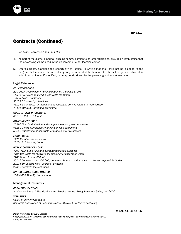

*(cf. 1325 - Advertising and Promotion)*

- 4. As part of the district's normal, ongoing communication to parents/guardians, provides written notice that the advertising will be used in the classroom or other learning center.
- 5. Offers parents/guardians the opportunity to request in writing that their child not be exposed to the program that contains the advertising. Any request shall be honored for the school year in which it is submitted, or longer if specified, but may be withdrawn by the parents/guardians at any time.

#### Legal Reference:

#### *EDUCATION CODE*

*200-262.4 Prohibition of discrimination on the basis of sex 14505 Provisions required in contracts for audits 17595-17606 Contracts 35182.5 Contract prohibitions 45103.5 Contracts for management consulting service related to food service 49431-49431.5 Nutritional standards*

### *CODE OF CIVIL PROCEDURE*

*685.010 Rate of interest*

#### *GOVERNMENT CODE*

*12990 Nondiscrimination and compliance employment programs 53260 Contract provision re maximum cash settlement 53262 Ratification of contracts with administrative officers*

*LABOR CODE 1775 Penalties for violations 1810-1813 Working hours*

#### *PUBLIC CONTRACT CODE*

*4100-4114 Subletting and subcontracting fair practices 7104 Contracts for excavations; discovery of hazardous waste 7106 Noncollusion affidavit 20111 Contracts over \$50,000; contracts for construction; award to lowest responsible bidder 20104.50 Construction Progress Payments 22300 Performance retentions*

### *UNITED STATES CODE, TITLE 20*

*1681-1688 Title IX, discrimination*

#### Management Resources:

#### *CSBA PUBLICATIONS Student Wellness: A Healthy Food and Physical Activity Policy Resource Guide,* rev. 2005

#### *WEB SITES*

*CSBA: http://www.csba.org California Association of School Business Officials: http://www.casbo.org*

#### *Policy Reference UPDATE Service*

*Copyright 2012 by California School Boards Association, West Sacramento, California 95691* All rights reserved.

(11/99 11/03) 11/05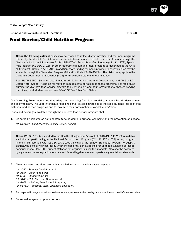Business and Noninstructional Operations **BP** 3550

57

### Food Service/Child Nutrition Program

**Note:** The following **optional** policy may be revised to reflect district practice and the meal programs offered by the district. Districts may receive reimbursements to offset the costs of meals through the National School Lunch Program (42 USC 1751-1769j), School Breakfast Program (42 USC 1773), Special Milk Program (42 USC 1772), or other federally reimbursable meal program as described in the Child Nutrition Act (42 USC 1771-1791). In addition, state funding for meals provided to needy children may be available through the State Meal Program (Education Code 49490-49494). The district may apply to the California Department of Education (CDE) for all available state and federal funds.

See BP/AR 3552 - Summer Meal Program, AR 5148 - Child Care and Development, and AR 5148.2 - Before/After School Programs for nutrition requirements pertaining to those programs. For food sales outside the district's food service program (e.g., by student and adult organizations, through vending machines, or at student stores), see BP/AR 3554 - Other Food Sales.

The Governing Board recognizes that adequate, nourishing food is essential to student health, development, and ability to learn. The Superintendent or designee shall develop strategies to increase students' access to the district's food service programs and to maximize their participation in available programs.

Foods and beverages available through the district's food service program shall:

1. Be carefully selected so as to contribute to students' nutritional well-being and the prevention of disease

*(cf. 5141.27 - Food Allergies/Special Dietary Needs)*

Note: 42 USC 1758b, as added by the Healthy, Hunger-Free Kids Act of 2010 (P.L. 111-296), mandates each district participating in the National School Lunch Program (42 USC 1751-1769j) or any program in the Child Nutrition Act (42 USC 1771-1791), including the School Breakfast Program, to adopt a districtwide school wellness policy which includes nutrition guidelines for all foods available on school campuses; see BP 5030 - Student Wellness for language fulfilling this mandate. Also see the accompanying administrative regulation for state and federal legal requirements pertaining to nutrition standards.

- 2. Meet or exceed nutrition standards specified in law and administrative regulation
	- *(cf. 3552 Summer Meal Program)*
	- *(cf. 3554 Other Food Sales)*
	- *(cf. 5030 Student Wellness)*
	- *(cf. 5148 Child Care and Development)*
	- *(cf. 5148.2 Before/After School Programs)*
	- *(cf. 5148.3 Preschool/Early Childhood Education)*
- 3. Be prepared in ways that will appeal to students, retain nutritive quality, and foster lifelong healthful eating habits
- 4. Be served in age-appropriate portions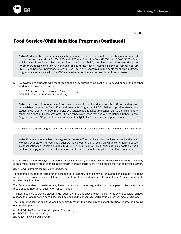

# Food Service/Child Nutrition Program (Continued)

Note: Students who meet federal eligibility criteria must be provided meals free of charge or at reduced prices in accordance with 42 USC 1758 and 1773 and Education Code 49550; see BP/AR 3553 - Free and Reduced Price Meals. Pursuant to Education Code 38084, the district may determine the price for other students consistent with the goal of paying the cost of maintaining the cafeterias; see BP 3551 - Food Service Operations/Cafeteria Fund. State and federal reimbursements for all child nutrition programs are administered by the CDE and are based on the number and type of meals served.

5. Be available to students who meet federal eligibility criteria at no cost or at reduced prices, and to other students at reasonable prices

*(cf. 3551 - Food Service Operations/Cafeteria Fund) (cf. 3553 - Free and Reduced Price Meals)*

Note: The following optional paragraph may be revised to reflect district practice. Grant funding may be available through the Fresh Fruit and Vegetable Program (42 USC 1769a) to provide elementary students with a variety of free fresh fruits and vegetables throughout the school day as a supplement to school breakfast and lunch programs. Eligible schools are those that operate the National School Lunch Program and have 50 percent or more of students eligible for free and reduced-price meals.

The district's food service program shall give priority to serving unprocessed foods and fresh fruits and vegetables.

Note: No state or federal law directly governs the use of food produced by school gardens or local farms. However, both state and federal law support the concept of using locally grown and/or organic produce in school cafeterias (Education Code 51795-51797; 42 USC 1769). Thus, such use is allowable provided the foods comply with health and sanitation requirements as well as applicable nutrition standards.

District schools are encouraged to establish school gardens and/or farm-to-school projects to increase the availability of safe, fresh, seasonal fruits and vegetables for school meals and to support the district's nutrition education program.

#### *(cf. 6142.8 - Comprehensive Health Education)*

To encourage student participation in school meal programs, schools may offer multiple choices of food items within a meal service, provided all food items meet nutrition standards and all students are given an opportunity to select any food item.

The Superintendent or designee may invite students and parents/guardians to participate in the selection of foods of good nutritional quality for school menus.

The Board desires to provide students with adequate time and space to eat meals. To the extent possible, school, recess, and transportation schedules shall be designed to encourage participation in school meal programs.

The Superintendent or designee shall periodically review the adequacy of school facilities for cafeteria eating and food preparation.

*(cf. 1312.4 - Williams Uniform Complaint Procedures) (cf. 3517- Facilities Inspection) (cf. 7110 - Facilities Master Plan)*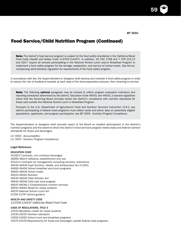59

# Food Service/Child Nutrition Program (Continued)

Note: The district's food service program is subject to the food safety standards in the California Retail Food Code (Health and Safety Code 113700-114437). In addition, 42 USC 1758 and 7 CFR 210.13 and 220.7 require all schools participating in the National School Lunch and/or Breakfast Program to implement a food safety program for the storage, preparation, and service of school meals. See the accompanying administrative regulation for requirements of the food safety program.

In accordance with law, the Superintendent or designee shall develop and maintain a food safety program in order to reduce the risk of foodborne hazards at each step of the food preparation process, from receiving to service.

Note: The following optional paragraph may be revised to reflect program evaluation indicators and reporting schedules determined by the district. Education Code 49431 and 49431.2 express legislative intent that the Governing Board annually review the district's compliance with nutrition standards for foods sold outside the National School Lunch or Breakfast Program.

Pursuant to the U.S. Department of Agriculture's Food and Nutrition Services Instruction 113-1, any district participating in federal meal programs must collect racial and ethnic data on potentially eligible populations, applicants, and program participants; see BP 3555 - Nutrition Program Compliance.

The Superintendent or designee shall annually report to the Board on student participation in the district's nutrition programs and the extent to which the district's food services program meets state and federal nutrition standards for foods and beverages.

*(cf. 0500 - Accountability) (cf. 3555 - Nutrition Program Compliance)*

#### Legal Reference:

#### *EDUCATION CODE*

*35182.5 Contracts, non-nutritious beverages 38080-38103 Cafeteria, establishment and use 45103.5 Contracts for management consulting services; restrictions 49430-49436 Pupil Nutrition, Health, and Achievement Act of 2001 49490-49494 School breakfast and lunch programs 49500-49505 School meals 49510-49520 Nutrition 49530-49536 Child Nutrition Act 49540-49546 Child care food program 49547-49548.3 Comprehensive nutrition services 49550-49562 Meals for needy students 49570 National School Lunch Act 51795-51797 School gardens*

*HEALTH AND SAFETY CODE 113700-114437 California Retail Food Code*

#### *CODE OF REGULATIONS, TITLE 5*

*15510 Mandatory meals for needy students 15530-15535 Nutrition education 15550-15565 School lunch and breakfast programs 15575-15578 Requirements for foods and beverages outside federal meal programs*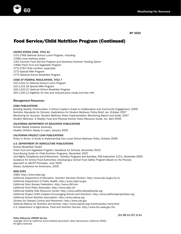

# Food Service/Child Nutrition Program (Continued)

#### *UNITED STATES CODE, TITLE 42*

*1751-1769j National School Lunch Program, including: 1758b Local wellness policy 1761 Summer Food Service Program and Seamless Summer Feeding Option 1769a Fresh Fruit and Vegetable Program 1771-1793 Child nutrition, especially: 1772 Special Milk Program 1773 National School Breakfast Program*

### *CODE OF FEDERAL REGULATIONS, TITLE 7*

*210.1-210.31 National School Lunch Program 215.1-215.18 Special Milk Program 220.1-220.21 National School Breakfast Program 245.1-245.13 Eligibility for free and reduced-price meals and free milk*

#### Management Resources:

#### *CSBA PUBLICATIONS*

Building Healthy Communities: A School Leader's Guide to Collaboration and Community Engagement, 2009 *Nutrition Standards for Schools: Implications for Student Wellness,* Policy Brief, rev. October 2007 *Monitoring for Success: Student Wellness Policy Implementation Monitoring Report and Guide,* 2007 *Student Wellness: A Healthy Food and Physical Activity Policy Resource Guide,* rev. April 2006

#### *CALIFORNIA DEPARTMENT OF EDUCATION PUBLICATIONS*

School Meals Initiative Summary *Healthy Children Ready to Learn,* January 2005

#### *CALIFORNIA PROJECT LEAN PUBLICATIONS*

Policy in Action: A Guide to Implementing Your Local School Wellness Policy, October 2006

#### *U.S. DEPARTMENT OF AGRICULTURE PUBLICATIONS*

School Breakfast Toolkit *Fresh Fruit and Vegetable Program: Handbook for Schools,* December 2010 *Food Buying Guide for Child Nutrition Programs,* December 2007 *Civil Rights Compliance and Enforcement - Nutrition Programs and Activities,* FNS Instruction 113-1, November 2005 *Guidance for School Food Authorities: Developing a School Food Safety Program Based on the Process Approach to HACCP Principles,* June 2005 *Dietary Guidelines for Americans,* 2005

#### *WEB SITES*

*CSBA: http://www.csba.org California Department of Education, Nutrition Services Division: http://www.cde.ca.gov/ls/nu California Department of Public Health: http://www.cdph.ca.gov California Farm Bureau Federation: http://www.cfbf.com California Food Policy Advocates: http://www.cfpa.net California Healthy Kids Resource Center: http://www.californiahealthykids.org California Project LEAN (Leaders Encouraging Activity and Nutrition): http://www.californiaprojectlean.org California School Nutrition Association: http://www.calsna.org Centers for Disease Control and Prevention: http://www.cdc.gov National Alliance for Nutrition and Activity: http://www.cspinet.org/nutritionpolicy/nana.html U.S. Department of Agriculture, Food and Nutrition Service: http://www.fns.usda.gov/fns*

#### *Policy Reference UPDATE Service*

(11/05 11/07) 3/11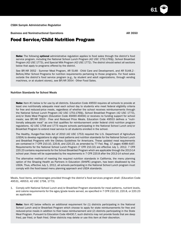Business and Noninstructional Operations **AR 3550 AR 3550** 

61

### Food Service/Child Nutrition Program

Note: The following optional administrative regulation applies to food sales through the district's food service program, including the National School Lunch Program (42 USC 1751-1769j), School Breakfast Program (42 USC 1773), and Special Milk Program (42 USC 1772). The district should select all sections below that apply to programs offered by the district.

See BP/AR 3552 - Summer Meal Program, AR 5148 - Child Care and Development, and AR 5148.2 - Before/After School Programs for nutrition requirements pertaining to those programs. For food sales outside the district's food service program (e.g., by student and adult organizations, through vending machines, or at student stores), see BP/AR 3554 - Other Food Sales.

#### Nutrition Standards for School Meals

Note: Item #1 below is for use by all districts. Education Code 49550 requires all schools to provide at least one nutritionally adequate meal each school day to students who meet federal eligibility criteria for free and reduced-price meals, regardless of whether the school receives reimbursements through the National School Lunch Program (42 USC 1751-1769j), School Breakfast Program (42 USC 1773), and/or State Meal Program (Education Code 49490-49494) or receives no funding support for school meals; see BP/AR 3553 - Free and Reduced Price Meals. Education Code 49553 defines a "nutritionally adequate meal" as one that qualifies for reimbursement under federal child nutrition program regulations. 42 USC 1758 and 1773 require schools participating in the National School Lunch and/or Breakfast Program to extend meal service to all students enrolled in the school.

The Healthy, Hunger-Free Kids Act of 2010 (42 USC 1753) required the U.S. Department of Agriculture (USDA) to develop regulations to align meal patterns and nutrition standards for the National School Lunch and Breakfast Programs with the Dietary Guidelines for Americans. These updated meal requirements are contained in 7 CFR 210.10, 220.8, and 220.23, as amended by 77 Fed. Reg. 17 pages 4088-4167. Requirements for the National School Lunch Program (7 CFR 210.10) are effective July 1, 2012. 7 CFR 220.23 contains requirements for the School Breakfast Program which are applicable through the 2013-14 school year; these will be superseded by the requirements in 7 CFR 220.8 after the 2013-14 school year.

The alternative method of meeting the required nutrition standards in California, the menu planning option of the Shaping Health as Partners in Education (SHAPE) program, has been disallowed by the USDA. Thus, effective July 1, 2012, all schools participating in the National School Lunch program must comply with the food-based menu planning approach and USDA standards.

Meals, food items, and beverages provided through the district's food services program shall: (Education Code 49531, 49553; 42 USC 1758, 1773)

1. Comply with National School Lunch and/or Breakfast Program standards for meal patterns, nutrient levels, and calorie requirements for the ages/grade levels served, as specified in 7 CFR 210.10, 220.8, or 220.23 as applicable

Note: Item #2 below reflects an additional requirement for (1) districts participating in the National School Lunch and/or Breakfast Program which choose to apply for state reimbursements for free and reduced-price meals in addition to their base reimbursement and (2) districts participating in the State Meal Program. Pursuant to Education Code 49430.7, such districts may not provide foods that are deep fried, par fried, or flash fried. Other districts may delete or use this item at their discretion.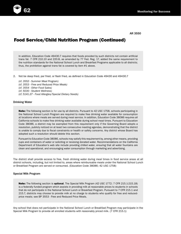

# Food Service/Child Nutrition Program (Continued)

In addition, Education Code 49430.7 requires that foods provided by such districts not contain artificial trans fat. 7 CFR 210.10 and 220.8, as amended by 77 Fed. Reg. 17, added the same requirement to the nutrition standards for the National School Lunch and Breakfast Programs applicable to all districts; thus, the prohibition against trans fat is covered by item #1 above.

2. Not be deep fried, par fried, or flash fried, as defined in Education Code 49430 and 49430.7

*(cf. 3552 - Summer Meal Program) (cf. 3553 - Free and Reduced Price Meals) (cf. 3554 - Other Food Sales) (cf. 5030 - Student Wellness) (cf. 5141.27 - Food Allergies/Special Dietary Needs)*

#### Drinking Water

Note: The following section is for use by all districts. Pursuant to 42 USC 1758, schools participating in the National School Lunch Program are required to make free drinking water available for consumption at locations where meals are served during meal service. In addition, Education Code 38086 requires all California schools to make free drinking water available during school meal times. Pursuant to Education Code 38086, a district may be exempted from this requirement only if the Governing Board adopts a resolution, publicly noticed on at least two consecutive meeting agendas, demonstrating that the district is unable to comply due to fiscal constraints or health or safety concerns. Any district whose Board has adopted such a resolution should delete this section.

Pursuant to Education Code 38086, schools may satisfy this requirement by, among other means, providing cups and containers of water or soliciting or receiving donated water. Recommendations on the California Department of Education's web site include providing chilled water, ensuring that all water fountains are clean and operational, and encouraging water consumption through marketing and advertising.

The district shall provide access to free, fresh drinking water during meal times in food service areas at all district schools, including, but not limited to, areas where reimbursable meals under the National School Lunch or Breakfast Program are served or consumed. (Education Code 38086; 42 USC 1758)

#### Special Milk Program

Note: The following section is optional. The Special Milk Program (42 USC 1772; 7 CFR 215.1-215.18) is a federally funded program which assists in providing milk at reasonable prices to students in schools that do not participate in the National School Lunch or Breakfast Program. Pursuant to 7 CFR 215.1 and 215.7, districts may choose to provide milk at no charge to students who qualify for free and reducedprice meals; see BP 3553 - Free and Reduced Price Meals.

Any school that does not participate in the National School Lunch or Breakfast Program may participate in the Special Milk Program to provide all enrolled students with reasonably priced milk. (7 CFR 215.1)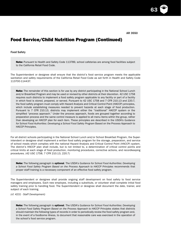63

## Food Service/Child Nutrition Program (Continued)

#### Food Safety

Note: Pursuant to Health and Safety Code 113789, school cafeterias are among food facilities subject to the California Retail Food Code.

The Superintendent or designee shall ensure that the district's food service program meets the applicable sanitation and safety requirements of the California Retail Food Code as set forth in Health and Safety Code 113700-114437.

Note: The remainder of this section is for use by any district participating in the National School Lunch and/or Breakfast Program and may be used or revised by other districts at their discretion. 42 USC 1758 requires such districts to implement a food safety program applicable to any facility or part of a facility in which food is stored, prepared, or served. Pursuant to 42 USC 1758 and 7 CFR 210.13 and 220.7, the food safety program must comply with Hazard Analysis and Critical Control Point (HACCP) principles, which include establishing measures needed to prevent hazards at each stage of food production. Pursuant to 7 CFR 210.13, districts may implement either the "traditional" HACCP system or the simplified "process approach." Under the process approach, foods are grouped together according to preparation process and the same control measure is applied to all menu items within the group, rather than developing an HACCP plan for each item. These principles are described in the USDA's *Guidance for School Food Authorities: Developing a School Food Safety Program* Based on the Process Approach to HACCP Principles.

For all district schools participating in the National School Lunch and/or School Breakfast Program, the Superintendent or designee shall implement a written food safety program for the storage, preparation, and service of school meals which complies with the national Hazard Analysis and Critical Control Point (HACCP) system. The district's HACCP plan shall include, but is not limited to, a determination of critical control points and critical limits at each stage of food production, monitoring procedures, corrective actions, and recordkeeping procedures. (42 USC 1758; 7 CFR 210.13, 220.7)

Note: The following paragraph is optional. The USDA's *Guidance for School Food Authorities: Developing a School Food Safety Program Based on the Process Approach to HACCP Principles* recommends that proper staff training is a necessary component of an effective food safety program.

The Superintendent or designee shall provide ongoing staff development on food safety to food service managers and employees. Each new employee, including a substitute, or volunteer shall complete initial food safety training prior to handling food. The Superintendent or designee shall document the date, trainer, and subject of each training.

*(cf. 4231 - Staff Development)*

Note: The following paragraph is optional. The USDA's *Guidance for School Food Authorities: Developing a School Food Safety Program Based on the Process Approach to HACCP Principles* states that districts should maintain the following types of records in order to periodically review the food safety program and, in the event of a foodborne illness, to document that reasonable care was exercised in the operation of the school's food service program.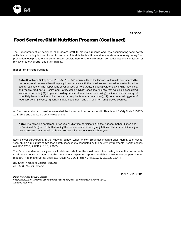

## Food Service/Child Nutrition Program (Continued)

The Superintendent or designee shall assign staff to maintain records and logs documenting food safety activities, including, but not limited to, records of food deliveries, time and temperature monitoring during food production, equipment temperature (freezer, cooler, thermometer calibration), corrective actions, verification or review of safety efforts, and staff training.

#### Inspection of Food Facilities

Note: Health and Safety Code 113725-113725.3 require all food facilities in California to be inspected by the county environmental health agency in accordance with the timelines and procedures established in county regulations. The inspections cover all food service areas, including cafeterias, vending machines, and mobile food carts. Health and Safety Code 113725 specifies findings that would be considered violations, including (1) improper holding temperatures, improper cooling, or inadequate cooking of potentially hazardous foods (i.e., foods that require temperature control); (2) poor personal hygiene of food service employees; (3) contaminated equipment; and (4) food from unapproved sources.

All food preparation and service areas shall be inspected in accordance with Health and Safety Code 113725- 113725.1 and applicable county regulations.

**Note:** The following paragraph is for use by districts participating in the National School Lunch and/ or Breakfast Program. Notwithstanding the requirements of county regulations, districts participating in these programs must obtain at least two safety inspections each school year.

Each school participating in the National School Lunch and/or Breakfast Program shall, during each school year, obtain a minimum of two food safety inspections conducted by the county environmental health agency. (42 USC 1758; 7 CFR 210.13, 220.7)

The Superintendent or designee shall retain records from the most recent food safety inspection. All schools shall post a notice indicating that the most recent inspection report is available to any interested person upon request. (Health and Safety Code 113725.1; 42 USC 1758; 7 CFR 210.13, 210.15, 220.7)

*(cf. 1340 - Access to District Records) (cf. 3580 - District Records)*

*Policy Reference UPDATE Service*

(11/07 3/11) 7/12

*Copyright 2012 by California School Boards Association, West Sacramento, California 95691* All rights reserved.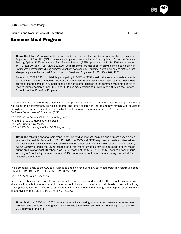Business and Noninstructional Operations **BP** 3552

### Summer Meal Program

Note: The following optional policy is for use by any district that has been approved by the California Department of Education (CDE) to serve as a program sponsor under the federally funded Seamless Summer Feeding Option (SSFO) or Summer Food Service Program (SFSP), pursuant to 42 USC 1761 (as amended by P.L. 111-80) and 7 CFR 225.1-225.20. Both programs are designed to provide meals to children in low-income communities during summer vacation; however, SSFO funding is available only to districts that also participate in the National School Lunch or Breakfast Program (42 USC 1751-1769, 1773).

Pursuant to 7 CFR 225.14, districts participating in SSFO or SFSP must make summer meals available to all children in the community, not just those enrolled in summer school. Districts that offer meals only to students enrolled in summer school and not to other children in the community are not eligible to receive reimbursements under SSFO or SFSP, but may continue to provide meals through the National School Lunch or Breakfast Program.

The Governing Board recognizes that child nutrition programs have a positive and direct impact upon children's well-being and achievement. To help students and other children in the community remain well nourished throughout the summer vacation, the district shall sponsor a summer meal program as approved by the California Department of Education (CDE).

*(cf. 3550 - Food Service/Child Nutrition Program) (cf. 3553 - Free and Reduced Price Meals) (cf. 5030 - Student Wellness) (cf. 5141.27 - Food Allergies/Special Dietary Needs)*

**Note:** The following **optional** paragraph is for use by districts that maintain one or more schools on a year-round schedule. Pursuant to 42 USC 1761, the SSFO and SFSP may provide meals at off-session/ off-track times of the year for schools on a continuous school calendar. According to the CDE's *Frequently Asked Questions*, under the SSFO, schools on a year-round schedule may be approved to serve meals during breaks of at least 10 school days. For purposes of the SFSP, 7 CFR 225.2 defines a "continuous school year" as having vacation periods of 15 continuous school days or more during the period from October through April.

The district may apply to the CDE to provide meals to children during any extended break in a year-round school schedule. (42 USC 1761; 7 CFR 225.2, 225.6, 225.14)

*(cf. 6117 - Year-Round Schedules)*

Between October and April, or at any time or school on a year-round schedule, the district may serve meals at a nonschool site in cases of unanticipated school closures, such as a natural disaster, unscheduled major building repair, court order related to school safety or other issues, labor-management dispute, or similar cause as approved by the CDE. (42 USC 1761; 7 CFR 225.6)

Note: Both the SSFO and SFSP contain criteria for choosing locations to operate a summer meal program; see the accompanying administrative regulation. Meal service must not begin prior to receiving CDE approval of the site.

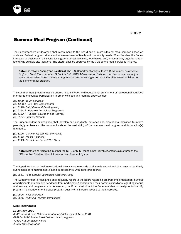

## Summer Meal Program (Continued)

The Superintendent or designee shall recommend to the Board one or more sites for meal services based on state and federal program criteria and an assessment of family and community needs. When feasible, the Superintendent or designee shall involve local governmental agencies, food banks, and/or community organizations in identifying suitable site locations. The site(s) shall be approved by the CDE before meal service is initiated.

Note: The following paragraph is optional. The U.S. Department of Agriculture's *The Summer Food Service Program: Food That's In When School is Out, 2010 Administrative Guidance for Sponsors* encourages sponsors to select sites or design programs to offer other organized activities that attract children to the summer meal program.

The summer meal program may be offered in conjunction with educational enrichment or recreational activities in order to encourage participation in other wellness and learning opportunities.

*(cf. 1020 - Youth Services) (cf. 1330.1 - Joint Use Agreements) (cf. 5148 - Child Care and Development) (cf. 5148.2 - Before/After School Programs) (cf. 6142.7 - Physical Education and Activity) (cf. 6177 - Summer School)*

The Superintendent or designee shall develop and coordinate outreach and promotional activities to inform parents/guardians and the community about the availability of the summer meal program and its location(s) and hours.

*(cf. 1100 - Communication with the Public) (cf. 1112 - Media Relations) (cf. 1113 - District and School Web Sites)*

> Note: Districts participating in either the SSFO or SFSP must submit reimbursement claims through the CDE's online Child Nutrition Information and Payment System.

The Superintendent or designee shall maintain accurate records of all meals served and shall ensure the timely submission of reimbursement claims in accordance with state procedures.

#### *(cf. 3551 - Food Service Operations/Cafeteria Fund)*

The Superintendent or designee shall regularly report to the Board regarding program implementation, number of participants at each site, feedback from participating children and their parents/guardians regarding menus and service, and program costs. As needed, the Board shall direct the Superintendent or designee to identify program modifications to increase program quality or children's access to meal services.

*(cf. 0500 - Accountability) (cf. 3555 - Nutrition Program Compliance)*

#### Legal References:

*EDUCATION CODE*

*49430-49436 Pupil Nutrition, Health, and Achievement Act of 2001 49490-49494 School breakfast and lunch programs 49500-49505 School meals 49510-49520 Nutrition*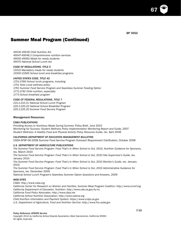67

# Summer Meal Program (Continued)

*49530-49536 Child Nutrition Act 49547-49548.3 Comprehensive nutrition services 49550-49562 Meals for needy students 49570 National School Lunch Act*

#### *CODE OF REGULATIONS, TITLE 5*

*15510 Mandatory meals for needy students 15550-15565 School lunch and breakfast programs*

#### *UNITED STATES CODE, TITLE 42*

*1751-1769i School lunch programs, including: 1751 Note Local wellness policy 1761 Summer Food Service Program and Seamless Summer Feeding Option 1771-1792 Child nutrition, especially: 1773 School breakfast program*

#### *CODE OF FEDERAL REGULATIONS, TITLE 7*

*210.1-210.31 National School Lunch Program 220.1-220.22 National School Breakfast Program 225.1-225.20 Summer Food Service Program*

#### Management Resources:

#### *CSBA PUBLICATIONS*

*Providing Access to Nutritious Meals During Summer,* Policy Brief, June 2010 *Monitoring for Success: Student Wellness Policy Implementation Monitoring Report and Guide,* 2007 *Student Wellness: A Healthy Food and Physical Activity Policy Resource Guide,* rev. April 2006

#### *CALIFORNIA DEPARTMENT OF EDUCATION MANAGEMENT BULLETINS*

USDA-SFSP-06-2008 Summer Food Service Program Outreach Requirement Clarification, October 2008

#### *U.S. DEPARTMENT OF AGRICULTURE PUBLICATIONS*

*The Summer Food Service Program: Food That's In When School is Out, 2010, Nutrition Guidance for Sponsors,*  rev. March 2010

*The Summer Food Service Program: Food That's In When School is Out, 2010 Site Supervisor's Guide,* rev. January 2010

The Summer Food Service Program: Food That's In When School is Out, 2010 Monitor's Guide, rev. January 2010

*The Summer Food Service Program: Food That's In When School is Out, 2010 Administrative Guidance for Sponsors,* rev. December 2009

*National School Lunch Program's Seamless Summer Option Questions and Answers,* 2009

#### *WEB SITES*

*CSBA: http://www.csba.org*

*California Center for Research on Women and Families, Summer Meal Program Coalition: http://www.ccrwf.org California Department of Education, Nutrition: http://www.cde.ca.gov/ls/nu*

*California Food Policy Advocates: http://www.cfpa.net*

*California School Nutrition Association: http://www.calsna.org*

*Child Nutrition Information and Payment System: https://www.cnips.ca.gov*

*U.S. Department of Agriculture, Food and Nutrition Service: http://www.fns.usda.gov*

#### *Policy Reference UPDATE Service*

*Copyright 2012 by California School Boards Association, West Sacramento, California 95691* All rights reserved.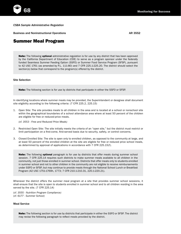*CSBA Sample Administrative Regulation*

**Business and Noninstructional Operations AR 3552 AR 3552** 

### Summer Meal Program

Note: The following optional administrative regulation is for use by any district that has been approved by the California Department of Education (CDE) to serve as a program sponsor under the federally funded Seamless Summer Feeding Option (SSFO) or Summer Food Service Program (SFSP), pursuant to 42 USC 1761 (as amended by P.L. 111-80) and 7 CFR 225.1-225.20. The district should select the section(s) below that correspond to the program(s) offered by the district.

#### Site Selection

Note: The following section is for use by districts that participate in either the SSFO or SFSP.

In identifying locations where summer meals may be provided, the Superintendent or designee shall document site eligibility according to the following criteria: (7 CFR 225.2, 225.15)

1. Open Site: The site provides meals to all children in the area and is located at a school or nonschool site within the geographical boundaries of a school attendance area where at least 50 percent of the children are eligible for free or reduced-price meals.

*(cf. 3553 - Free and Reduced Price Meals)*

- 2. Restricted Open Site: The site initially meets the criteria of an "open site," but the district must restrict or limit participation on a first-come, first-served basis due to security, safety, or control concerns.
- 3. Closed Enrolled Site: The site is open only to enrolled children, as opposed to the community at large, and at least 50 percent of the enrolled children at the site are eligible for free or reduced price school meals, as determined by approval of applications in accordance with 7 CFR 225.15(f).

Note: The following optional paragraph is for use by districts that offer meals during summer school session. 7 CFR 225.14 requires such districts to make summer meals available to all children in the community, not just those enrolled in summer school. Districts that offer meals only to students enrolled in summer school and not to other children in the community are not eligible to receive reimbursements under SSFO or SFSP, but may continue to provide meals through the National School Lunch or Breakfast Program (42 USC 1751-1769h, 1773; 7 CFR 210.1-210.31, 220.1-220.21).

Whenever the district offers the summer meal program at a site that provides summer school sessions, it shall ensure that the site is open to students enrolled in summer school and to all children residing in the area served by the site. (7 CFR 225.14)

*(cf. 3555 - Nutrition Program Compliance) (cf. 6177 - Summer School)*

#### Meal Service

Note: The following section is for use by districts that participate in either the SSFO or SFSP. The district may revise the following paragraph to reflect meals provided by the district.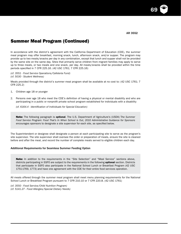69

## Summer Meal Program (Continued)

In accordance with the district's agreement with the California Department of Education (CDE), the summer meal program may offer breakfast, morning snack, lunch, afternoon snack, and/or supper. The program may provide up to two meals/snacks per day in any combination, except that lunch and supper shall not be provided by the same site on the same day. Sites that primarily serve children from migrant families may apply to serve up to three meals, or two meals and one snack, per day. All meals/snacks shall be provided within the time periods specified in 7 CFR 225.16. (42 USC 1761; 7 CFR 225.16)

*(cf. 3551 - Food Service Operations/Cafeteria Fund) (cf. 5030 - Student Wellness)*

Meals provided through the district's summer meal program shall be available at no cost to: (42 USC 1761; 7 CFR 225.2)

- 1. Children age 18 or younger
- 2. Persons over age 18 who meet the CDE's definition of having a physical or mental disability and who are participating in a public or nonprofit private school program established for individuals with a disability

*(cf. 6164.4 - Identification of Individuals for Special Education)*

Note: The following paragraph is optional. The U.S. Department of Agriculture's (USDA) T*he Summer Food Service Program: Food That's In When School is Out, 2010 Administrative Guidance for Sponsors* encourages sponsors to designate a site supervisor for each site, as specified below.

The Superintendent or designee shall designate a person at each participating site to serve as the program's site supervisor. The site supervisor shall oversee the order or preparation of meals, ensure the site is cleaned before and after the meal, and record the number of complete meals served to eligible children each day.

#### Additional Requirements for Seamless Summer Feeding Option

Note: In addition to the requirements in the "Site Selection" and "Meal Service" sections above, districts participating in SSFO are subject to the requirements in the following optional section. Districts that participate in SSFO also participate in the National School Lunch or Breakfast Program (42 USC 1751-1769, 1773) and have one agreement with the CDE for their entire food services operation.

All meals offered through the summer meal program shall meet menu planning requirements for the National School Lunch or Breakfast Program pursuant to 7 CFR 210.10 or 7 CFR 220.8. (42 USC 1761)

*(cf. 3550 - Food Service/Child Nutrition Program) (cf. 5141.27 - Food Allergies/Special Dietary Needs)*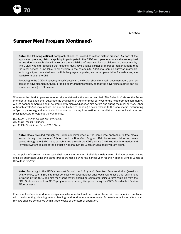

### Summer Meal Program (Continued)

Note: The following optional paragraph should be revised to reflect district practice. As part of the application process, districts applying to participate in the SSFO and operate an open site are required to describe how each site will advertise the availability of meal services to children in the community. The CDE's web site specifies that districts must have a large banner or marquee demonstrating that the meal service is available to all children in the community. Additional sample outreach materials, including a flyer translated into multiple languages, a poster, and a template letter for web sites, are available through the CDE.

According to the CDE's *Frequently Asked Questions,* the district should maintain documentation, such as copies of advertisements, flyers, or radio or TV announcements, so that the advertising method can be confirmed during a CDE review.

Whenever the district operates an open site as defined in the section entitled "Site Selection" above, the Superintendent or designee shall advertise the availability of summer meal services to the neighborhood community. A large banner or marquee shall be prominently displayed at each site before and during the meal service. Other outreach strategies may include, but are not limited to, sending a news release to the local media, distributing a flyer to parents/guardians of district students, posting information on the district or school web site, and placing posters throughout the community.

*(cf. 1100 - Communication with the Public) (cf. 1112 - Media Relations) (cf. 1113 - District and School Web Sites)*

> Note: Meals provided through the SSFO are reimbursed at the same rate applicable to free meals served through the National School Lunch or Breakfast Program. Reimbursement claims for meals served through the SSFO must be submitted through the CDE's online Child Nutrition Information and Payment System as part of the district's National School Lunch or Breakfast Program claim.

At the point of service, on-site staff shall count the number of eligible meals served. Reimbursement claims shall be submitted using the same procedure used during the school year for the National School Lunch or Breakfast Program.

Note: According to the USDA's *National School Lunch Program's Seamless Summer Option Questions and Answers*, each SSFO site must be locally reviewed at least once each year unless this requirement is waived by the CDE. The site monitoring review should be completed using a form available from the CDE. State review of local SSFO programs occurs every five years during the CDE's Coordinated Review Effort process.

Each year the Superintendent or designee shall conduct at least one review of each site to ensure its compliance with meal counting, claiming, menu planning, and food safety requirements. For newly established sites, such reviews shall be conducted within three weeks of the start of operation.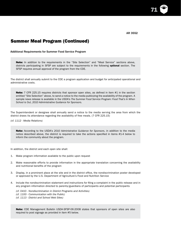71

### Summer Meal Program (Continued)

Additional Requirements for Summer Food Service Program

Note: In addition to the requirements in the "Site Selection" and "Meal Service" sections above, districts participating in SFSP are subject to the requirements in the following **optional** section. The SFSP requires annual approval of the program from the CDE.

The district shall annually submit to the CDE a program application and budget for anticipated operational and administrative costs.

Note: 7 CFR 225.15 requires districts that sponsor open sites, as defined in item #1 in the section entitled "Site Selection" above, to send a notice to the media publicizing the availability of the program. A sample news release is available in the USDA's *The Summer Food Service Program: Food That's In When School is Out*, *2010 Administrative Guidance for Sponsors.*

The Superintendent or designee shall annually send a notice to the media serving the area from which the district draws its attendance regarding the availability of free meals. (7 CFR 225.15)

*(cf. 1112 - Media Relations)*

Note: According to the USDA's *2010 Administrative Guidance for Sponsors*, in addition to the media notice described above, the district is required to take the actions specified in items #1-4 below to inform the community about the program.

In addition, the district and each open site shall:

- 1. Make program information available to the public upon request
- 2. Make reasonable efforts to provide information in the appropriate translation concerning the availability and nutritional benefits of the program
- 3. Display, in a prominent place at the site and in the district office, the nondiscrimination poster developed or approved by the U.S. Department of Agriculture's Food and Nutrition Service
- 4. Include the nondiscrimination statement and instructions for filing a complaint in the public release and in any program information directed to parents/guardians of participants and potential participants
	- *(cf. 0410 Nondiscrimination in District Programs and Activities) (cf. 1100 - Communication with the Public) (cf. 1113 - District and School Web Sites)*

Note: CDE Management Bulletin USDA-SFSP-06-2008 states that sponsors of open sites are also required to post signage as provided in item #5 below.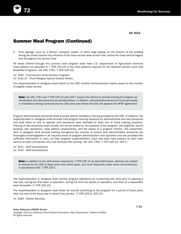

AR 3552

### Summer Meal Program (Continued)

5. Post signage, such as a banner, marquee, poster, or other large display on the exterior of the building facing the street nearest the entrance of the meal service area at each site, before the meal service begins and throughout the service time

All meals offered through the summer meal program shall meet U.S. Department of Agriculture minimum meal patterns as specified in 7 CFR 225.16 or the meal patterns required for the National School Lunch and Breakfast Programs. (42 USC 1761; 7 CFR 225.16)

*(cf. 3550 - Food Service/Child Nutrition Program) (cf. 5141.27 - Food Allergies/Special Dietary Needs)*

The Superintendent or designee shall submit to the CDE monthly reimbursement claims based on the number of eligible meals served.

Note: 42 USC 1761 and 7 CFR 225.15 and 225.7 require the district to provide training for program administrative and site personnel as provided below. In addition, administrative personnel must participate in mandatory training conducted by the CDE each year before the CDE will approve the SFSP agreement.

Program administrative personnel shall annually attend mandatory training provided by the CDE. In addition, the Superintendent or designee shall annually hold program training sessions for administrative and site personnel and shall allow no site to operate until personnel have attended at least one of these training sessions. Training of site personnel shall include, but not be limited to, the purpose of the program, site eligibility, record keeping, site operations, meal pattern requirements, and the duties of a program monitor. The Superintendent or designee shall provide training throughout the summer to ensure that administrative personnel are thoroughly knowledgeable in all required areas of program administration and operation and are provided with sufficient information to carry out their program responsibilities. Each site shall have present at each meal service at least one person who has received this training. (42 USC 1761; 7 CFR 225.15, 225.7)

*(cf. 4231 - Staff Development) (cf. 4331 - Staff Development)*

> Note: In addition to the self-reviews required by 7 CFR 225.15 as described below, districts are subject to reviews by the CDE at least once every three years, and more frequently under some circumstances, in accordance with 7 CFR 225.7.

The Superintendent or designee shall monitor program operations by conducting site visits prior to opening a new site, during the first week of operation, during the first four weeks of operation, and then at a reasonable level thereafter. (7 CFR 225.15)

The Superintendent or designee shall retain all records pertaining to the program for a period of three years after the end of the fiscal year to which they pertain. (7 CFR 225.6, 225.15)

*(cf. 3580 - District Records)*

*Policy Reference UPDATE Service Copyright 2012 by California School Boards Association, West Sacramento, California 95691* All rights reserved.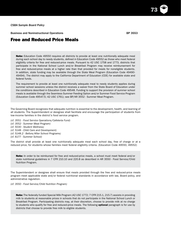Business and Noninstructional Operations **BP** 3553

### Free and Reduced Price Meals

Note: Education Code 49550 requires all districts to provide at least one nutritionally adequate meal during each school day to needy students, defined in Education Code 49552 as those who meet federal eligibility criteria for free and reduced-price meals. Pursuant to 42 USC 1758 and 1773, districts that participate in the National School Lunch and/or Breakfast Program may receive reimbursement for free and reduced-price meals at a higher rate than that provided for meals for noneligible students. In addition, state funding may be available through the State Meal Program (Education Code 49490- 49494). The district may apply to the California Department of Education (CDE) for available state and federal funds.

The requirement to provide at least one nutritionally adequate meal to needy students applies during summer school sessions unless the district receives a waiver from the State Board of Education under the conditions described in Education Code 49548. Funding to support the provision of summer school meals is available through the Seamless Summer Feeding Option and/or Summer Food Service Program (Education Code 49547.5; 42 USC 1761); see BP/AR 3552 - Summer Meal Program.

The Governing Board recognizes that adequate nutrition is essential to the development, health, and learning of all students. The Superintendent or designee shall facilitate and encourage the participation of students from low-income families in the district's food service program.

*(cf. 3551 - Food Service Operations/Cafeteria Fund) (cf. 3552 - Summer Meal Program) (cf. 5030 - Student Wellness) (cf. 5148 - Child Care and Development) (cf. 5148.2 - Before/After School Programs) (cf. 6177 - Summer School)*

The district shall provide at least one nutritionally adequate meal each school day, free of charge or at a reduced price, for students whose families meet federal eligibility criteria. (Education Code 49550, 49552)

Note: In order to be reimbursed for free and reduced-price meals, a school must meet federal and/or state nutritional guidelines in 7 CFR 210.10 and 220.8 as described in AR 3550 - Food Service/Child Nutrition Program.

The Superintendent or designee shall ensure that meals provided through the free and reduced-price meals program meet applicable state and/or federal nutritional standards in accordance with law, Board policy, and administrative regulation.

*(cf. 3550 - Food Service/Child Nutrition Program)*

Note: The federally funded Special Milk Program (42 USC 1772; 7 CFR 215.1, 215.7) assists in providing milk to students at reasonable prices in schools that do not participate in the National School Lunch or Breakfast Program. Participating districts may, at their discretion, choose to provide milk at no charge to students who qualify for free and reduced-price meals. The following **optional** paragraph is for use by districts that choose to provide free milk to eligible students.

73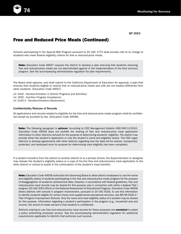

## Free and Reduced Price Meals (Continued)

Schools participating in the Special Milk Program pursuant to 42 USC 1772 shall provide milk at no charge to students who meet federal eligibility criteria for free or reduced-price meals.

Note: Education Code 49557 requires the district to develop a plan ensuring that students receiving free and reduced-price meals are not discriminated against in the implementation of the food services program. See the accompanying administrative regulation for plan requirements.

The Board shall approve, and shall submit to the California Department of Education for approval, a plan that ensures that students eligible to receive free or reduced-price meals and milk are not treated differently from other students. (Education Code 49557)

*(cf. 0410 - Nondiscrimination in District Programs and Activities) (cf. 3555 - Nutrition Program Compliance) (cf. 5145.3 - Nondiscrimination/Harassment)*

### Confidentiality/Release of Records

All applications and records related to eligibility for the free and reduced-price meals program shall be confidential except as provided by law. (Education Code 49558)

Note: The following paragraph is optional. According to CDE Management Bulletin NSD-SNP-12-2010, Education Code 49558 does not prohibit the sharing of free and reduced-price meal application information to other districts/schools for the purpose of determining students' eligibility. The district may provide either the student's application or only the student's name and eligibility status. The CDE urges districts to develop agreements with other districts regarding how the data will be shared, transported, protected, and destroyed once its purpose for determining meal eligibility has been completed.

If a student transfers from the district to another district or to a private school, the Superintendent or designee may release the student's eligibility status or a copy of his/her free and reduced-price meal application to the other district or school to assist in the continuation of the student's meal benefits.

Note: Education Code 49558 authorizes the Governing Board to allow district employees to use the name and eligibility status of students participating in the free and reduced-price meals program for the purpose of disaggregation of academic achievement data. However, in accordance with federal guidelines, free and reduced-price meal records may be shared for this purpose only in connection with either a federal Title I program (20 USC 6301-6514) or the National Assessment of Educational Progress. Education Code 49558 allows districts with schools in program improvement, pursuant to 20 USC 6316, to use this information to identify students eligible for school choice and supplemental educational services; see BP/AR 0520.2 -Title I Program Improvement Schools. Only the name and meal eligibility status of a student may be shared for this purpose. Information regarding a student's participation in the program (e.g., household size and income, the record of meals served to that student) is confidential.

Districts wishing to use free and reduced-price meal records for these purposes are **mandated** to adopt a policy authorizing employee access. See the accompanying administrative regulation for additional requirements applicable to districts that authorize such access.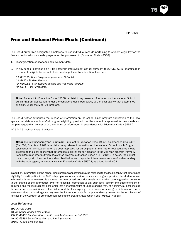75

## Free and Reduced Price Meals (Continued)

The Board authorizes designated employees to use individual records pertaining to student eligibility for the free and reduced-price meals program for the purposes of: (Education Code 49558)

1. Disaggregation of academic achievement data

2. In any school identified as a Title I program improvement school pursuant to 20 USC 6316, identification of students eligible for school choice and supplemental educational services

*(cf. 0520.2 - Title I Program Improvement Schools) (cf. 5125 - Student Records) (cf. 6162.51 - Standardized Testing and Reporting Program) (cf. 6171 - Title I Programs)*

Note: Pursuant to Education Code 49558, a district may release information on the National School Lunch Program application, under the conditions described below, to the local agency that determines eligibility under the Medi-Cal program.

The Board further authorizes the release of information on the school lunch program application to the local agency that determines Medi-Cal program eligibility, provided that the student is approved for free meals and the parent/guardian consents to the sharing of information in accordance with Education Code 49557.2.

*(cf. 5141.6 - School Health Services)*

Note: The following paragraph is optional. Pursuant to Education Code 49558, as amended by AB 402 (Ch. 504, Statutes of 2011), a district may release information on the National School Lunch Program application of any student who has been approved for participation in the free or reduced-price meals program to the local agency that determines eligibility for participation in the CalFresh program (formerly Food Stamp) or other nutrition assistance program authorized under 7 CFR 210.1. To do so, the district must comply with the conditions described below and may enter into a memorandum of understanding with the local agency in accordance with Education Code 49557.3, as added by AB 402.

In addition, information on the school lunch program application may be released to the local agency that determines eligibility for participation in the CalFresh program or other nutrition assistance program, provided the student whose information is to be released is approved for free or reduced-price meals and his/her parent/guardian consents to the sharing of the information. Prior to releasing information to any such local agency, the Superintendent or designee and the local agency shall enter into a memorandum of understanding that, at a minimum, shall include the roles and responsibilities of the district and the local agency, the process for sharing the information, and a statement that the local agency may use the information only for purposes directly related to the enrollment of families in the CalFresh or other nutrition assistance program. (Education Code 49557.3, 49558)

### Legal Reference:

#### *EDUCATION CODE*

*48980 Notice at beginning of term 49430-49436 Pupil Nutrition, Health, and Achievement Act of 2001 49490-49494 School breakfast and lunch programs 49500-49505 School meals*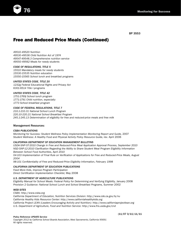

# Free and Reduced Price Meals (Continued)

*49510-49520 Nutrition 49530-49536 Child Nutrition Act of 1974 49547-49548.3 Comprehensive nutrition service 49550-49562 Meals for needy students*

### *CODE OF REGULATIONS, TITLE 5*

*15510 Mandatory meals for needy students 15530-15535 Nutrition education 15550-15565 School lunch and breakfast programs*

### *UNITED STATES CODE, TITLE 20*

*1232g Federal Educational Rights and Privacy Act 6301-6514 Title I programs*

### *UNITED STATES CODE, TITLE 42*

*1751-1769j School lunch program 1771-1791 Child nutrition, especially: 1773 School breakfast program*

### *CODE OF FEDERAL REGULATIONS, TITLE 7*

*210.1-210.31 National School Lunch Program 220.10-220.21 National School Breakfast Program 245.1-245.13 Determination of eligibility for free and reduced-price meals and free milk*

### Management Resources:

### *CSBA PUBLICATIONS*

*Monitoring for Success: Student Wellness Policy Implementation Monitoring Report and Guide,* 2007 Student Wellness: A Healthy Food and Physical Activity Policy Resource Guide, rev. April 2006

### *CALIFORNIA DEPARTMENT OF EDUCATION MANAGEMENT BULLETINS*

*USDA-SNP-07-2010 Change in Free and Reduced-Price Meal Application Approval Process, September 2010 NSD-SNP-12-2010 Clarification Regarding the Ability to Share Student Meal Program Eligibility Information Between School Food Authorities, April 2010*

*04-103 Implementation of Final Rule on Verification of Applications for Free and Reduced-Price Meals, August 2004*

*98-101 Confidentiality of Free and Reduced-Price Eligibility Information, February 1998*

### *CALIFORNIA DEPARTMENT OF EDUCATION PUBLICATIONS*

*Feed More Kids, Improve Program Participation Direct Certification Implementation Checklist,* May 2008

### *U.S. DEPARTMENT OF AGRICULTURE PUBLICATIONS*

*Eligibility Manual for School Meals: Federal Policy for Determining and Verifying Eligibility,* January 2008 *Provision 2 Guidance: National School Lunch and School Breakfast Programs,* Summer 2002

### *WEB SITES*

*CSBA: http://www.csba.org*

*California Department of Education, Nutrition Services Division: http://www.cde.ca.gov/ls/nu California Healthy Kids Resource Center: http://www.californiahealthykids.org California Project LEAN (Leaders Encouraging Activity and Nutrition): http://www.californiaprojectlean.org U.S. Department of Agriculture, Food and Nutrition Service: http://www.fns.usda.gov/cnd*

### *Policy Reference UPDATE Service*

(11/07 3/11) 11/11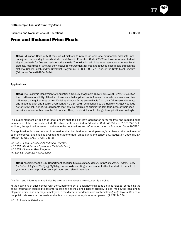Business and Noninstructional Operations **AR 3553** AR 3553

### Free and Reduced Price Meals

Note: Education Code 49550 requires all districts to provide at least one nutritionally adequate meal during each school day to needy students, defined in Education Code 49552 as those who meet federal eligibility criteria for free and reduced-price meals. The following administrative regulation is for use by all districts, regardless of whether they receive reimbursement for free and reduced-price meals through the National School Lunch and/or Breakfast Program (42 USC 1758, 1773) and/or the State Meal Program (Education Code 49490-49494).

### Applications

Note: The California Department of Education's (CDE) Management Bulletin USDA-SNP-07-2010 clarifies that it is the responsibility of the district to ensure that applications for free and reduced-price meals and free milk meet the requirements of law. Model application forms are available from the CDE in several formats and in both English and Spanish. Pursuant to 42 USC 1758, as amended by the Healthy, Hunger-Free Kids Act of 2010 (P.L. 111-296), applicants may only be required to submit the last four digits of their social security numbers rather than the full number. Thus, the district should change its application accordingly.

The Superintendent or designee shall ensure that the district's application form for free and reduced-price meals and related materials include the statements specified in Education Code 49557 and 7 CFR 245.5. In addition, the application packet may include the notifications and information listed in Education Code 49557.2.

The application form and related information shall be distributed to all parents/guardians at the beginning of each school year and shall be available to students at all times during the school day. (Education Code 48980, 49520; 42 USC 1758; 7 CFR 245.5)

*(cf. 3550 - Food Service/Child Nutrition Program) (cf. 3551 - Food Service Operations/Cafeteria Fund) (cf. 3552 - Summer Meal Program) (cf. 5145.6 - Parental Notifications)*

Note: According to the U.S. Department of Agriculture's *Eligibility Manual for School Meals: Federal Policy for Determining and Verifying Eligibility*, households enrolling a new student after the start of the school year must also be provided an application and related materials.

The form and information shall also be provided whenever a new student is enrolled.

At the beginning of each school year, the Superintendent or designee shall send a public release, containing the same information supplied to parents/guardians and including eligibility criteria, to local media, the local unemployment office, and any major employers in the district attendance area contemplating large layoffs. Copies of the public release shall be made available upon request to any interested person. (7 CFR 245.5)

*(cf. 1112 - Media Relations)*

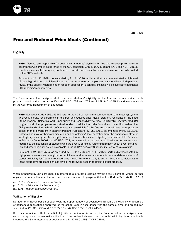

# Free and Reduced Price Meals (Continued)

### Eligibility

Note: Districts are responsible for determining students' eligibility for free and reduced-price meals in accordance with criteria established by the CDE consistent with 42 USC 1758 and 1773 and 7 CFR 245.3. Family income levels that qualify for free or reduced-price meals, by household size, are annually posted on the CDE's web site.

Pursuant to 42 USC 1769c, as amended by P.L. 111-296, a district that has demonstrated a high level of, or a high risk for, administrative error may be required to implement a second-level, independent review of the eligibility determination for each application. Such districts also will be subject to additional CDE reporting requirements.

The Superintendent or designee shall determine students' eligibility for the free and reduced-price meals program based on the criteria specified in 42 USC 1758 and 1773 and 7 CFR 245.1-245.13 and made available by the California Department of Education.

Note: Education Code 49561-49562 require the CDE to maintain a computerized data-matching system to directly certify, for enrollment in the free and reduced-price meals program, recipients of the Food Stamp Program, California Work Opportunity and Responsibility to Kids (CalWORKS) Program, Medi-Cal program, and other programs authorized for direct certification under federal law. Under this system, the CDE provides districts with a list of students who are eligible for the free and reduced-price meals program based on their enrollment in another program. Pursuant to 42 USC 1758, as amended by P.L. 111-196, districts also may, at their own discretion and by obtaining documentation from the appropriate state or local agency, directly certify as eligible a student who is homeless, migratory, or a foster child. Pursuant to Education Code 49561 and 42 USC 1758, as amended, no additional application or further action is required by the household of students who are directly certified. Further information about direct certification and other eligibility issues is available in the USDA's *Eligibility Guidance for School Meals Manual*.

Pursuant to 42 USC 1759a, as amended by P.L. 111-296, and 7 CFR 245.9, certain districts located in high poverty areas may be eligible to participate in alternative processes for annual determinations of student eligibility for free and reduced-price meals (Provisions 1, 2, 3, and 4). Districts participating in these alternative processes should revise the following section to reflect district practice.

When authorized by law, participants in other federal or state programs may be directly certified, without further application, for enrollment in the free and reduced-price meals program. (Education Code 49561; 42 USC 1758)

*(cf. 6173 - Education for Homeless Children) (cf. 6173.1 - Education for Foster Youth) (cf. 6175 - Migrant Education Program)*

### Verification of Eligibility

Not later than November 15 of each year, the Superintendent or designee shall verify the eligibility of a sample of household applications approved for the school year in accordance with the sample sizes and procedures specified in 42 USC 1758 and 7 CFR 245.6a. (42 USC 1758; 7 CFR 245.6a)

If the review indicates that the initial eligibility determination is correct, the Superintendent or designee shall verify the approved household application. If the review indicates that the initial eligibility determination is incorrect, the Superintendent or designee shall: (42 USC 1758; 7 CFR 245.6a)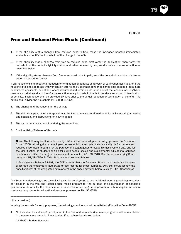AR 3553

79

## Free and Reduced Price Meals (Continued)

- 1. If the eligibility status changes from reduced price to free, make the increased benefits immediately available and notify the household of the change in benefits
- 2. If the eligibility status changes from free to reduced price, first verify the application, then notify the household of the correct eligibility status, and, when required by law, send a notice of adverse action as described below
- 3. If the eligibility status changes from free or reduced price to paid, send the household a notice of adverse action as described below

If any household is to receive a reduction or termination of benefits as a result of verification activities, or if the household fails to cooperate with verification efforts, the Superintendent or designee shall reduce or terminate benefits, as applicable, and shall properly document and retain on file in the district the reasons for ineligibility. He/she also shall send a notice of adverse action to any household that is to receive a reduction or termination of benefits. Such notice shall be provided 10 days prior to the actual reduction or termination of benefits. The notice shall advise the household of: (7 CFR 245.6a)

- 1. The change and the reasons for the change
- 2. The right to appeal, when the appeal must be filed to ensure continued benefits while awaiting a hearing and decision, and instructions on how to appeal
- 3. The right to reapply at any time during the school year
- 4. Confidentiality/Release of Records

Note: The following section is for use by districts that have adopted a policy, pursuant to Education Code 49558, allowing district employees to use individual records of students eligible for the free and reduced-price meals program for the purpose of disaggregation of academic achievement data and for the identification of students eligible for public school choice and supplemental educational services in schools identified for program improvement pursuant to 20 USC 6316. See the accompanying Board policy and BP/AR 0520.2 - Title I Program Improvement Schools.

In Management Bulletin 98-101, the CDE advises that the Governing Board must designate by name or job title the employee(s) authorized to use records for these purposes. Districts should identify the specific title(s) of the designated employee(s) in the space provided below, such as Title I Coordinator.

The Superintendent designates the following district employee(s) to use individual records pertaining to student participation in the free and reduced-price meals program for the purpose of disaggregation of academic achievement data or for the identification of students in any program improvement school eligible for school choice and supplemental educational services pursuant to 20 USC 6316:

(title or position)

In using the records for such purposes, the following conditions shall be satisfied: (Education Code 49558)

1. No individual indicators of participation in the free and reduced-price meals program shall be maintained in the permanent records of any student if not otherwise allowed by law.

*(cf. 5125 - Student Records)*

\_\_\_\_\_\_\_\_\_\_\_\_\_\_\_\_\_\_\_\_\_\_\_\_\_\_\_\_\_\_\_\_\_\_\_\_\_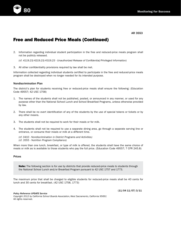

AR 3553

# Free and Reduced Price Meals (Continued)

2. Information regarding individual student participation in the free and reduced-price meals program shall not be publicly released.

*(cf. 4119.23/4219.23/4319.23 - Unauthorized Release of Confidential/Privileged Information)*

3. All other confidentiality provisions required by law shall be met.

Information collected regarding individual students certified to participate in the free and reduced-price meals program shall be destroyed when no longer needed for its intended purpose.

### Nondiscrimination Plan

The district's plan for students receiving free or reduced-price meals shall ensure the following: (Education Code 49557; 42 USC 1758)

- 1. The names of the students shall not be published, posted, or announced in any manner, or used for any purpose other than the National School Lunch and School Breakfast Programs, unless otherwise provided by law.
- 2. There shall be no overt identification of any of the students by the use of special tokens or tickets or by any other means.
- 3. The students shall not be required to work for their meals or for milk.
- 4. The students shall not be required to use a separate dining area, go through a separate serving line or entrance, or consume their meals or milk at a different time.
	- *(cf. 0410 Nondiscrimination in District Programs and Activities) (cf. 3555 - Nutrition Program Compliance)*

When more than one lunch, breakfast, or type of milk is offered, the students shall have the same choice of meals or milk as is available to those students who pay the full price. (Education Code 49557; 7 CFR 245.8)

### Prices

Note: The following section is for use by districts that provide reduced-price meals to students through the National School Lunch and/or Breakfast Program pursuant to 42 USC 1757 and 1773.

The maximum price that shall be charged to eligible students for reduced-price meals shall be 40 cents for lunch and 30 cents for breakfast. (42 USC 1758, 1773)

*Policy Reference UPDATE Service*

(11/04 11/07) 3/11

*Copyright 2012 by California School Boards Association, West Sacramento, California 95691* All rights reserved.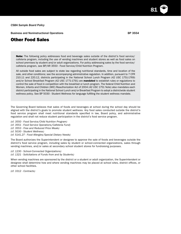Business and Noninstructional Operations **BP** 3554

### Other Food Sales

**Note:** The following policy addresses food and beverage sales outside of the district's food service/ cafeteria program, including the use of vending machines and student stores as well as food sales on school premises by student and/or adult organizations. For policy addressing sales by the food service/ cafeteria program, see BP/AR 3550 - Food Service/Child Nutrition Program.

All outside food sales are subject to state law regarding nutritional standards, time and location of the sale, and other conditions; see the accompanying administrative regulation. In addition, pursuant to 7 CFR 210.11 and 220.12, districts participating in the National School Lunch Program (42 USC 1751-1769) and/or School Breakfast Program (42 USC 1771-1791) are mandated to establish rules or regulations to control the sale of food in competition with the breakfast or lunch program. The federal Child Nutrition and Women, Infants and Children (WIC) Reauthorization Act of 2004 (42 USC 1751 Note) also mandates each district participating in the National School Lunch and/or Breakfast Program to adopt a districtwide student wellness policy. See BP 5030 - Student Wellness for language fulfilling the student wellness mandate.

The Governing Board believes that sales of foods and beverages at school during the school day should be aligned with the district's goals to promote student wellness. Any food sales conducted outside the district's food service program shall meet nutritional standards specified in law, Board policy, and administrative regulation and shall not reduce student participation in the district's food service program.

- *(cf. 3550 Food Service/Child Nutrition Program)*
- *(cf. 3551 Food Service Operations/Cafeteria Fund)*
- *(cf. 3553 Free and Reduced Price Meals)*
- *(cf. 5030 Student Wellness)*
- *(cf. 5141.27 Food Allergies/Special Dietary Needs)*

The Board authorizes the Superintendent or designee to approve the sale of foods and beverages outside the district's food service program, including sales by student or school-connected organizations, sales through vending machines, and/or sales at secondary school student stores for fundraising purposes.

- *(cf. 1230 School-Connected Organizations)*
- *(cf. 1321 Solicitations of Funds from and by Students)*

When vending machines are sponsored by the district or a student or adult organization, the Superintendent or designee shall determine how and where vending machines may be placed at school sites, district offices, or other school facilities.

*(cf. 3312 - Contracts)*

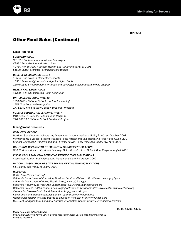

# Other Food Sales (Continued)

Legal Reference:

### *EDUCATION CODE*

*35182.5 Contracts, non-nutritious beverages 48931 Authorization and sale of food 49430-49436 Pupil Nutrition, Health, and Achievement Act of 2001 51520 School premises; prohibited solicitations*

### *CODE OF REGULATIONS, TITLE 5*

*15500 Food sales in elementary schools 15501 Sales in high schools and junior high schools 15575-15578 Requirements for foods and beverages outside federal meals program*

### *HEALTH AND SAFETY CODE*

*113700-114437 California Retail Food Code*

### *UNITED STATES CODE, TITLE 42*

*1751-1769h National School Lunch Act, including: 1751 Note Local wellness policy 1771-1791 Child nutrition, School Breakfast Program*

### *CODE OF FEDERAL REGULATIONS, TITLE 7*

*210.1-210.31 National School Lunch Program 220.1-220.21 National School Breakfast Program*

### Management Resources:

### *CSBA PUBLICATIONS*

*Nutrition Standards for Schools: Implications for Student Wellness,* Policy Brief, rev. October 2007 *Monitoring for Success: Student Wellness Policy Implementation Monitoring Report and Guide,* 2007 Student Wellness: A Healthy Food and Physical Activity Policy Resource Guide, rev. April 2006

*CALIFORNIA DEPARTMENT OF EDUCATION MANAGEMENT BULLETINS 06-110 Restrictions on Food and Beverage Sales Outside of the School Meal Program, August 2006*

*FISCAL CRISIS AND MANAGEMENT ASSISTANCE TEAM PUBLICATIONS Associated Student Body Accounting Manual and Desk Reference,* 2002

*NATIONAL ASSOCIATION OF STATE BOARDS OF EDUCATION PUBLICATIONS*

*Fit, Healthy and Ready to Learn,* 2000

### *WEB SITES*

*CSBA: http://www.csba.org California Department of Education, Nutrition Services Division: http://www.cde.ca.gov/ls/nu California Department of Public Health: http://www.cdph.ca.gov California Healthy Kids Resource Center: http://www.californiahealthykids.org California Project LEAN (Leaders Encouraging Activity and Nutrition): http://www.californiaprojectlean.org Centers for Disease Control and Prevention: http://www.cdc.gov Fiscal Crisis and Management Assistance Team: http://www.fcmat.org National Association of State Boards of Education (NASBE): http://www.nasbe.org U.S. Dept. of Agriculture, Food and Nutrition Information Center: http://www.nal.usda.gov/fnic*

### *Policy Reference UPDATE Service*

*Copyright 2012 by California School Boards Association, West Sacramento, California 95691* All rights reserved.

### (11/03 11/05) 11/07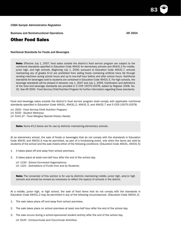Business and Noninstructional Operations **AR 3554 AR 3554** 

### Other Food Sales

### Nutritional Standards for Foods and Beverages

Note: Effective July 1, 2007, food sales outside the district's food service program are subject to the nutritional standards specified in Education Code 49431 for elementary schools and 49431.2 for middle, junior high, and high schools. Beginning July 1, 2009, pursuant to Education Code 49431.7, schools maintaining any of grades K-12 are prohibited from selling foods containing artificial trans fat through vending machines during school hours and up to one-half hour before and after school hours. Nutritional standards for beverages sold to students are contained in Education Code 49431.5. For high schools, the beverage standards will be phased in between July 1, 2007 and July 1, 2009. Clarification and definitions of the food and beverage standards are provided in 5 CCR 15575-15578, added by Register 2008, No. 32. See AR 3550 - Food Service/Child Nutrition Program for further information regarding these standards.

Food and beverage sales outside the district's food service program shall comply with applicable nutritional standards specified in Education Code 49431, 49431.2, 49431.5, and 49431.7 and 5 CCR 15575-15578.

*(cf. 3550 - Food Service/Child Nutrition Program) (cf. 5030 - Student Wellness) (cf. 5141.27 - Food Allergies/Special Dietary Needs)*

Note: Items #1-2 below are for use by districts maintaining elementary schools.

At an elementary school, the sale of foods or beverages that do not comply with the standards in Education Code 49431 and 49431.5 may be permitted, as part of a fundraising event, only when the items are sold by students of the school and the sale meets either of the following conditions: (Education Code 49431, 49431.5)

- 1. It takes place off and away from school premises.
- 2. It takes place at least one-half hour after the end of the school day.
	- *(cf. 1230 School-Connected Organizations)*
	- *(cf. 1321 Solicitations of Funds from and by Students)*

Note: The remainder of this section is for use by districts maintaining middle, junior high, and/or high schools and should be revised as necessary to reflect the type(s) of schools in the district.

At a middle, junior high, or high school, the sale of food items that do not comply with the standards in Education Code 49431.2 may be permitted in any of the following circumstances: (Education Code 49431.2)

- 1. The sale takes place off and away from school premises.
- 2. The sale takes place on school premises at least one-half hour after the end of the school day.
- 3. The sale occurs during a school-sponsored student activity after the end of the school day.

*(cf. 6145 - Extracurricular and Cocurricular Activities)*

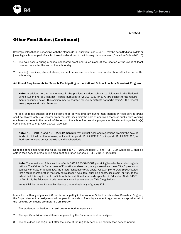

## Other Food Sales (Continued)

Beverage sales that do not comply with the standards in Education Code 49431.5 may be permitted at a middle or junior high school as part of a school event under either of the following circumstances: (Education Code 49431.5)

- 1. The sale occurs during a school-sponsored event and takes place at the location of the event at least one-half hour after the end of the school day.
- 2. Vending machines, student stores, and cafeterias are used later than one-half hour after the end of the school day.

Additional Requirements for Schools Participating in the National School Lunch or Breakfast Program

Note: In addition to the requirements in the previous section, schools participating in the National School Lunch and/or Breakfast Program pursuant to 42 USC 1757 or 1773 are subject to the requirements described below. This section may be adapted for use by districts not participating in the federal meal programs at their discretion.

The sale of foods outside of the district's food service program during meal periods in food service areas shall be allowed only if all income from the sale, including the sale of approved foods or drinks from vending machines, accrues to the benefit of the school, the school food service program, or the student organization(s) sponsoring the sale. (7 CFR 210.11, 220.12)

Note: 7 CFR 210.11 and 7 CFR 220.12 mandate that district rules and regulations prohibit the sale of foods of minimal nutritional value, as listed in Appendix B of 7 CFR 210 or Appendix B of 7 CFR 220, in food service areas during breakfast and lunch periods.

No foods of minimal nutritional value, as listed in 7 CFR 210, Appendix B, and 7 CFR 220, Appendix B, shall be sold in food service areas during breakfast and lunch periods. (7 CFR 210.11, 220.12)

Note: The remainder of this section reflects 5 CCR 15500-15501 pertaining to sales by student organizations. The California Department of Education advises that, in any case where these Title 5 provisions conflict with state or federal law, the stricter language would apply. For example, 5 CCR 15500 states that a student organization may only sell a dessert-type item, such as a pastry, ice cream, or fruit. To the extent that this requirement conflicts with the nutritional standards specified in Education Code 94931 or 49431.2, the Education Code provisions would supersede the Title 5 regulations.

Items #1-7 below are for use by districts that maintain any of grades K-8.

In a school with any of grades K-8 that is participating in the National School Lunch and/or Breakfast Program, the Superintendent or designee shall not permit the sale of foods by a student organization except when all of the following conditions are met: (5 CCR 15500)

- 1. The student organization shall sell only one food item per sale.
- 2. The specific nutritious food item is approved by the Superintendent or designee.
- 3. The sale does not begin until after the close of the regularly scheduled midday food service period.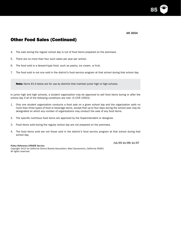AR 3554

85

# Other Food Sales (Continued)

- 4. The sale during the regular school day is not of food items prepared on the premises.
- 5. There are no more than four such sales per year per school.
- 6. The food sold is a dessert-type food, such as pastry, ice cream, or fruit.
- 7. The food sold is not one sold in the district's food service program at that school during that school day.

Note: Items #1-4 below are for use by districts that maintain junior high or high schools.

In junior high and high schools, a student organization may be approved to sell food items during or after the school day if all of the following conditions are met: (5 CCR 15501)

- 1. Only one student organization conducts a food sale on a given school day and the organization sells no more than three types of food or beverage items, except that up to four days during the school year may be designated on which any number of organizations may conduct the sale of any food items.
- 2. The specific nutritious food items are approved by the Superintendent or designee.
- 3. Food items sold during the regular school day are not prepared on the premises.
- 4. The food items sold are not those sold in the district's food service program at that school during that school day.

#### *Policy Reference UPDATE Service*

(11/03 11/05) 11/07

*Copyright 2012 by California School Boards Association, West Sacramento, California 95691* All rights reserved.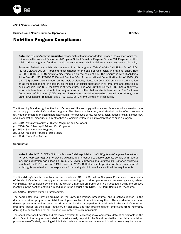

Business and Noninstructional Operations **BP** 3555

### Nutrition Program Compliance

Note: The following policy is mandated for any district that receives federal financial assistance for its participation in the National School Lunch Program, School Breakfast Program, Special Milk Program, or other child nutrition programs. Districts that do not receive any such financial assistance may delete this policy.

State and federal law prohibit discrimination in such programs. Title VI of the Civil Rights Act of 1964 (42 USC 2000d-2000d-7) prohibits discrimination on the basis of race, color, and national origin. Title IX (20 USC 1681-1688) prohibits discrimination on the basis of sex. The Americans with Disabilities Act (ADA) (42 USC 12101-12213) and Section 504 of the Vocational Rehabilitation Act of 1973 (29 USC 794) prohibit discrimination on the basis of disability. Education Code 220 prohibits discrimination on all those bases and, in addition, on the basis of sexual orientation in all programs and activities in public schools. The U.S. Department of Agriculture, Food and Nutrition Service (FNS) has authority to enforce federal laws in all nutrition programs and activities that receive federal funds. The California Department of Education (CDE) may also investigate complaints regarding discrimination through the Uniform Complaint Procedure, see BP/AR 1312.3 - Uniform Complaint Procedures.

The Governing Board recognizes the district's responsibility to comply with state and federal nondiscrimination laws as they apply to the district's nutrition programs. The district shall not deny any individual the benefits or service of any nutrition program or discriminate against him/her because of his/her race, color, national origin, gender, sex, sexual orientation, disability, or any other basis prohibited by law, in its implementation of such a program.

- *(cf. 0410 Nondiscrimination in District Programs and Activities)*
- *(cf. 3550 Food Service/Child Nutrition Program)*
- *(cf. 3552 Summer Meal Program)*
- *(cf. 3553 Free and Reduced Price Meals)*
- *(cf. 5030 Student Wellness)*

### Coordinator

Note: In March 2010, CDE's Nutrition Services Division published its *Civil Rights and Complaint Procedures for Child Nutrition Programs* to provide guidance and directions to enable districts comply with federal law. The publication was based on FNS's *Civil Rights Compliance and Enforcement - Nutrition Programs and Activities*, FNS Instruction 113-1, issued in 2005. Both documents provide for the appointment of a civil rights coordinator to be responsible for ensuring district compliance with all the requirements.

The Board designates the compliance officer specified in AR 1312.3 - Uniform Complaint Procedures as coordinator of the district's efforts to comply with the laws governing its nutrition programs and to investigate any related complaints. Any complaint concerning the district's nutrition programs shall be investigated using the process identified in the section entitled "Procedures" in the district's AR 1312.3 - Uniform Complaint Procedures.

#### *(cf. 1312.3 - Uniform Complaint Procedures)*

The coordinator shall provide training on the laws, regulations, procedures, and directives related to the district's nutrition programs to district employees involved in administering them. The coordinator also shall develop procedures and systems that do not restrict the participation of individuals in the district's nutrition programs, based on their race, ethnicity, or disability, and that prevent district employees from incorrectly denying the applications for participation submitted by such individuals.

The coordinator shall develop and maintain a system for collecting racial and ethnic data of participants in the district's nutrition programs and shall, at least annually, report to the Board on whether the district's nutrition programs are effectively reaching eligible individuals and whether and where additional outreach may be needed.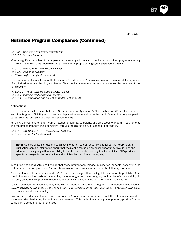87

## Nutrition Program Compliance (Continued)

*(cf. 5022 - Students and Family Privacy Rights) (cf. 5125 - Student Records)*

When a significant number of participants or potential participants in the district's nutrition programs are only non-English speakers, the coordinator shall make an appropriate language translation available.

*(cf. 5020 - Parent Rights and Responsibilities) (cf. 6020 - Parent Involvement) (cf. 6174 - English Language Learners)*

The coordinator also shall ensure that the district's nutrition programs accommodate the special dietary needs of any individual with a disability who has on file a medical statement that restricts his/her diet because of his/ her disability.

*(cf. 5141.27 - Food Allergies/Special Dietary Needs) (cf. 6159 - Individualized Education Program) (cf. 6164.6 - Identification and Education Under Section 504)*

### **Notifications**

The coordinator shall ensure that the U.S. Department of Agriculture's "And Justice for All" or other approved Nutrition Programs Civil Rights posters are displayed in areas visible to the district's nutrition program participants, such as food service areas and school offices.

Annually, the coordinator shall notify all students, parents/guardians, and employees of program requirements and the procedures for filing a complaint, through the district's usual means of notification.

*(cf. 4112.9/4212.9/4312.9 - Employee Notifications) (cf. 5145.6 - Parental Notifications)*

Note: As part of its instructions to all recipients of federal funds, FNS requires that every program publication contain information about that recipient's status as an equal opportunity provider and the address of the agency with responsibility to handle complaints made against the recipient. FNS provides specific language for the notification and prohibits its modification in any way.

In addition, the coordinator shall ensure that every informational release, publication, or poster concerning the district's nutrition programs and/or activities includes, in a prominent location, the following statement:

"In accordance with federal law and U.S. Department of Agriculture policy, this institution is prohibited from discriminating on the basis of race, color, national origin, sex, age, religion, political beliefs, or disability. In addition, California law prohibits discrimination on any basis identified in Government Code 12940.

To file a complaint of discrimination, write USDA, Director, Office of Civil Rights, 1400 Independence Avenue, S.W., Washington, D.C. 20250-9410 or call (800) 795-3272 (voice) or (202) 720-6382 (TTY). USDA is an equal opportunity provider and employer."

However, if the document is no more than one page and there is no room to print the full nondiscrimination statement, the district may instead use the statement "This institution is an equal opportunity provider" in the same print size as the rest of the text.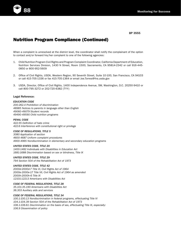

# Nutrition Program Compliance (Continued)

When a complaint is unresolved at the district level, the coordinator shall notify the complainant of the option to contact and/or forward his/her complaint to one of the following agencies:

- 1. Child Nutrition Program Civil Rights and Program Complaint Coordinator, California Department of Education, Nutrition Services Division, 1430 N Street, Room 1500, Sacramento, CA 95814-2342 or call 916-445- 0850 or 800-952-5609
- 2. Office of Civil Rights, USDA, Western Region, 90 Seventh Street, Suite 10-100, San Francisco, CA 94103 or call 415-705-1336 or fax 415-705-1364 or email Joe.Torres@fns.usda.gov
- 3. USDA, Director, Office of Civil Rights, 1400 Independence Avenue, SW, Washington, D.C. 20250-9410 or call 800-795-3272 or 202-720-6382 (TYY)

### Legal Reference:

### *EDUCATION CODE*

*200-262.4 Prohibition of discrimination 48985 Notices to parents in language other than English 49060-49079 Student records 49490-49590 Child nutrition programs*

#### *PENAL CODE*

*422.55 Definition of hate crime 422.6 Interference with constitutional right or privilege*

### *CODE OF REGULATIONS, TITLE 5*

*3080 Application of section 4600-4687 Uniform complaint procedures 4900-4965 Nondiscrimination in elementary and secondary education programs*

### *UNITED STATES CODE, TITLE 20*

*1400-1482 Individuals with Disabilities in Education Act 1681-1688 Discrimination based on sex or blindness, Title IX*

### *UNITED STATES CODE, TITLE 29*

*794 Section 504 of the Rehabilitation Act of 1973*

### *UNITED STATES CODE, TITLE 42*

*2000d-2000d-7 Title VI, Civil Rights Act of 1964 2000e-2000e-17 Title VII, Civil Rights Act of 1964 as amended 2000h-2000h-6 Title IX 12101-12213 Americans with Disabilities Act*

*CODE OF FEDERAL REGULATIONS, TITLE 28*

*35.101-35.190 Americans with Disabilities Act 36.303 Auxiliary aids and services*

### *CODE OF FEDERAL REGULATIONS, TITLE 34*

*100.1-100.13 Nondiscrimination in federal programs, effectuating Title VI 104.1-104.39 Section 504 of the Rehabilitation Act of 1973 106.1-106.61 Discrimination on the basis of sex, effectuating Title IX, especially: 106.9 Dissemination of policy*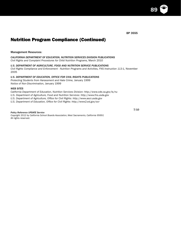# Nutrition Program Compliance (Continued)

### Management Resources:

### *CALIFORNIA DEPARTMENT OF EDUCATION, NUTRITION SERVICES DIVISION PUBLICATIONS*

*Civil Rights and Complaint Procedures for Child Nutrition Programs,* March 2010

### *U.S. DEPARTMENT OF AGRICULTURE, FOOD AND NUTRITION SERVICE PUBLICATIONS*

*Civil Rights Compliance and Enforcement - Nutrition Programs and Activities, FNS Instruction 113-1,* November 2005

### *U.S. DEPARTMENT OF EDUCATION, OFFICE FOR CIVIL RIGHTS PUBLICATIONS*

*Protecting Students from Harassment and Hate Crime,* January 1999 *Notice of Non-Discrimination,* January 1999

### *WEB SITES*

*California Department of Education, Nutrition Services Division: http://www.cde.ca.gov/ls/nu*

*U.S. Department of Agriculture, Food and Nutrition Services: http://www.fns.usda.gov*

*U.S. Department of Agriculture, Office for Civil Rights: http://www.ascr.usda.gov*

*U.S. Department of Education, Office for Civil Rights: http://www2.ed.gov/ocr*

### *Policy Reference UPDATE Service*

*Copyright 2012 by California School Boards Association, West Sacramento, California 95691* All rights reserved.

7/10

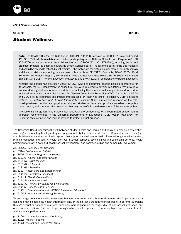*CSBA Sample Board Policy*

Students BP 5030

Note: The Healthy, Hunger-Free Kids Act of 2010 (P.L. 111-296) repealed 42 USC 1751 Note and added 42 USC 1758b which **mandates** each district participating in the National School Lunch Program (42 USC 1751-1769) or any program in the Child Nutrition Act of 1966 (42 USC 1771-1791), including the School Breakfast Program, to adopt a districtwide school wellness policy. The following policy fulfills this mandate and should be revised to reflect district practice. Other policies in the district's policy manual will likely contain additional provisions supporting this wellness policy, such as BP 3312 - Contracts, BP/AR 3550 - Food Service/Child Nutrition Program, BP/AR 3553 - Free and Reduced Price Meals, BP/AR 3554 - Other Food Sales, BP/AR 6142.7 - Physical Education and Activity, and BP/AR 6142.8 - Comprehensive Health Education.

Although the district has discretion under 42 USC 1758b to determine specific policies appropriate for its schools, the U.S. Department of Agriculture (USDA) is required to develop regulations that provide a framework and guidelines to assist districts in establishing their student wellness policies and to provide technical assistance through the Centers for Disease Control and Prevention (CDC). Currently the USDA and CDC provide resources and implementation tools on their web sites. In addition, CSBA's *Student Wellness: A Healthy Food and Physical Activity Policy Resource Guide* summarizes research on the relationship between nutrition and physical activity and student achievement, provides worksheets for policy development, and contains other resources that may be useful in the development of the wellness policy.

The following paragraph links student wellness with the components of a coordinated school health approach recommended in the California Department of Education's (CDE) *Health Framework for California Public Schools* and may be revised to reflect district practice.

The Governing Board recognizes the link between student health and learning and desires to provide a comprehensive program promoting healthy eating and physical activity for district students. The Superintendent or designee shall build a coordinated school health system that supports and reinforces health literacy through health education, physical education and activity, health services, nutrition services, psychological and counseling services, health promotion for staff, a safe and healthy school environment, and parent/guardian and community involvement.

*(cf. 3513.3 - Tobacco-Free Schools) (cf. 3514 - Environmental Safety) (cf. 3555 - Nutrition Program Compliance) (cf. 5131.6 - Alcohol and Other Drugs) (cf. 5131.61 - Drug Testing) (cf. 5131.62 - Tobacco) (cf. 5131.63 - Steroids) (cf. 5141 - Health Care and Emergencies) (cf. 5141.22 - Infectious Diseases) (cf. 5141.3 - Health Examinations) (cf. 5141.31 - Immunizations) (cf. 5141.32 - Health Screening for School Entry) (cf. 5141.6 - School Health Services) (cf. 6142.1 - Sexual Health and HIV/AIDS Prevention Education) (cf. 6164.2 - Guidance/Counseling Services)*

To encourage consistent health messages between the home and school environment, the Superintendent or designee may disseminate health information and/or the district's student wellness policy to parents/guardians through district or school newsletters, handouts, parent/guardian meetings, district and school web sites, and other communications. Outreach to parents/guardians shall emphasize the relationship between student health and academic performance.

*(cf. 1100 - Communication with the Public) (cf. 1112 - Media Relations) (cf. 1113 - District and School Web Sites)*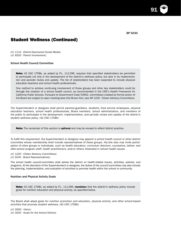91

## Student Wellness (Continued)

*(cf. 1114 - District-Sponsored Social Media) (cf. 6020 - Parent Involvement)*

### School Health Council/Committee

Note: 42 USC 1758b, as added by P.L. 111-296, requires that specified stakeholders be permitted to participate not only in the development of the district's wellness policy, but also in its implementation and periodic review and update. The list of stakeholders has been expanded to include physical education teachers and school health professionals.

One method to achieve continuing involvement of those groups and other key stakeholders could be through the creation of a school health council, as recommended in the CDE's *Health Framework for California Public Schools*. Pursuant to Government Code 54952, committees created by formal action of the Board are subject to open meeting laws (the Brown Act); see AR 1220 - Citizen Advisory Committees.

The Superintendent or designee shall permit parents/guardians, students, food service employees, physical education teachers, school health professionals, Board members, school administrators, and members of the public to participate in the development, implementation, and periodic review and update of the district's student wellness policy. (42 USC 1758b)

Note: The remainder of this section is optional and may be revised to reflect district practice.

To fulfill this requirement, the Superintendent or designee may appoint a school health council or other district committee whose membership shall include representatives of these groups. He/she also may invite participation of other groups or individuals, such as health educators, curriculum directors, counselors, before- and after-school program staff, health practitioners, and/or others interested in school health issues.

*(cf. 1220 - Citizen Advisory Committees) (cf. 9140 - Board Representatives)*

The school health council/committee shall advise the district on health-related issues, activities, policies, and programs. At the discretion of the Superintendent or designee, the duties of the council/committee may also include the planning, implementation, and evaluation of activities to promote health within the school or community.

#### Nutrition and Physical Activity Goals

Note: 42 USC 1758b, as added by P.L. 111-296, mandates that the district's wellness policy include goals for nutrition education and physical activity, as specified below.

The Board shall adopt goals for nutrition promotion and education, physical activity, and other school-based activities that promote student wellness. (42 USC 1758b)

*(cf. 0000 - Vision) (cf. 0200 - Goals for the School District)*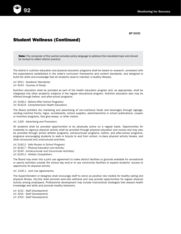# Student Wellness (Continued)

Note: The remainder of this section provides policy language to address this mandated topic and should be revised to reflect district practice.

The district's nutrition education and physical education programs shall be based on research, consistent with the expectations established in the state's curriculum frameworks and content standards, and designed to build the skills and knowledge that all students need to maintain a healthy lifestyle.

*(cf. 6011 - Academic Standards) (cf. 6143 - Courses of Study)*

Nutrition education shall be provided as part of the health education program and, as appropriate, shall be integrated into other academic subjects in the regular educational program. Nutrition education also may be offered through before- and after-school programs.

*(cf. 5148.2 - Before/After School Programs) (cf. 6142.8 - Comprehensive Health Education)*

The Board prohibits the marketing and advertising of non-nutritious foods and beverages through signage, vending machine fronts, logos, scoreboards, school supplies, advertisements in school publications, coupon or incentive programs, free give-aways, or other means.

*(cf. 1325 - Advertising and Promotion)*

All students shall be provided opportunities to be physically active on a regular basis. Opportunities for moderate to vigorous physical activity shall be provided through physical education and recess and may also be provided through school athletic programs, extracurricular programs, before- and after-school programs, programs encouraging students to walk or bicycle to and from school, in-class physical activity breaks, and other structured and unstructured activities.

*(cf. 5142.2 - Safe Routes to School Program) (cf. 6142.7 - Physical Education and Activity) (cf. 6145 - Extracurricular and Cocurricular Activities) (cf. 6145.2 - Athletic Competition)*

The Board may enter into a joint use agreement to make district facilities or grounds available for recreational or sports activities outside the school day and/or to use community facilities to expand students' access to opportunity for physical activity.

*(cf. 1330.1 - Joint Use Agreements)*

The Superintendent or designee shall encourage staff to serve as positive role models for healthy eating and physical fitness. He/she shall promote work-site wellness and may provide opportunities for regular physical activity among employees. Professional development may include instructional strategies that assess health knowledge and skills and promote healthy behaviors.

*(cf. 4131 - Staff Development) (cf. 4231 - Staff Development) (cf. 4331 - Staff Development)*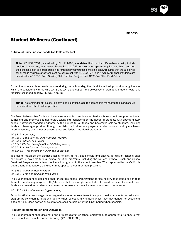93

# Student Wellness (Continued)

Nutritional Guidelines for Foods Available at School

Note: 42 USC 1758b, as added by P.L. 111-296, mandates that the district's wellness policy include nutritional guidelines, as specified below. P.L. 111-296 repealed the separate requirement that mandated the district's policy to include guidelines for federally reimbursable meals, but now requires that the guidelines for all foods available at school must be consistent with 42 USC 1773 and 1779. Nutritional standards are described in AR 3550 - Food Service/Child Nutrition Program and AR 3554 - Other Food Sales.

For all foods available on each campus during the school day, the district shall adopt nutritional guidelines which are consistent with 42 USC 1773 and 1779 and support the objectives of promoting student health and reducing childhood obesity. (42 USC 1758b)

Note: The remainder of this section provides policy language to address this mandated topic and should be revised to reflect district practice.

The Board believes that foods and beverages available to students at district schools should support the health curriculum and promote optimal health, taking into consideration the needs of students with special dietary needs. Nutritional standards adopted by the district for all foods and beverages sold to students, including foods and beverages provided through the district's food service program, student stores, vending machines, or other venues, shall meet or exceed state and federal nutritional standards.

*(cf. 3312 - Contracts) (cf. 3550 - Food Service/Child Nutrition Program) (cf. 3554 - Other Food Sales) (cf. 5141.27 - Food Allergies/Special Dietary Needs) (cf. 5148 - Child Care and Development) (cf. 5148.3 - Preschool/Early Childhood Education)*

In order to maximize the district's ability to provide nutritious meals and snacks, all district schools shall participate in available federal school nutrition programs, including the National School Lunch and School Breakfast Programs and after-school snack programs, to the extent possible. When approved by the California Department of Education, the district may sponsor a summer meal program.

*(cf. 3552 - Summer Meal Program) (cf. 3553 - Free and Reduced Price Meals)*

The Superintendent or designee shall encourage school organizations to use healthy food items or non-food items for fundraising purposes. He/she also shall encourage school staff to avoid the use of non-nutritious foods as a reward for students' academic performance, accomplishments, or classroom behavior.

*(cf. 1230 - School-Connected Organizations)*

School staff shall encourage parents/guardians or other volunteers to support the district's nutrition education program by considering nutritional quality when selecting any snacks which they may donate for occasional class parties. Class parties or celebrations shall be held after the lunch period when possible.

### Program Implementation and Evaluation

The Superintendent shall designate one or more district or school employees, as appropriate, to ensure that each school site complies with this policy. (42 USC 1758b)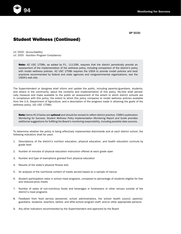## Student Wellness (Continued)

*(cf. 0500 - Accountability) (cf. 3555 - Nutrition Program Compliance)*

> Note: 42 USC 1758b, as added by P.L. 111-296, requires that the district periodically provide an assessment of the implementation of the wellness policy, including comparison of the district's policy with model wellness policies. 42 USC 1758b requires the USDA to provide model policies and best practices recommended by federal and state agencies and nongovernmental organizations; see the USDA's web site.

The Superintendent or designee shall inform and update the public, including parents/guardians, students, and others in the community, about the contents and implementation of this policy. He/she shall periodically measure and make available to the public an assessment of the extent to which district schools are in compliance with this policy, the extent to which this policy compares to model wellness policies available from the U.S. Department of Agriculture, and a description of the progress made in attaining the goals of the wellness policy. (42 USC 1758b)

Note: Items #1-9 below are optional and should be revised to reflect district practice. CSBA's publication *Monitoring for Success: Student Wellness Policy Implementation Monitoring Report and Guide* provides additional suggestions for fulfilling the Board's monitoring responsibility, including possible data sources.

To determine whether the policy is being effectively implemented districtwide and at each district school, the following indicators shall be used:

- 1. Descriptions of the district's nutrition education, physical education, and health education curricula by grade level
- 2. Number of minutes of physical education instruction offered at each grade span
- 3. Number and type of exemptions granted from physical education
- 4. Results of the state's physical fitness test
- 5. An analysis of the nutritional content of meals served based on a sample of menus
- 6. Student participation rates in school meal programs, compared to percentage of students eligible for free and reduced-price meals
- 7. Number of sales of non-nutritious foods and beverages in fundraisers or other venues outside of the district's meal programs
- 8. Feedback from food service personnel, school administrators, the school health council, parents/ guardians, students, teachers, before- and after-school program staff, and/or other appropriate persons
- 9. Any other indicators recommended by the Superintendent and approved by the Board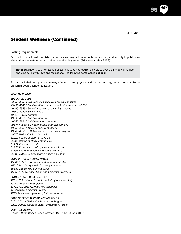95

# Student Wellness (Continued)

### Posting Requirements

Each school shall post the district's policies and regulations on nutrition and physical activity in public view within all school cafeterias or in other central eating areas. (Education Code 49432)

Note: Education Code 49432 authorizes, but does not require, schools to post a summary of nutrition and physical activity laws and regulations. The following paragraph is optional.

Each school shall also post a summary of nutrition and physical activity laws and regulations prepared by the California Department of Education.

#### *Legal Reference:*

#### *EDUCATION CODE*

*33350-33354 CDE responsibilities re: physical education 49430-49436 Pupil Nutrition, Health, and Achievement Act of 2001 49490-49494 School breakfast and lunch programs 49500-49505 School meals 49510-49520 Nutrition 49530-49536 Child Nutrition Act 49540-49546 Child care food program 49547-49548.3 Comprehensive nutrition services 49550-49561 Meals for needy students 49565-49565.8 California Fresh Start pilot program 49570 National School Lunch Act 51210 Course of study, grades 1-6 51220 Course of study, grades 7-12 51222 Physical education 51223 Physical education, elementary schools 51795-51796.5 School instructional gardens 51880-51921 Comprehensive health education*

### *CODE OF REGULATIONS, TITLE 5*

*15500-15501 Food sales by student organizations 15510 Mandatory meals for needy students 15530-15535 Nutrition education 15550-15565 School lunch and breakfast programs*

### *UNITED STATES CODE, TITLE 42*

*1751-1769 National School Lunch Program, especially: 1758b Local wellness policy 1771-1791 Child Nutrition Act, including: 1773 School Breakfast Program 1779 Rules and regulations, Child Nutrition Act*

### *CODE OF FEDERAL REGULATIONS, TITLE 7*

*210.1-210.31 National School Lunch Program 220.1-220.21 National School Breakfast Program*

### *COURT DECISIONS*

*Frazer v. Dixon Unified School District,* (1993) 18 Cal.App.4th 781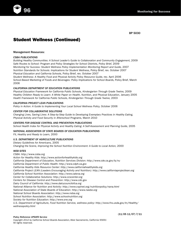

# Student Wellness (Continued)

### Management Resources:

### *CSBA PUBLICATIONS*

Building Healthy Communities: A School Leader's Guide to Collaboration and Community Engagement, 2009 Safe Routes to School: Program and Policy Strategies for School Districts, Policy Brief, 2009 *Monitoring for Success: Student Wellness Policy Implementation Monitoring Report and Guide,* 2007 *Nutrition Standards for Schools: Implications for Student Wellness,* Policy Brief, rev. October 2007 *Physical Education and California Schools,* Policy Brief, rev. October 2007 Student Wellness: A Healthy Food and Physical Activity Policy Resource Guide, rev. April 2006 School-Based Marketing of Foods and Beverages: Policy Implications for School Boards, Policy Brief, March 2006

### *CALIFORNIA DEPARTMENT OF EDUCATION PUBLICATIONS*

Physical Education Framework for California Public Schools, Kindergarten Through Grade Twelve, 2009 Healthy Children Ready to Learn: A White Paper on Health, Nutrition, and Physical Education, January 2005 Health Framework for California Public Schools, Kindergarten Through Grade Twelve, 2003

### *CALIFORNIA PROJECT LEAN PUBLICATIONS*

Policy in Action: A Guide to Implementing Your Local School Wellness Policy, October 2006

### *CENTER FOR COLLABORATIVE SOLUTIONS*

*Changing Lives, Saving Lives: A Step-by-Step Guide to Developing Exemplary Practices in Healthy Eating, Physical Activity and Food Security in Afterschool Programs,* March 2010

### *CENTERS FOR DISEASE CONTROL AND PREVENTION PUBLICATIONS*

School Health Index for Physical Activity and Healthy Eating: A Self-Assessment and Planning Guide, 2005

### *NATIONAL ASSOCIATION OF STATE BOARDS OF EDUCATION PUBLICATIONS*

*Fit, Healthy and Ready to Learn,* 2000

### *U.S. DEPARTMENT OF AGRICULTURE PUBLICATIONS*

*Dietary Guidelines for Americans,* 2005 Changing the Scene, Improving the School Nutrition Environment: A Guide to Local Action, 2000

### *WEB SITES*

*CSBA: http://www.csba.org Action for Healthy Kids: http://www.actionforhealthykids.org California Department of Education, Nutrition Services Division: http://www.cde.ca.gov/ls/nu California Department of Public Health: http://www.cdph.ca.gov California Healthy Kids Resource Center: http://www.californiahealthykids.org California Project LEAN (Leaders Encouraging Activity and Nutrition): http://www.californiaprojectlean.org California School Nutrition Association: http://www.calsna.org Center for Collaborative Solutions: http://www.ccscenter.org Centers for Disease Control and Prevention: http://www.cdc.gov Dairy Council of California: http://www.dairycouncilofca.org National Alliance for Nutrition and Activity: http://www.cspinet.org/nutritionpolicy/nana.html National Association of State Boards of Education: http://www.nasbe.org National School Boards Association: http://www.nsba.org School Nutrition Association: http://www.schoolnutrition.org Society for Nutrition Education: http://www.sne.org U.S. Department of Agriculture, Food Nutrition Service, wellness policy: http://www.fns.usda.gov/tn/Healthy/ wellnesspolicy.html*

#### *Policy Reference UPDATE Service*

(11/05 11/07) 7/11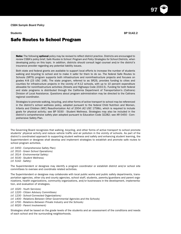97

### Safe Routes to School Program

Note: The following optional policy may be revised to reflect district practice. Districts are encouraged to review CSBA's policy brief, *Safe Routes to School: Program and Policy Strategies for School Districts*, when developing policy on this topic. In addition, districts should consult legal counsel and/or the district's insurance provider regarding any potential liability issues.

Both state and federal grants are available to support local efforts to increase the number of students walking and bicycling to school and to make it safer for them to do so. The federal Safe Routes to Schools (SRTS) program supports both infrastructure and noninfrastructure projects and focuses on grades K-8 (23 USC 148). The state program, referred to as SR2S, provides funding to cities and counties for infrastructure projects in the vicinity of K-12 schools, with up to 10 percent expenditure allowable for noninfrastructure activities (Streets and Highways Code 2333.5). Funding for both federal and state programs is distributed through the California Department of Transportation's (Caltrans) Division of Local Assistance. Questions about program administration may be directed to the Caltrans regional coordinator.

Strategies to promote walking, bicycling, and other forms of active transport to school may be referenced in the district's school wellness policy, adopted pursuant to the federal Child Nutrition and Women, Infants and Children (WIC) Reauthorization Act of 2004 (42 USC 1758b), which is required to include goals for physical activity; see BP 5030 - Student Wellness. Strategies may also be included in the district's comprehensive safety plan adopted pursuant to Education Code 32282; see AR 0450 - Comprehensive Safety Plan.

The Governing Board recognizes that walking, bicycling, and other forms of active transport to school promote students' physical activity and reduce vehicle traffic and air pollution in the vicinity of schools. As part of the district's coordinated approach to supporting student wellness and safety and enhancing student learning, the Superintendent or designee shall develop and implement strategies to establish and promote safe routes to school program activities.

*(cf. 0450 - Comprehensive Safety Plan)*

- *(cf. 3510 Green School Operations)*
- *(cf. 3514 Environmental Safety)*
- *(cf. 5030 Student Wellness)*
- *(cf. 5142 Safety)*

The Superintendent or designee may identify a program coordinator or establish district and/or school site committees to oversee and coordinate related activities.

The Superintendent or designee may collaborate with local public works and public safety departments, transportation agencies, other city and county agencies, school staff, students, parents/guardians and parent organizations, health organizations, community organizations, and/or businesses in the development, implementation, and evaluation of strategies.

*(cf. 1020 - Youth Services)*

- *(cf. 1220 Citizen Advisory Committees)*
- *(cf. 1230 School-Connected Organizations)*
- *(cf. 1400 Relations Between Other Governmental Agencies and the Schools)*
- *(cf. 1700 Relations Between Private Industry and the Schools)*
- *(cf. 6020 Parent Involvement)*

Strategies shall be based on the grade levels of the students and an assessment of the conditions and needs of each school and the surrounding neighborhoods.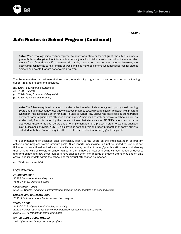

BP 5142.2

## Safe Routes to School Program (Continued)

**Note:** When local agencies partner together to apply for a state or federal grant, the city or county is generally the lead applicant for infrastructure funding. A school district may be named as the responsible agency for a federal grant if it partners with a city, county, or transportation agency. However, the district may collaborate to find funding sources and also may seek alternative funding sources for district projects and events that are not covered by a grant.

The Superintendent or designee shall explore the availability of grant funds and other sources of funding to support related projects and activities.

- *(cf. 1260 Educational Foundation)*
- *(cf. 3100 Budget)*
- *(cf. 3290 Gifts, Grants and Bequests)*
- *(cf. 7110 Facilities Master Plan)*

Note: The following optional paragraph may be revised to reflect indicators agreed upon by the Governing Board and Superintendent or designee to assess progress toward program goals. To assist with program evaluation, the National Center for Safe Routes to School (NCSRTS) has developed a standardized survey of parents/guardians' attitudes about allowing their child to walk or bicycle to school as well as student tally forms for recording the modes of travel that students use. NCSRTS recommends that a district use these forms both before and after implementation of a project in order to evaluate changes in attitudes and behaviors. NCSRTS also provides data analysis and report preparation of parent surveys and student tallies. Caltrans requires the use of these evaluation forms by grant recipients.

The Superintendent or designee shall periodically report to the Board on the implementation of program activities and progress toward program goals. Such reports may include, but not be limited to, levels of participation in promotional and educational activities, survey results of parent/guardian attitudes about allowing their child to walk or bicycle to school, tallies of the numbers of students using various modes of travel to and from school and how these numbers have changed over time, records of student attendance and on-time arrival, and injury data within the school and/or district attendance boundaries.

*(cf. 0500 - Accountability)*

### Legal Reference:

*EDUCATION CODE 32283 Comprehensive safety plan 45450-45451 Crossing guards*

*GOVERNMENT CODE 65352.2 General planning; communication between cities, counties and school districts*

### *STREETS AND HIGHWAYS CODE*

*2333.5 Safe routes to schools construction program*

### *VEHICLE CODE*

*21200-21212 Operation of bicycles, especially: 21212 Helmet required for bicycle, nonmotorized scooter, skateboard, skates 21949-21971 Pedestrian rights and duties*

### *UNITED STATES CODE, TITLE 23*

*148 Highway safety improvement program*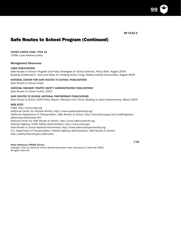BP 5142.2

# Safe Routes to School Program (Continued)

*UNITED STATES CODE, TITLE 42*

*1758b Local wellness policy*

### Management Resources:

### *CSBA PUBLICATIONS*

*Safe Routes to School: Program and Policy Strategies for School Districts,* Policy Brief, August 2009 *Building Collaboration: Tools and Ideas for Creating Active Living, Healthy Eating Communities,* August 2009

### *NATIONAL CENTER FOR SAFE ROUTES TO SCHOOL PUBLICATIONS*

*Safe Routes to School Guide*

### *NATIONAL HIGHWAY TRAFFIC SAFETY ADMINISTRATION PUBLICATIONS*

*Safe Routes to School Toolkit,* 2002

### *SAFE ROUTES TO SCHOOL NATIONAL PARTNERSHIP PUBLICATIONS*

Safe Routes to School 2009 Policy Report: Moving to the Future: Building on Early Achievements, March 2009

### *WEB SITES*

*CSBA: http://www.csba.org California Center for Physical Activity: http://www.caphysicalactivity.org California Department of Transportation, Safe Routes to School: http://www.dot.ca.gov/hq/LocalPrograms/ saferoutes/saferoutes.htm National Center for Safe Routes to School: http://www.saferoutesinfo.org National Highway Traffic Safety Administration: http://www.nhtsa.gov Safe Routes to School National Partnership: http://www.saferoutespartnership.org U.S. Department of Transportation, Federal Highway Administration, Safe Routes to School: http://safety.fhwa.dot.gov/saferoutes*

### *Policy Reference UPDATE Service*

*Copyright 2012 by California School Boards Association, West Sacramento, California 95691* All rights reserved.

7/09

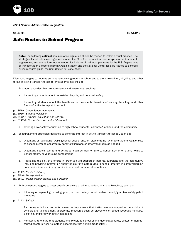*CSBA Sample Administrative Regulation*

Students AR 5142.2

## Safe Routes to School Program

Note: The following optional administrative regulation should be revised to reflect district practice. The strategies listed below are organized around the "five E's" (education, encouragement, enforcement, engineering, and evaluation) recommended for inclusion in all local programs by the U.S. Department of Transportation's Federal Highway Administration and the National Center for Safe Routes to School's online resource guide, the *Safe Routes to School Guide*.

District strategies to improve student safety along routes to school and to promote walking, bicycling, and other forms of active transport to school by students may include:

- 1. Education activities that promote safety and awareness, such as:
	- a. Instructing students about pedestrian, bicycle, and personal safety
	- b. Instructing students about the health and environmental benefits of walking, bicycling, and other forms of active transport to school
- *(cf. 3510 Green School Operations)*
- *(cf. 5030 Student Wellness)*
- *(cf. 6142.7 Physical Education and Activity)*
- *(cf. 6142.8 Comprehensive Health Education)*
	- c. Offering driver safety education to high school students, parents/guardians, and the community
- 2. Encouragement strategies designed to generate interest in active transport to school, such as:
	- a. Organizing or facilitating "walking school buses" and/or "bicycle trains" whereby students walk or bike to school in groups escorted by parents/guardians or other volunteers as needed
	- b. Organizing special events and activities, such as Walk or Bike to School Day, International Walk to School Month, or year-round competitions
	- c. Publicizing the district's efforts in order to build support of parents/guardians and the community, including providing information about the district's safe routes to school program in parent/guardian communications and in any notifications about transportation options

*(cf. 1112 - Media Relations)*

*(cf. 3540 - Transportation)*

- *(cf. 3541 Transportation Routes and Services)*
- 3. Enforcement strategies to deter unsafe behaviors of drivers, pedestrians, and bicyclists, such as:
	- a. Initiating or expanding crossing guard, student safety patrol, and/or parent/guardian safety patrol programs
- *(cf. 5142 Safety)*
	- b. Partnering with local law enforcement to help ensure that traffic laws are obeyed in the vicinity of schools and to implement appropriate measures such as placement of speed feedback monitors, ticketing, and/or driver safety campaigns
	- c. Monitoring to ensure that students who bicycle to school or who use skateboards, skates, or nonmotorized scooters wear helmets in accordance with Vehicle Code 21212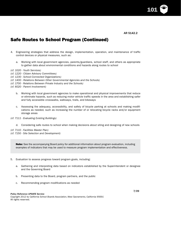AR 5142.2

101

# Safe Routes to School Program (Continued)

- 4. Engineering strategies that address the design, implementation, operation, and maintenance of traffic control devices or physical measures, such as:
	- a. Working with local government agencies, parents/guardians, school staff, and others as appropriate to gather data about environmental conditions and hazards along routes to school

*(cf. 1020 - Youth Services)*

*(cf. 1220 - Citizen Advisory Committees)*

*(cf. 1230 - School-Connected Organizations)*

*(cf. 1400 - Relations Between Other Governmental Agencies and the Schools)*

*(cf. 1700 - Relations Between Private Industry and the Schools)*

*(cf. 6020 - Parent Involvement)*

- b. Working with local government agencies to make operational and physical improvements that reduce or eliminate hazards, such as reducing motor vehicle traffic speeds in the area and establishing safer and fully accessible crosswalks, walkways, trails, and bikeways
- c. Assessing the adequacy, accessibility, and safety of bicycle parking at schools and making modifications as needed, such as increasing the number of or relocating bicycle racks and/or equipment storage areas
- *(cf. 7111 Evaluating Existing Buildings)*
	- d. Considering safe routes to school when making decisions about siting and designing of new schools

*(cf. 7110 - Facilities Master Plan) (cf. 7150 - Site Selection and Development)*

> Note: See the accompanying Board policy for additional information about program evaluation, including examples of indicators that may be used to measure program implementation and effectiveness.

- 5. Evaluation to assess progress toward program goals, including:
	- a. Gathering and interpreting data based on indicators established by the Superintendent or designee and the Governing Board
	- b. Presenting data to the Board, program partners, and the public
	- c. Recommending program modifications as needed

#### *Policy Reference UPDATE Service*

*Copyright 2012 by California School Boards Association, West Sacramento, California 95691* All rights reserved.

7/09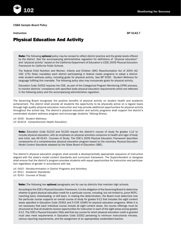

Instruction BP 6142.7

### Physical Education And Activity

Note: The following optional policy may be revised to reflect district practice and the grade levels offered by the district. See the accompanying administrative regulation for definitions of "physical education" and "physical activity" based on the California Department of Education's (CDE) 2009 *Physical Education Framework for California Public Schools*.

The federal Child Nutrition and Women, Infants and Children (WIC) Reauthorization Act of 2004 (42 USC 1751 Note) mandates each district participating in federal meals programs to adopt a districtwide student wellness policy, including goals for physical activity. See BP 5030 - Student Wellness for language fulfilling this mandate. The following policy also may incorporate goals for physical activity.

Education Code 33352 requires the CDE, as part of the Categorical Program Monitoring (CPM) process, to monitor districts' compliance with specified state physical education requirements which are reflected in the following policy and the accompanying administrative regulation.

The Governing Board recognizes the positive benefits of physical activity on student health and academic achievement. The district shall provide all students the opportunity to be physically active on a regular basis through high-quality physical education instruction and may provide additional opportunities for physical activity throughout the school day. The district's physical education and activity programs shall support the district's coordinated student wellness program and encourage students' lifelong fitness.

*(cf. 5030 - Student Wellness) (cf. 6142.8 - Comprehensive Health Education)*

Note: Education Code 51210 and 51220 require the district's course of study for grades 1-12 to include physical education, with an emphasis on physical activities conducive to health and vigor of body and mind; see AR 6143 - Courses of Study. The CDE's 2009 *Physical Education Framework* describes components of a comprehensive physical education program based on the voluntary *Physical Education Model Content Standards* adopted by the State Board of Education (SBE).

The district's physical education program shall provide a developmentally appropriate sequence of instruction aligned with the state's model content standards and curriculum framework. The Superintendent or designee shall ensure that the district's program provides students with equal opportunities for instruction and participation regardless of gender in accordance with law.

*(cf. 0410 - Nondiscrimination in District Programs and Activities) (cf. 6011 - Academic Standards) (cf. 6143 - Courses of Study)*

Note: The following two optional paragraphs are for use by districts that maintain high schools.

According to the CDE's *Physical Education Framework*, it is the obligation of the Governing Board to determine whether to grant physical education credit for a particular course, including, but not limited to, junior ROTC, marching band, cheerleading, or drill team. In making this determination, the Board must determine how the particular course supports an overall course of study for grades 9-12 that includes the eight content areas specified in Education Code 33352 and 5 CCR 10060 for physical education programs. While it is not necessary that each individual course include all eight content areas, the course offerings must be structured so that all students receive opportunities for instruction in each of the eight areas across grades 9-12. The CDE's *Physical Education FAQs* add that any course for which physical education credit is granted must also meet requirements in Education Code 33352 pertaining to minimum instructional minutes, various reporting requirements, and the assignment of an appropriately credentialed teacher.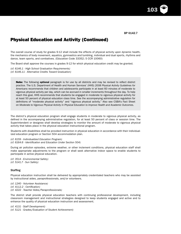103

# Physical Education and Activity (Continued)

The overall course of study for grades 9-12 shall include the effects of physical activity upon dynamic health, the mechanics of body movement, aquatics, gymnastics and tumbling, individual and dual sports, rhythms and dance, team sports, and combatives. (Education Code 33352; 5 CCR 10060)

The Board shall approve the courses in grades 9-12 for which physical education credit may be granted.

*(cf. 6146.1 - High School Graduation Requirements) (cf. 6146.11 - Alternative Credits Toward Graduation)*

Note: The following optional paragraph is for use by all districts and may be revised to reflect district practice. The U.S. Department of Health and Human Services' (HHS) *2008 Physical Activity Guidelines for Americans* recommends that children and adolescents participate in at least 60 minutes of moderate to vigorous physical activity per day, which can be accrued in smaller increments throughout the day. To help reach this goal, HHS recommends that students be engaged in moderate to vigorous physical activity for at least 50 percent of physical education class time. See the accompanying administrative regulation for definitions of "moderate physical activity" and "vigorous physical activity." Also see CSBA's Fact Sheet on *Moderate to Vigorous Physical Activity in Physical Education to Improve Health and Academic Outcomes*.

The district's physical education program shall engage students in moderate to vigorous physical activity, as defined in the accompanying administrative regulation, for at least 50 percent of class or session time. The Superintendent or designee shall develop strategies to monitor the amount of moderate to vigorous physical activity that takes place in the physical education instructional program.

Students with disabilities shall be provided instruction in physical education in accordance with their individualized education program or Section 504 accommodation plan.

*(cf. 6159 - Individualized Education Program) (cf. 6164.6 - Identification and Education Under Section 504)*

During air pollution episodes, extreme weather, or other inclement conditions, physical education staff shall make appropriate adjustments to the program or shall seek alternative indoor space to enable students to participate in active physical education.

*(cf. 3514 - Environmental Safety) (cf. 5141.7 - Sun Safety)*

### **Staffing**

Physical education instruction shall be delivered by appropriately credentialed teachers who may be assisted by instructional aides, paraprofessionals, and/or volunteers.

*(cf. 1240 - Volunteer Assistance) (cf. 4112.2 - Certification) (cf. 4222 - Teacher Aides/Paraprofessionals)*

The district shall provide physical education teachers with continuing professional development, including classroom management and instructional strategies designed to keep students engaged and active and to enhance the quality of physical education instruction and assessment.

*(cf. 4131 - Staff Development) (cf. 5121 - Grades/Evaluation of Student Achievement)*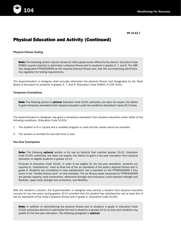

# Physical Education and Activity (Continued)

Physical Fitness Testing

Note: The following section may be revised to reflect grade levels offered by the district. Education Code 60800 requires districts to administer a physical fitness test to students in grades 5, 7, and 9. The SBE has designated FITNESSGRAM as the required physical fitness test. See the accompanying administrative regulation for testing requirements.

The Superintendent or designee shall annually administer the physical fitness test designated by the State Board of Education to students in grades 5, 7, and 9. (Education Code 60800; 5 CCR 1041)

### Temporary Exemptions

Note: The following section is optional. Education Code 51241 authorizes, but does not require, the district to grant temporary exemptions from physical education under the conditions described in items #1-2 below.

The Superintendent or designee may grant a temporary exemption from physical education under either of the following conditions: (Education Code 51241)

- 1. The student is ill or injured and a modified program to meet his/her needs cannot be provided.
- 2. The student is enrolled for one-half time or less.

### Two-Year Exemptions

Note: The following optional section is for use by districts that maintain grades 10-12. Education Code 51241 authorizes, but does not require, the district to grant a two-year exemption from physical education to eligible students in grades 10-12.

Pursuant to Education Code 51241, in order to be eligible for the two-year exemption, students are required to "satisfactorily" meet at least five of the six standards of the state's physical fitness test in grade 9. Students are considered to have satisfactorily met a standard on the FITNESSGRAM if they score in the "healthy fitness zone" on that standard. The six fitness areas measured by FITNESSGRAM are aerobic capacity, body composition, abdominal strength and endurance, trunk extensor strength and flexibility, upper body strength and endurance, and flexibility.

With the student's consent, the Superintendent or designee may exempt a student from physical education courses for any two years during grades 10-12 provided that the student has satisfactorily met at least five of the six standards of the state's physical fitness test in grade 9. (Education Code 51241)

Note: In addition to administering the physical fitness test to students in grade 9, Education Code 51241 authorizes districts to administer the test to students in grades 10-12 so that such students may qualify for the two-year exemption. The following paragraph is **optional**.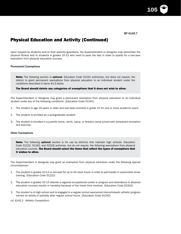105

# Physical Education and Activity (Continued)

Upon request by students and/or their parents/guardians, the Superintendent or designee may administer the physical fitness test to students in grades 10-12 who need to pass the test in order to qualify for a two-year exemption from physical education courses.

### Permanent Exemptions

**Note:** The following section is **optional**. Education Code 51241 authorizes, but does not require, the district to grant permanent exemptions from physical education to an individual student under the conditions described in items #1-3 below.

The Board should delete any categories of exemptions that it does not wish to allow.

The Superintendent or designee may grant a permanent exemption from physical education to an individual student under any of the following conditions: (Education Code 51241)

- 1. The student is age 16 years or older and has been enrolled in grade 10 for one or more academic years.
- 2. The student is enrolled as a postgraduate student.
- 3. The student is enrolled in a juvenile home, ranch, camp, or forestry camp school with scheduled recreation and exercise.

### Other Exemptions

Note: The following optional section is for use by districts that maintain high schools. Education Code 51222, 51242, and 52316 authorize, but do not require, the following exemptions from physical education courses. The Board should select the items that reflect the types of exemptions that it wishes to allow.

The Superintendent or designee may grant an exemption from physical education under the following special circumstances:

- 1. The student in grades 10-12 is excused for up to 24 clock hours in order to participate in automobile driver training. (Education Code 51222)
- 2. The student in grades 10-12 attends a regional occupational center or program and attendance in physical education courses results in hardship because of the travel time involved. (Education Code 52316)
- 3. The student is in high school and is engaged in a regular school-sponsored interscholastic athletic program carried on wholly or partially after regular school hours. (Education Code 51242)

*(cf. 6145.2 - Athletic Competition)*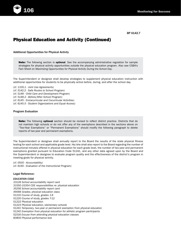# Physical Education and Activity (Continued)

Additional Opportunities for Physical Activity

**Note:** The following section is **optional**. See the accompanying administrative regulation for sample strategies for physical activity opportunities outside the physical education program. Also see CSBA's Fact Sheet on *Maximizing Opportunities for Physical Activity During the School Day*.

The Superintendent or designee shall develop strategies to supplement physical education instruction with additional opportunities for students to be physically active before, during, and after the school day.

*(cf. 1330.1 - Joint Use Agreements) (cf. 5142.2 - Safe Routes to School Program) (cf. 5148 - Child Care and Development Program) (cf. 5148.2 - Before/After School Program) (cf. 6145 - Extracurricular and Cocurricular Activities) (cf. 6145.5 - Student Organizations and Equal Access)*

### Program Evaluation

Note: The following optional section should be revised to reflect district practice. Districts that do not maintain high schools or do not offer any of the exemptions described in the sections above on "Two-Year Exemptions" or "Permanent Exemptions" should modify the following paragraph to delete reports of two-year and permanent exemptions.

The Superintendent or designee shall annually report to the Board the results of the state physical fitness testing for each school and applicable grade level. He/she shall also report to the Board regarding the number of instructional minutes offered in physical education for each grade level, the number of two-year and permanent exemptions granted pursuant to Education Code 51241, and any other data agreed upon by the Board and the Superintendent or designee to evaluate program quality and the effectiveness of the district's program in meeting goals for physical activity.

*(cf. 0500 - Accountability) (cf. 6190 - Evaluation of the Instructional Program)*

### Legal Reference:

### *EDUCATION CODE*

*33126 School accountability report card 33350-33354 CDE responsibilities re: physical education 35256 School accountability report card 49066 Grades; physical education class 51210 Course of study, grades 1-6 51220 Course of study, grades 7-12 51222 Physical education 51223 Physical education, elementary schools 51241 Temporary, two-year or permanent exemption from physical education 51242 Exemption from physical education for athletic program participants 52316 Excuse from attending physical education classes 60800 Physical performance test*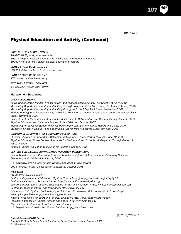107

# Physical Education and Activity (Continued)

### *CODE OF REGULATIONS, TITLE 5*

*1040-1048 Physical performance test 3051.5 Adapted physical education for individuals with exceptional needs 10060 Criteria for high school physical education programs*

### *UNITED STATES CODE, TITLE 29*

*794 Rehabilitation Act of 1973, Section 504*

*UNITED STATES CODE, TITLE 42 1751 Note Local wellness policy*

*ATTORNEY GENERAL OPINIONS*

53 *Ops.Cal.Atty.Gen.* 230 (1970)

### Management Resources:

### *CSBA PUBLICATIONS*

*Active Bodies, Active Minds: Physical Activity and Academic Achievement, Fact Sheet,* February 2010 *Maximizing Opportunities for Physical Activity Through Joint Use of Facilities,* Policy Brief, rev. February 2010 *Maximizing Opportunities for Physical Activity During the School Day, Fact Sheet, November 2009 Moderate to Vigorous Physical Activity in Physical Education to Improve Health and Academic Outcomes, Fact* Sheet, November 2009

Building Healthy Communities: A School Leader's Guide to Collaboration and Community Engagement, 2009 *Physical Education and California Schools,* Policy Brief, rev. October 2007 *Monitoring for Success: Student Wellness Policy Implementation Monitoring Report and Guide,* 2007 Student Wellness: A Healthy Food and Physical Activity Policy Resource Guide, rev. April 2006

### *CALIFORNIA DEPARTMENT OF EDUCATION PUBLICATIONS*

Physical Education Framework for California Public Schools: Kindergarten Through Grade 12, 2009 *Physical Education Model Content Standards for California Public Schools: Kindergarten Through Grade 12,*  January 2005

*Adapted Physical Education Guidelines for California Schools,* 2003

### *CENTERS FOR DISEASE CONTROL AND PREVENTION PUBLICATIONS*

*School Health Index for Physical Activity and Healthy Eating: A Self-Assessment and Planning Guide for Elementary and Middle/High Schools,* 2000

### *U.S. DEPARTMENT OF HEALTH AND HUMAN SERVICES PUBLICATIONS*

*2008 Physical Activity Guidelines for Americans,* October 2008

### *WEB SITES*

*CSBA: http://www.csba.org California Department of Education, Physical Fitness Testing: http://www.cde.ca.gov/ta/tg/pf California Healthy Kids Resource Center: http://www.californiahealthykids.org California Project LEAN (Leaders Encouraging Activity and Nutrition): http://www.californiaprojectlean.org Centers for Disease Control and Prevention: http://www.cdc.gov Educational Data System, California physical fitness: http://www.eddata.com/projects/current/cpf Healthy People 2010: http://www.healthypeople.gov National Association for Sport and Physical Education: http://www.aahperd.org/naspe President's Council on Physical Fitness and Sports: http://www.fitness.gov The California Endowment: http://www.calendow.org U.S. Department of Health and Human Services: http://www.health.gov*

#### *Policy Reference UPDATE Service*

*Copyright 2012 by California School Boards Association, West Sacramento, California 95691* All rights reserved.

(7/07 11/07) 2/10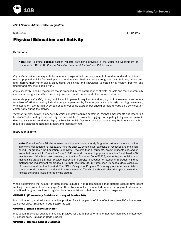## *CSBA Sample Administrative Regulation*

Instruction AR 6142.7

## Physical Education and Activity

## **Definitions**

Note: The following optional section reflects definitions provided in the California Department of Education's (CDE) 2009 *Physical Education Framework for California Public Schools.*

*Physical education* is a sequential educational program that teaches students to understand and participate in regular physical activity for developing and maintaining physical fitness throughout their lifetimes, understand and improve their motor skills, enjoy using their skills and knowledge to establish a healthy lifestyle, and understand how their bodies work.

*Physical activity* is bodily movement that is produced by the contraction of skeletal muscle and that substantially increases energy expenditure, including exercise, sport, dance, and other movement forms.

*Moderate physical activity* is any activity which generally requires sustained, rhythmic movements and refers to a level of effort a healthy individual might expend while, for example, walking briskly, dancing, swimming, or bicycling on level terrain. A person should feel some exertion but should be able to carry on a conversation comfortably during the activity.

*Vigorous physical activity* is any activity which generally requires sustained, rhythmic movements and refers to a level of effort a healthy individual might expend while, for example, jogging, participating in high-impact aerobic dancing, swimming continuous laps, or bicycling uphill. Vigorous physical activity may be intense enough to result in a significant increase in heart and respiration rate.

## Instructional Time

Note: Education Code 51210 requires the adopted course of study for grades 1-6 to include instruction in physical education for at least 200 minutes each 10 school days, exclusive of recesses and the lunch period. For grades 7-12, Education Code 51222 requires that all students, except students excused or exempted pursuant to Education Code 51241, attend courses of physical education for at least 400 minutes each 10 school days. However, pursuant to Education Code 51223, elementary school districts maintaining grades 1-8 must provide instruction in physical education for students in grades 7-8 that matches the requirement for grades 1-6 of not less than 200 minutes each 10 school days, exclusive of recesses and the lunch period. The CDE's Categorical Program Monitoring process reviews district compliance with these instructional time requirements. The district should select the option below that reflects the grade levels offered by the district.

When determining the number of instructional minutes, it is recommended that districts exclude time spent walking to and from class or engaging in other physical activity conducted outside the physical education instructional program, such as in regular classroom activities or before/after school programs.

### OPTION 1: (Elementary Districts with any of Grades 1-8)

Instruction in physical education shall be provided for a total period of time of not less than 200 minutes each 10 school days. (Education Code 51210, 51223)

## OPTION 2: (High School Districts)

Instruction in physical education shall be provided for a total period of time of not less than 400 minutes each 10 school days. (Education Code 51222)

#### OPTION 3: (Unified School Districts)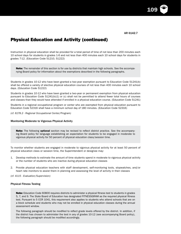109

# Physical Education and Activity (continued)

Instruction in physical education shall be provided for a total period of time of not less than 200 minutes each 10 school days for students in grades 1-6 and not less than 400 minutes each 10 school days for students in grades 7-12. (Education Code 51210, 51222)

Note: The remainder of this section is for use by districts that maintain high schools. See the accompanying Board policy for information about the exemptions described in the following paragraphs.

Students in grades 10-12 who have been granted a two-year exemption pursuant to Education Code 51241(b) shall be offered a variety of elective physical education courses of not less than 400 minutes each 10 school days. (Education Code 51222)

Students in grades 10-12 who have been granted a two-year or permanent exemption from physical education pursuant to Education Code 51241(b)(1) or (c) shall not be permitted to attend fewer total hours of courses and classes than they would have attended if enrolled in a physical education course. (Education Code 51241)

Students in a regional occupational program or center who are exempted from physical education pursuant to Education Code 52316 shall have a minimum school day of 180 minutes. (Education Code 52316)

*(cf. 6178.2 - Regional Occupational Center/Program)*

#### Monitoring Moderate to Vigorous Physical Activity

**Note:** The following **optional** section may be revised to reflect district practice. See the accompanying Board policy for language establishing an expectation for students to be engaged in moderate to vigorous physical activity for 50 percent of physical education class/session time.

To monitor whether students are engaged in moderate to vigorous physical activity for at least 50 percent of physical education class or session time, the Superintendent or designee may:

- 1. Develop methods to estimate the amount of time students spend in moderate to vigorous physical activity or the number of students who are inactive during physical education classes
- 2. Provide physical education teachers with staff development, self-monitoring tools, stopwatches, and/or heart rate monitors to assist them in planning and assessing the level of activity in their classes
- *(cf. 4115 Evaluation/Supervision)*

## Physical Fitness Testing

Note: Education Code 60800 requires districts to administer a physical fitness test to students in grades 5, 7, and 9. The State Board of Education has designated FITNESSGRAM as the required physical fitness test. Pursuant to 5 CCR 1041, this requirement also applies to students who attend schools that are on a block schedule and students who may not be enrolled in physical education classes during the annual assessment window.

The following paragraph should be modified to reflect grade levels offered by the district. In addition, if the district has chosen to administer the test in any of grades 10-12 (see accompanying Board policy), the following paragraph should be modified accordingly.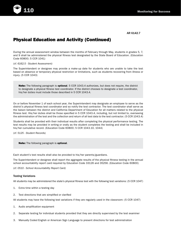

# Physical Education and Activity (Continued)

During the annual assessment window between the months of February through May, students in grades 5, 7, and 9 shall be administered the physical fitness test designated by the State Board of Education. (Education Code 60800; 5 CCR 1041)

*(cf. 6162.5 - Student Assessment)*

The Superintendent or designee may provide a make-up date for students who are unable to take the test based on absence or temporary physical restriction or limitations, such as students recovering from illness or injury. (5 CCR 1043)

Note: The following paragraph is optional. 5 CCR 1043.4 authorizes, but does not require, the district to designate a physical fitness test coordinator. If the district chooses to designate a test coordinator, his/her duties must include those described in 5 CCR 1043.4.

On or before November 1 of each school year, the Superintendent may designate an employee to serve as the district's physical fitness test coordinator and so notify the test contractor. The test coordinator shall serve as the liaison between the district and California Department of Education for all matters related to the physical fitness test. His/her duties shall be those specified in 5 CCR 1043.4, including, but not limited to, overseeing the administration of the test and the collection and return of all test data to the test contractor. (5 CCR 1043.4)

Students shall be provided with their individual results after completing the physical performance testing. The test results may be provided in writing or orally as the student completes the testing and shall be included in his/her cumulative record. (Education Code 60800; 5 CCR 1043.10, 1044)

*(cf. 5125 - Student Records)*

Note: The following paragraph is optional.

Each student's test results shall also be provided to his/her parents/guardians.

The Superintendent or designee shall report the aggregate results of the physical fitness testing in the annual school accountability report card required by Education Code 33126 and 35256. (Education Code 60800)

*(cf. 0510 - School Accountability Report Card)*

## Testing Variations

All students may be administered the state's physical fitness test with the following test variations: (5 CCR 1047)

- 1. Extra time within a testing day
- 2. Test directions that are simplified or clarified

All students may have the following test variations if they are regularly used in the classroom: (5 CCR 1047)

- 1. Audio amplification equipment
- 2. Separate testing for individual students provided that they are directly supervised by the test examiner
- 3. Manually Coded English or American Sign Language to present directions for test administration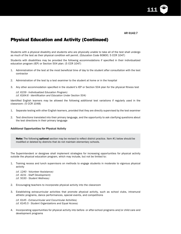111

# Physical Education and Activity (Continued)

Students with a physical disability and students who are physically unable to take all of the test shall undergo as much of the test as their physical condition will permit. (Education Code 60800; 5 CCR 1047)

Students with disabilities may be provided the following accommodations if specified in their individualized education program (IEP) or Section 504 plan: (5 CCR 1047)

- 1. Administration of the test at the most beneficial time of day to the student after consultation with the test contractor
- 2. Administration of the test by a test examiner to the student at home or in the hospital
- 3. Any other accommodation specified in the student's IEP or Section 504 plan for the physical fitness test
	- *(cf. 6159 Individualized Education Program) (cf. 6164.6 - Identification and Education Under Section 504)*

Identified English learners may be allowed the following additional test variations if regularly used in the classroom: (5 CCR 1048)

- 1. Separate testing with other English learners, provided that they are directly supervised by the test examiner
- 2. Test directions translated into their primary language, and the opportunity to ask clarifying questions about the test directions in their primary language

## Additional Opportunities for Physical Activity

Note: The following optional section may be revised to reflect district practice. Item #1 below should be modified or deleted by districts that do not maintain elementary schools.

The Superintendent or designee shall implement strategies for increasing opportunities for physical activity outside the physical education program, which may include, but not be limited to:

1. Training recess and lunch supervisors on methods to engage students in moderate to vigorous physical activity

*(cf. 1240 - Volunteer Assistance) (cf. 4231 - Staff Development) (cf. 5030 - Student Wellness)*

- 2. Encouraging teachers to incorporate physical activity into the classroom
- 3. Establishing extracurricular activities that promote physical activity, such as school clubs, intramural athletic programs, dance performances, special events, and competitions

*(cf. 6145 - Extracurricular and Cocurricular Activities) (cf. 6145.5 - Student Organizations and Equal Access)*

4. Incorporating opportunities for physical activity into before- or after-school programs and/or child care and development programs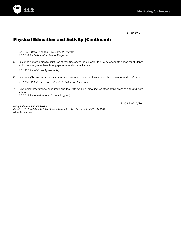

# Physical Education and Activity (Continued)

*(cf. 5148 - Child Care and Development Program) (cf. 5148.2 - Before/After School Program)*

5. Exploring opportunities for joint use of facilities or grounds in order to provide adequate space for students and community members to engage in recreational activities

*(cf. 1330.1 - Joint Use Agreements)*

6. Developing business partnerships to maximize resources for physical activity equipment and programs

*(cf. 1700 - Relations Between Private Industry and the Schools)*

7. Developing programs to encourage and facilitate walking, bicycling, or other active transport to and from school *(cf. 5142.2 - Safe Routes to School Program)*

*Policy Reference UPDATE Service*

(11/03 7/07) 2/10

*Copyright 2012 by California School Boards Association, West Sacramento, California 95691* All rights reserved.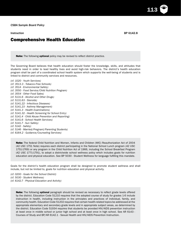Note: The following optional policy may be revised to reflect district practice.

The Governing Board believes that health education should foster the knowledge, skills, and attitudes that students need in order to lead healthy lives and avoid high-risk behaviors. The district's health education program shall be part of a coordinated school health system which supports the well-being of students and is linked to district and community services and resources.

*(cf. 1020 - Youth Services) (cf. 3513.3 - Tobacco-Free Schools) (cf. 3514 - Environmental Safety) (cf. 3550 - Food Service/Child Nutrition Program) (cf. 3554 - Other Food Sales) (cf. 5131.6 - Alcohol and Other Drugs) (cf. 5131.63 - Steroids) (cf. 5141.22 - Infectious Diseases) (cf. 5141.23 - Asthma Management) (cf. 5141.3 - Health Examinations) (cf. 5141.32 - Health Screening for School Entry) (cf. 5141.4 - Child Abuse Prevention and Reporting) (cf. 5141.6 - School Health Services) (cf. 5141.7 - Sun Safety) (cf. 5142 - Safety) (cf. 5146 - Married/Pregnant/Parenting Students) (cf. 6164.2 - Guidance/Counseling Services)*

Note: The federal Child Nutrition and Women, Infants and Children (WIC) Reauthorization Act of 2004 (42 USC 1751 Note) requires each district participating in the National School Lunch program (42 USC 1751-1769) or any program in the Child Nutrition Act of 1966, including the School Breakfast Program (42 USC 1771-1791), to adopt a districtwide school wellness policy which includes goals for nutrition education and physical education. See BP 5030 - Student Wellness for language fulfilling this mandate.

Goals for the district's health education program shall be designed to promote student wellness and shall include, but not be limited to, goals for nutrition education and physical activity.

*(cf. 0200 - Goals for the School District) (cf. 5030 - Student Wellness) (cf. 6142.7 - Physical Education and Activity)*

> Note: The following optional paragraph should be revised as necessary to reflect grade levels offered by the district. Education Code 51210 requires that the adopted course of study for grades 1-6 include instruction in health, including instruction in the principles and practices of individual, family, and community health. Education Code 51202 requires that certain health-related topics be addressed at the appropriate elementary and secondary grade levels and in appropriate subject areas, as determined by the district. Education Code 51934 requires that students be provided HIV/AIDS prevention instruction at least once in middle school or junior high school and at least once in high school. See AR 6143 - Courses of Study and BP/AR 6142.1 - Sexual Health and HIV/AIDS Prevention Instruction.

Instruction BP 6142.8

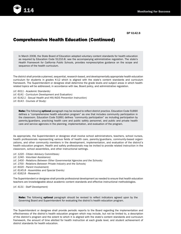

BP 6142.8

## Comprehensive Health Education (Continued)

In March 2008, the State Board of Education adopted voluntary content standards for health education as required by Education Code 51210.8; see the accompanying administrative regulation. The state's *Health Framework for California Public Schools*, provides nonprescriptive guidance on the scope and sequence of the health curriculum.

The district shall provide a planned, sequential, research-based, and developmentally appropriate health education curriculum for students in grades K-12 which is aligned with the state's content standards and curriculum framework. The Superintendent or designee shall determine the grade levels and subject areas in which healthrelated topics will be addressed, in accordance with law, Board policy, and administrative regulation.

*(cf. 6011 - Academic Standards) (cf. 6141 - Curriculum Development and Evaluation) (cf. 6142.1 - Sexual Health and HIV/AIDS Prevention Instruction) (cf. 6143 - Courses of Study)*

Note: The following optional paragraph may be revised to reflect district practice. Education Code 51890 defines a "comprehensive health education program" as one that includes community participation in the classroom. Education Code 51891 defines "community participation" as including participation by parents/guardians, practicing health care and public safety personnel, and public and private health care and service agencies in the planning, implementation, and evaluation of the program.

As appropriate, the Superintendent or designee shall involve school administrators, teachers, school nurses, health professionals representing various fields of health care, parents/guardians, community-based organizations, and other community members in the development, implementation, and evaluation of the district's health education program. Health and safety professionals may be invited to provide related instruction in the classroom, school assemblies, and other instructional settings.

*(cf. 1220 - Citizen Advisory Committees) (cf. 1240 - Volunteer Assistance) (cf. 1400 - Relations Between Other Governmental Agencies and the Schools) (cf. 1700 - Relations Between Private Industry and the Schools) (cf. 6020 - Parent Involvement) (cf. 6145.8 - Assemblies and Special Events) (cf. 6162.8 - Research)*

The Superintendent or designee shall provide professional development as needed to ensure that health education teachers are knowledgeable about academic content standards and effective instructional methodologies.

*(cf. 4131 - Staff Development)*

**Note:** The following **optional** paragraph should be revised to reflect indicators agreed upon by the Governing Board and Superintendent for evaluating the district's health education program.

The Superintendent or designee shall provide periodic reports to the Board regarding the implementation and effectiveness of the district's health education program which may include, but not be limited to, a description of the district's program and the extent to which it is aligned with the state's content standards and curriculum framework, the amount of time allotted for health instruction at each grade level, and student achievement of district standards for health education.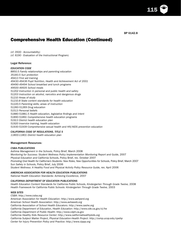115

BP 6142.8

## Comprehensive Health Education (Continued)

*(cf. 0500 - Accountability) (cf. 6190 - Evaluation of the Instructional Program)*

## Legal Reference:

## *EDUCATION CODE*

*8850.5 Family relationships and parenting education 35183.5 Sun protection 49413 First aid training 49430-49436 Pupil Nutrition, Health and Achievement Act of 2001 49490-49494 School breakfast and lunch programs 49500-49505 School meals 51202 Instruction in personal and public health and safety 51203 Instruction on alcohol, narcotics and dangerous drugs 51210 Areas of study 51210.8 State content standards for health education 51220.5 Parenting skills; areas of instruction 51260-51269 Drug education 51513 Personal beliefs 51880-51881.5 Health education, legislative findings and intent 51890-51891 Comprehensive health education programs 51913 District health education plan 51920 Inservice training, health education 51930-51939 Comprehensive sexual health and HIV/AIDS prevention education*

## *CALIFORNIA CODE OF REGULATIONS, TITLE 5*

*11800-11801 District health education plan*

## Management Resources:

## *CSBA PUBLICATIONS*

*Asthma Management in the Schools,* Policy Brief, March 2008 *Monitoring for Success: Student Wellness Policy Implementation Monitoring Report and Guide,* 2007 *Physical Education and California Schools,* Policy Brief, rev. October 2007 *Promoting Oral Health for California's Students: New Roles, New Opportunities for Schools,* Policy Brief, March 2007 *Sun Safety in Schools,* Policy Brief, July 2006 *Student Wellness: A Healthy Food and Physical Activity Policy Resource Guide,* rev. April 2006

## *AMERICAN ASSOCIATION FOR HEALTH EDUCATION PUBLICATIONS*

*National Health Education Standards: Achieving Excellence,* 2007

## *CALIFORNIA DEPARTMENT OF EDUCATION PUBLICATIONS*

Health Education Content Standards for California Public Schools, Kindergarten Through Grade Twelve, 2008 *Health Framework for California Public Schools: Kindergarten Through Grade Twelve,* 2003

## *WEB SITES*

*CSBA: http://www.csba.org*

*American Association for Health Education: http://www.aahperd.org American School Health Association: http://www.ashaweb.org California Association of School Health Educators: http://www.cashe.org California Department of Education, Health Education: http://www.cde.ca.gov/ci/he California Department of Public Health: http://www.cdph.ca.gov California Healthy Kids Resource Center: http://www.californiahealthykids.org California Subject Matter Project, Physical Education-Health Project: http://csmp.ucop.edu/cpehp Center for Injury Prevention Policy and Practice: http://www.cippp.org*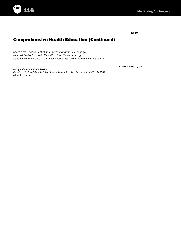

BP 6142.8

# Comprehensive Health Education (Continued)

*Centers for Disease Control and Prevention: http://www.cdc.gov National Center for Health Education: http://www.nche.org National Hearing Conservation Association: http://www.hearingconservation.org*

*Policy Reference UPDATE Service*

*Copyright 2012 by California School Boards Association, West Sacramento, California 95691* All rights reserved.

(11/03 11/05) 7/08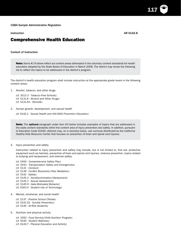Instruction AR 6142.8

117

## Comprehensive Health Education

## Content of Instruction

Note: Items #1-6 below reflect six content areas delineated in the voluntary content standards for health education adopted by the State Board of Education in March 2008. The district may revise the following list to reflect the topics to be addressed in the district's program.

The district's health education program shall include instruction at the appropriate grade levels in the following content areas:

1. Alcohol, tobacco, and other drugs

*(cf. 3513.3 - Tobacco-Free Schools) (cf. 5131.6 - Alcohol and Other Drugs) (cf. 5131.63 - Steroids)*

2. Human growth, development, and sexual health

*(cf. 6142.1 - Sexual Health and HIV/AIDS Prevention Education)*

Note: The optional paragraph under item #3 below includes examples of topics that are addressed in the state content standards within the content area of injury prevention and safety. In addition, pursuant to Education Code 51940, districts may, on a voluntary basis, use curricula distributed by the California Healthy Kids Resource Center that focuses on prevention of brain and spinal cord injuries.

### 3. Injury prevention and safety

Instruction related to injury prevention and safety may include, but is not limited to, first aid, protective equipment such as helmets, prevention of brain and spinal cord injuries, violence prevention, topics related to bullying and harassment, and Internet safety.

- *(cf. 0450 Comprehensive Safety Plan)*
- *(cf. 3543 Transportation Safety and Emergencies)*
- *(cf. 5131 Conduct)*
- *(cf. 5138 Conflict Resolution/Peer Mediation)*
- *(cf. 5142 Safety)*
- *(cf. 5145.3 Nondiscrimination/Harassment)*
- *(cf. 5145.7 Sexual Harassment)*
- *(cf. 5145.9 Hate-Motivated Behavior)*
- *(cf. 6163.4 Student Use of Technology)*
- 4. Mental, emotional, and social health

*(cf. 5137 - Positive School Climate) (cf. 5141.52 - Suicide Prevention) (cf. 5149 - At-Risk Students)*

### 5. Nutrition and physical activity

*(cf. 3550 - Food Service/Child Nutrition Program)*

*(cf. 5030 - Student Wellness)*

*(cf. 6142.7 - Physical Education and Activity)*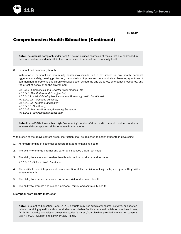

# Comprehensive Health Education (Continued)

**Note:** The **optional** paragraph under item #6 below includes examples of topics that are addressed in the state content standards within the content area of personal and community health.

### 6. Personal and community health

Instruction in personal and community health may include, but is not limited to, oral health, personal hygiene, sun safety, hearing protection, transmission of germs and communicable diseases, symptoms of common health problems and chronic diseases such as asthma and diabetes, emergency procedures, and the effect of behavior on the environment.

*(cf. 3516 - Emergencies and Disaster Preparedness Plan) (cf. 5141 - Health Care and Emergencies) (cf. 5141.21 - Administering Medication and Monitoring Health Conditions) (cf. 5141.22 - Infectious Diseases) (cf. 5141.23 - Asthma Management) (cf. 5141.7 - Sun Safety) (cf. 5146 - Married/Pregnant/Parenting Students) (cf. 6142.5 - Environmental Education)*

Note: Items #1-6 below combine eight "overarching standards" described in the state content standards as essential concepts and skills to be taught to students.

Within each of the above content areas, instruction shall be designed to assist students in developing:

- 1. An understanding of essential concepts related to enhancing health
- 2. The ability to analyze internal and external influences that affect health
- 3. The ability to access and analyze health information, products, and services

*(cf. 5141.6 - School Health Services)*

- 4. The ability to use interpersonal communication skills, decision-making skills, and goal-setting skills to enhance health
- 5. The ability to practice behaviors that reduce risk and promote health
- 6. The ability to promote and support personal, family, and community health

## Exemption from Health Instruction

Note: Pursuant to Education Code 51513, districts may not administer exams, surveys, or questionnaires containing questions about a student's or his/her family's personal beliefs or practices in sex, family life, morality, and religion unless the student's parent/guardian has provided prior written consent. See AR 5022 - Student and Family Privacy Rights.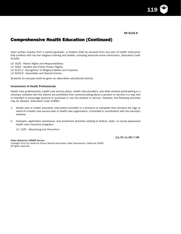119

# Comprehensive Health Education (Continued)

Upon written request from a parent/guardian, a student shall be excused from any part of health instruction that conflicts with his/her religious training and beliefs, including personal moral convictions. (Education Code 51240)

*(cf. 5020 - Parent Rights and Responsibilities) (cf. 5022 - Student and Family Privacy Rights) (cf. 6141.2 - Recognition of Religious Beliefs and Customs) (cf. 6145.8 - Assemblies and Special Events)*

Students so excused shall be given an alternative educational activity.

## Involvement of Health Professionals

Health care professionals, health care service plans, health care providers, and other entities participating in a voluntary initiative with the district are prohibited from communicating about a product or service in a way that is intended to encourage persons to purchase or use the product or service. However, the following activities may be allowed: (Education Code 51890)

- 1. Health care or health education information provided in a brochure or pamphlet that contains the logo or name of a health care service plan or health care organization, if provided in coordination with the voluntary initiative
- 2. Outreach, application assistance, and enrollment activities relating to federal, state, or county-sponsored health care insurance programs
	- *(cf. 1325 Advertising and Promotion)*

*Policy Reference UPDATE Service*

(11/03 11/05) 7/08

*Copyright 2012 by California School Boards Association, West Sacramento, California 95691* All rights reserved.